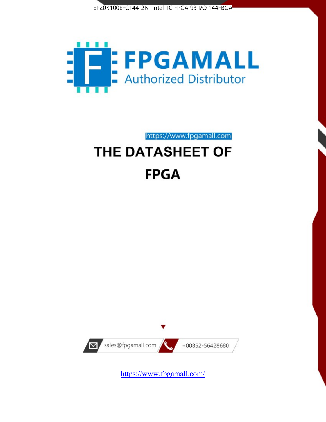



https://www.fpgamall.com

# THE DATASHEET OF **FPGA**



<https://www.fpgamall.com/>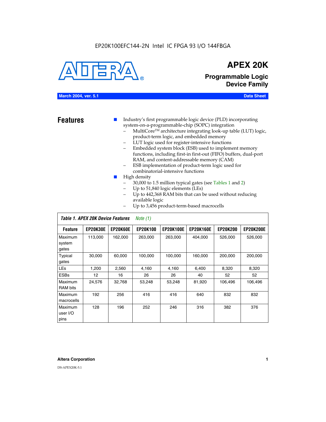# EP20K100EFC144-2N Intel IC FPGA 93 I/O 144FBGA



# **APEX 20K**

**Programmable Logic Device Family**

# **March 2004, ver. 5.1 Data Sheet**

- **Features ■** Industry's first programmable logic device (PLD) incorporating system-on-a-programmable-chip (SOPC) integration
	- MultiCore™ architecture integrating look-up table (LUT) logic, product-term logic, and embedded memory
	- LUT logic used for register-intensive functions
	- Embedded system block (ESB) used to implement memory functions, including first-in first-out (FIFO) buffers, dual-port RAM, and content-addressable memory (CAM)
	- ESB implementation of product-term logic used for combinatorial-intensive functions
	- High density
		- 30,000 to 1.5 million typical gates (see Tables 1 and 2)
		- Up to 51,840 logic elements (LEs)
		- Up to 442,368 RAM bits that can be used without reducing available logic
		- Up to 3,456 product-term-based macrocells

|                             | Table 1. APEX 20K Device Features<br>Note $(1)$ |                 |                 |                  |                  |                 |                  |  |  |  |  |
|-----------------------------|-------------------------------------------------|-----------------|-----------------|------------------|------------------|-----------------|------------------|--|--|--|--|
| <b>Feature</b>              | <b>EP20K30E</b>                                 | <b>EP20K60E</b> | <b>EP20K100</b> | <b>EP20K100E</b> | <b>EP20K160E</b> | <b>EP20K200</b> | <b>EP20K200E</b> |  |  |  |  |
| Maximum<br>system<br>gates  | 113,000                                         | 162,000         | 263,000         | 263,000          | 404,000          | 526,000         | 526,000          |  |  |  |  |
| Typical<br>gates            | 30,000                                          | 60,000          | 100,000         | 100,000          | 160,000          | 200,000         | 200,000          |  |  |  |  |
| <b>LEs</b>                  | 1,200                                           | 2.560           | 4,160           | 4,160            | 6.400            | 8,320           | 8,320            |  |  |  |  |
| <b>ESBs</b>                 | 12                                              | 16              | 26              | 26               | 40               | 52              | 52               |  |  |  |  |
| Maximum<br>RAM bits         | 24,576                                          | 32,768          | 53,248          | 53,248           | 81,920           | 106,496         | 106,496          |  |  |  |  |
| Maximum<br>macrocells       | 192                                             | 256             | 416             | 416              | 640              | 832             | 832              |  |  |  |  |
| Maximum<br>user I/O<br>pins | 128                                             | 196             | 252             | 246              | 316              | 382             | 376              |  |  |  |  |

#### **Altera Corporation 1**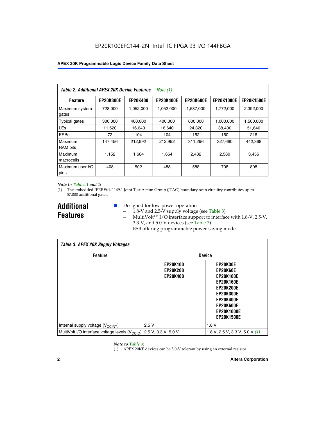| Table 2. Additional APEX 20K Device Features |                  |                 |                  |                  |                   |                   |
|----------------------------------------------|------------------|-----------------|------------------|------------------|-------------------|-------------------|
| <b>Feature</b>                               | <b>EP20K300E</b> | <b>EP20K400</b> | <b>EP20K400E</b> | <b>EP20K600E</b> | <b>EP20K1000E</b> | <b>EP20K1500E</b> |
| Maximum system<br>gates                      | 728,000          | 1,052,000       | 1,052,000        | 1,537,000        | 1,772,000         | 2,392,000         |
| <b>Typical gates</b>                         | 300,000          | 400,000         | 400,000          | 600,000          | 1,000,000         | 1,500,000         |
| <b>LEs</b>                                   | 11,520           | 16,640          | 16,640           | 24,320           | 38,400            | 51,840            |
| <b>ESBs</b>                                  | 72               | 104             | 104              | 152              | 160               | 216               |
| Maximum<br><b>RAM bits</b>                   | 147,456          | 212,992         | 212,992          | 311,296          | 327.680           | 442,368           |
| Maximum<br>macrocells                        | 1.152            | 1.664           | 1.664            | 2.432            | 2,560             | 3,456             |
| Maximum user I/O<br>pins                     | 408              | 502             | 488              | 588              | 708               | 808               |

#### *Note to Tables 1 and 2:*

(1) The embedded IEEE Std. 1149.1 Joint Test Action Group (JTAG) boundary-scan circuitry contributes up to 57,000 additional gates.

**Additional Features**

- Designed for low-power operation
	- 1.8-V and 2.5-V supply voltage (see Table 3)
	- $-$  MultiVolt<sup>TM</sup> I/O interface support to interface with 1.8-V, 2.5-V, 3.3-V, and 5.0-V devices (see Table 3)
	- ESB offering programmable power-saving mode

| <b>Table 3. APEX 20K Supply Voltages</b>                                       |                                                       |                                                                                                                                                                          |  |  |  |  |  |  |
|--------------------------------------------------------------------------------|-------------------------------------------------------|--------------------------------------------------------------------------------------------------------------------------------------------------------------------------|--|--|--|--|--|--|
| <b>Feature</b>                                                                 | <b>Device</b>                                         |                                                                                                                                                                          |  |  |  |  |  |  |
|                                                                                | <b>EP20K100</b><br><b>EP20K200</b><br><b>EP20K400</b> | EP20K30E<br>EP20K60E<br><b>EP20K100E</b><br><b>EP20K160E</b><br>EP20K200E<br><b>EP20K300E</b><br><b>EP20K400E</b><br>EP20K600E<br><b>EP20K1000E</b><br><b>EP20K1500E</b> |  |  |  |  |  |  |
| Internal supply voltage (V <sub>CCINT</sub> )                                  | 2.5V                                                  | 1.8V                                                                                                                                                                     |  |  |  |  |  |  |
| MultiVolt I/O interface voltage levels $(V_{\text{CCIO}})$ 2.5 V, 3.3 V, 5.0 V |                                                       | 1.8 V, 2.5 V, 3.3 V, 5.0 V $(1)$                                                                                                                                         |  |  |  |  |  |  |

#### *Note to Table 3:*

(1) APEX 20KE devices can be 5.0-V tolerant by using an external resistor.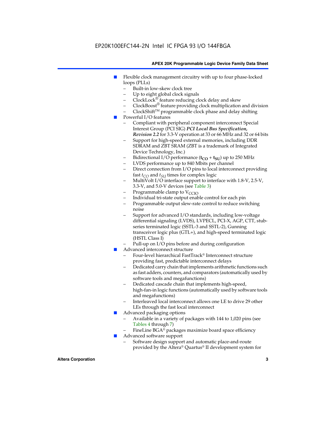# EP20K100EFC144-2N Intel IC FPGA 93 I/O 144FBGA

# **APEX 20K Programmable Logic Device Family Data Sheet**

- Flexible clock management circuitry with up to four phase-locked loops (PLLs)
	- Built-in low-skew clock tree
	- Up to eight global clock signals
	- $ClockLock^{\circledR}$  feature reducing clock delay and skew
	- $ClockBoost^{\circledR}$  feature providing clock multiplication and division
	- ClockShiftTM programmable clock phase and delay shifting
- Powerful I/O features
	- Compliant with peripheral component interconnect Special Interest Group (PCI SIG) *PCI Local Bus Specification, Revision 2.2* for 3.3-V operation at 33 or 66 MHz and 32 or 64 bits
	- Support for high-speed external memories, including DDR SDRAM and ZBT SRAM (ZBT is a trademark of Integrated Device Technology, Inc.)
	- Bidirectional I/O performance  $(t_{CO} + t_{SU})$  up to 250 MHz
	- LVDS performance up to 840 Mbits per channel
	- Direct connection from I/O pins to local interconnect providing fast  $t_{CO}$  and  $t_{SU}$  times for complex logic
	- MultiVolt I/O interface support to interface with 1.8-V, 2.5-V, 3.3-V, and 5.0-V devices (see Table 3)
	- Programmable clamp to  $V_{\text{C}CD}$
	- Individual tri-state output enable control for each pin
	- Programmable output slew-rate control to reduce switching noise
	- Support for advanced I/O standards, including low-voltage differential signaling (LVDS), LVPECL, PCI-X, AGP, CTT, stubseries terminated logic (SSTL-3 and SSTL-2), Gunning transceiver logic plus (GTL+), and high-speed terminated logic (HSTL Class I)
	- Pull-up on I/O pins before and during configuration
- Advanced interconnect structure
	- Four-level hierarchical FastTrack® Interconnect structure providing fast, predictable interconnect delays
	- Dedicated carry chain that implements arithmetic functions such as fast adders, counters, and comparators (automatically used by software tools and megafunctions)
	- Dedicated cascade chain that implements high-speed, high-fan-in logic functions (automatically used by software tools and megafunctions)
	- Interleaved local interconnect allows one LE to drive 29 other LEs through the fast local interconnect
- Advanced packaging options
	- Available in a variety of packages with 144 to 1,020 pins (see Tables 4 through 7)
	- FineLine BGA® packages maximize board space efficiency
- Advanced software support
	- Software design support and automatic place-and-route provided by the Altera® Quartus® II development system for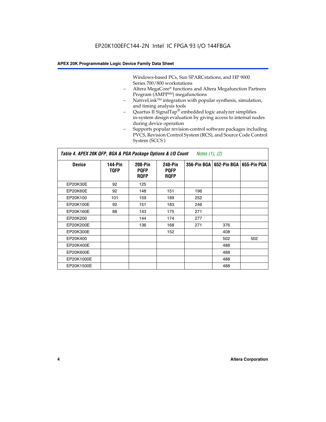Windows-based PCs, Sun SPARCstations, and HP 9000 Series 700/800 workstations

- Altera MegaCore® functions and Altera Megafunction Partners Program (AMPP<sup>SM</sup>) megafunctions
- NativeLink™ integration with popular synthesis, simulation, and timing analysis tools
- Quartus II SignalTap® embedded logic analyzer simplifies in-system design evaluation by giving access to internal nodes during device operation
- Supports popular revision-control software packages including PVCS, Revision Control System (RCS), and Source Code Control System (SCCS )

### *Table 4. APEX 20K QFP, BGA & PGA Package Options & I/O Count Notes (1), (2)*

| <b>Device</b>   | 144-Pin<br><b>TQFP</b> | 208-Pin<br><b>PQFP</b><br><b>ROFP</b> | 240-Pin<br><b>PQFP</b><br><b>ROFP</b> |     | 356-Pin BGA   652-Pin BGA | 655-Pin PGA |
|-----------------|------------------------|---------------------------------------|---------------------------------------|-----|---------------------------|-------------|
| EP20K30E        | 92                     | 125                                   |                                       |     |                           |             |
| <b>EP20K60E</b> | 92                     | 148                                   | 151                                   | 196 |                           |             |
| EP20K100        | 101                    | 159                                   | 189                                   | 252 |                           |             |
| EP20K100E       | 92                     | 151                                   | 183                                   | 246 |                           |             |
| EP20K160E       | 88                     | 143                                   | 175                                   | 271 |                           |             |
| EP20K200        |                        | 144                                   | 174                                   | 277 |                           |             |
| EP20K200E       |                        | 136                                   | 168                                   | 271 | 376                       |             |
| EP20K300E       |                        |                                       | 152                                   |     | 408                       |             |
| EP20K400        |                        |                                       |                                       |     | 502                       | 502         |
| EP20K400E       |                        |                                       |                                       |     | 488                       |             |
| EP20K600E       |                        |                                       |                                       |     | 488                       |             |
| EP20K1000E      |                        |                                       |                                       |     | 488                       |             |
| EP20K1500E      |                        |                                       |                                       |     | 488                       |             |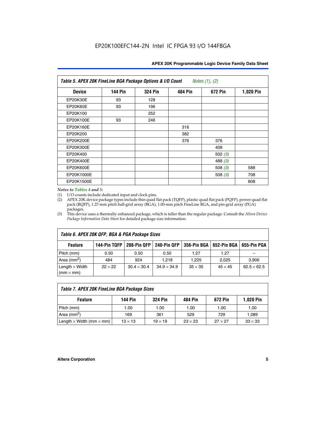| Table 5. APEX 20K FineLine BGA Package Options & I/O Count<br>Notes $(1)$ , $(2)$ |                |                |                |           |           |  |  |  |
|-----------------------------------------------------------------------------------|----------------|----------------|----------------|-----------|-----------|--|--|--|
| <b>Device</b>                                                                     | <b>144 Pin</b> | <b>324 Pin</b> | <b>484 Pin</b> | 672 Pin   | 1,020 Pin |  |  |  |
| EP20K30E                                                                          | 93             | 128            |                |           |           |  |  |  |
| <b>EP20K60E</b>                                                                   | 93             | 196            |                |           |           |  |  |  |
| EP20K100                                                                          |                | 252            |                |           |           |  |  |  |
| EP20K100E                                                                         | 93             | 246            |                |           |           |  |  |  |
| EP20K160E                                                                         |                |                | 316            |           |           |  |  |  |
| EP20K200                                                                          |                |                | 382            |           |           |  |  |  |
| EP20K200E                                                                         |                |                | 376            | 376       |           |  |  |  |
| EP20K300E                                                                         |                |                |                | 408       |           |  |  |  |
| EP20K400                                                                          |                |                |                | 502(3)    |           |  |  |  |
| EP20K400E                                                                         |                |                |                | 488 $(3)$ |           |  |  |  |
| EP20K600E                                                                         |                |                |                | 508 $(3)$ | 588       |  |  |  |
| EP20K1000E                                                                        |                |                |                | 508 $(3)$ | 708       |  |  |  |
| EP20K1500E                                                                        |                |                |                |           | 808       |  |  |  |

#### *Notes to Tables 4 and 5:*

 $\Gamma$ 

(1) I/O counts include dedicated input and clock pins.

(2) APEX 20K device package types include thin quad flat pack (TQFP), plastic quad flat pack (PQFP), power quad flat pack (RQFP), 1.27-mm pitch ball-grid array (BGA), 1.00-mm pitch FineLine BGA, and pin-grid array (PGA) packages.

(3) This device uses a thermally enhanced package, which is taller than the regular package. Consult the *Altera Device Package Information Data Sheet* for detailed package size information.

| Table 6. APEX 20K QFP, BGA & PGA Package Sizes                                                           |                |                    |                    |                |                |                    |  |  |  |
|----------------------------------------------------------------------------------------------------------|----------------|--------------------|--------------------|----------------|----------------|--------------------|--|--|--|
| 144-Pin TQFP<br>240-Pin QFP<br>356-Pin BGA   652-Pin BGA<br>208-Pin QFP<br>655-Pin PGA<br><b>Feature</b> |                |                    |                    |                |                |                    |  |  |  |
| Pitch (mm)                                                                                               | 0.50           | 0.50               | 0.50               | 1.27           | 1.27           |                    |  |  |  |
| Area $(mm^2)$                                                                                            | 484            | 924                | 1.218              | 1.225          | 2.025          | 3,906              |  |  |  |
| Length $\times$ Width<br>$(mm \times mm)$                                                                | $22 \times 22$ | $30.4 \times 30.4$ | $34.9 \times 34.9$ | $35 \times 35$ | $45 \times 45$ | $62.5 \times 62.5$ |  |  |  |

| Table 7. APEX 20K FineLine BGA Package Sizes                                          |                |                |                |                |                |  |  |  |
|---------------------------------------------------------------------------------------|----------------|----------------|----------------|----------------|----------------|--|--|--|
| 1,020 Pin<br><b>144 Pin</b><br><b>324 Pin</b><br>672 Pin<br>484 Pin<br><b>Feature</b> |                |                |                |                |                |  |  |  |
| Pitch (mm)                                                                            | 1.00           | 1.00           | 1.00           | 1.00           | 1.00           |  |  |  |
| Area ( $mm2$ )                                                                        | 169            | 361            | 529            | 729            | 1,089          |  |  |  |
| Length $\times$ Width (mm $\times$ mm)                                                | $13 \times 13$ | $19 \times 19$ | $23 \times 23$ | $27 \times 27$ | $33 \times 33$ |  |  |  |

٦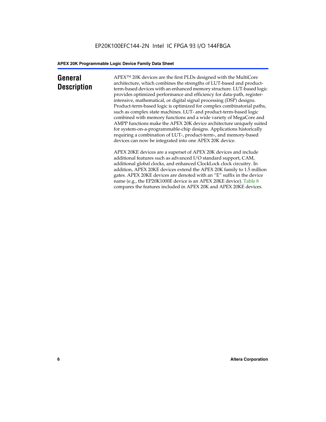# **General Description**

APEXTM 20K devices are the first PLDs designed with the MultiCore architecture, which combines the strengths of LUT-based and productterm-based devices with an enhanced memory structure. LUT-based logic provides optimized performance and efficiency for data-path, registerintensive, mathematical, or digital signal processing (DSP) designs. Product-term-based logic is optimized for complex combinatorial paths, such as complex state machines. LUT- and product-term-based logic combined with memory functions and a wide variety of MegaCore and AMPP functions make the APEX 20K device architecture uniquely suited for system-on-a-programmable-chip designs. Applications historically requiring a combination of LUT-, product-term-, and memory-based devices can now be integrated into one APEX 20K device.

APEX 20KE devices are a superset of APEX 20K devices and include additional features such as advanced I/O standard support, CAM, additional global clocks, and enhanced ClockLock clock circuitry. In addition, APEX 20KE devices extend the APEX 20K family to 1.5 million gates. APEX 20KE devices are denoted with an "E" suffix in the device name (e.g., the EP20K1000E device is an APEX 20KE device). Table 8 compares the features included in APEX 20K and APEX 20KE devices.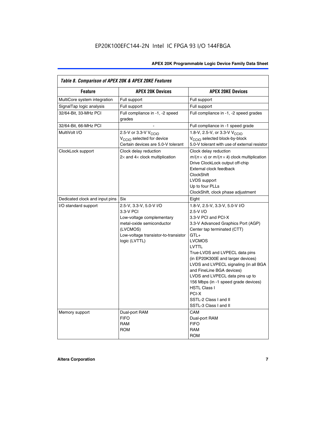| Table 8. Comparison of APEX 20K & APEX 20KE Features |                                                                                                                                                                     |                                                                                                                                                                                                                                                                                                                                                                                                                                                                                       |  |  |  |  |  |  |
|------------------------------------------------------|---------------------------------------------------------------------------------------------------------------------------------------------------------------------|---------------------------------------------------------------------------------------------------------------------------------------------------------------------------------------------------------------------------------------------------------------------------------------------------------------------------------------------------------------------------------------------------------------------------------------------------------------------------------------|--|--|--|--|--|--|
| <b>Feature</b>                                       | <b>APEX 20K Devices</b>                                                                                                                                             | <b>APEX 20KE Devices</b>                                                                                                                                                                                                                                                                                                                                                                                                                                                              |  |  |  |  |  |  |
| MultiCore system integration                         | Full support                                                                                                                                                        | Full support                                                                                                                                                                                                                                                                                                                                                                                                                                                                          |  |  |  |  |  |  |
| SignalTap logic analysis                             | Full support                                                                                                                                                        | Full support                                                                                                                                                                                                                                                                                                                                                                                                                                                                          |  |  |  |  |  |  |
| 32/64-Bit, 33-MHz PCI                                | Full compliance in -1, -2 speed<br>grades                                                                                                                           | Full compliance in -1, -2 speed grades                                                                                                                                                                                                                                                                                                                                                                                                                                                |  |  |  |  |  |  |
| 32/64-Bit, 66-MHz PCI                                |                                                                                                                                                                     | Full compliance in -1 speed grade                                                                                                                                                                                                                                                                                                                                                                                                                                                     |  |  |  |  |  |  |
| MultiVolt I/O                                        | 2.5-V or 3.3-V V <sub>CCIO</sub><br>V <sub>CCIO</sub> selected for device<br>Certain devices are 5.0-V tolerant                                                     | 1.8-V, 2.5-V, or 3.3-V V <sub>CCIO</sub><br>V <sub>CCIO</sub> selected block-by-block<br>5.0-V tolerant with use of external resistor                                                                                                                                                                                                                                                                                                                                                 |  |  |  |  |  |  |
| ClockLock support                                    | Clock delay reduction<br>$2\times$ and $4\times$ clock multiplication                                                                                               | Clock delay reduction<br>$m/(n \times v)$ or $m/(n \times k)$ clock multiplication<br>Drive ClockLock output off-chip<br>External clock feedback<br><b>ClockShift</b><br>LVDS support<br>Up to four PLLs<br>ClockShift, clock phase adjustment                                                                                                                                                                                                                                        |  |  |  |  |  |  |
| Dedicated clock and input pins                       | <b>Six</b>                                                                                                                                                          | Eight                                                                                                                                                                                                                                                                                                                                                                                                                                                                                 |  |  |  |  |  |  |
| I/O standard support                                 | 2.5-V, 3.3-V, 5.0-V I/O<br>3.3-V PCI<br>Low-voltage complementary<br>metal-oxide semiconductor<br>(LVCMOS)<br>Low-voltage transistor-to-transistor<br>logic (LVTTL) | 1.8-V, 2.5-V, 3.3-V, 5.0-V I/O<br>2.5-V I/O<br>3.3-V PCI and PCI-X<br>3.3-V Advanced Graphics Port (AGP)<br>Center tap terminated (CTT)<br>$GTL+$<br><b>LVCMOS</b><br>LVTTL<br>True-LVDS and LVPECL data pins<br>(in EP20K300E and larger devices)<br>LVDS and LVPECL signaling (in all BGA<br>and FineLine BGA devices)<br>LVDS and LVPECL data pins up to<br>156 Mbps (in -1 speed grade devices)<br><b>HSTL Class I</b><br>PCI-X<br>SSTL-2 Class I and II<br>SSTL-3 Class I and II |  |  |  |  |  |  |
| Memory support                                       | Dual-port RAM<br><b>FIFO</b><br><b>RAM</b><br><b>ROM</b>                                                                                                            | CAM<br>Dual-port RAM<br><b>FIFO</b><br>RAM<br><b>ROM</b>                                                                                                                                                                                                                                                                                                                                                                                                                              |  |  |  |  |  |  |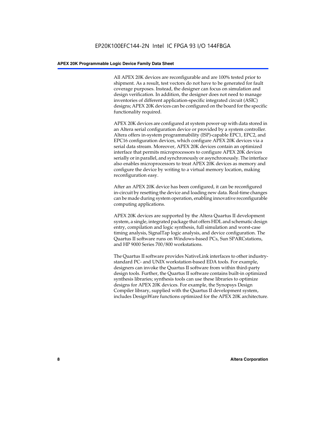All APEX 20K devices are reconfigurable and are 100% tested prior to shipment. As a result, test vectors do not have to be generated for fault coverage purposes. Instead, the designer can focus on simulation and design verification. In addition, the designer does not need to manage inventories of different application-specific integrated circuit (ASIC) designs; APEX 20K devices can be configured on the board for the specific functionality required.

APEX 20K devices are configured at system power-up with data stored in an Altera serial configuration device or provided by a system controller. Altera offers in-system programmability (ISP)-capable EPC1, EPC2, and EPC16 configuration devices, which configure APEX 20K devices via a serial data stream. Moreover, APEX 20K devices contain an optimized interface that permits microprocessors to configure APEX 20K devices serially or in parallel, and synchronously or asynchronously. The interface also enables microprocessors to treat APEX 20K devices as memory and configure the device by writing to a virtual memory location, making reconfiguration easy.

After an APEX 20K device has been configured, it can be reconfigured in-circuit by resetting the device and loading new data. Real-time changes can be made during system operation, enabling innovative reconfigurable computing applications.

APEX 20K devices are supported by the Altera Quartus II development system, a single, integrated package that offers HDL and schematic design entry, compilation and logic synthesis, full simulation and worst-case timing analysis, SignalTap logic analysis, and device configuration. The Quartus II software runs on Windows-based PCs, Sun SPARCstations, and HP 9000 Series 700/800 workstations.

The Quartus II software provides NativeLink interfaces to other industrystandard PC- and UNIX workstation-based EDA tools. For example, designers can invoke the Quartus II software from within third-party design tools. Further, the Quartus II software contains built-in optimized synthesis libraries; synthesis tools can use these libraries to optimize designs for APEX 20K devices. For example, the Synopsys Design Compiler library, supplied with the Quartus II development system, includes DesignWare functions optimized for the APEX 20K architecture.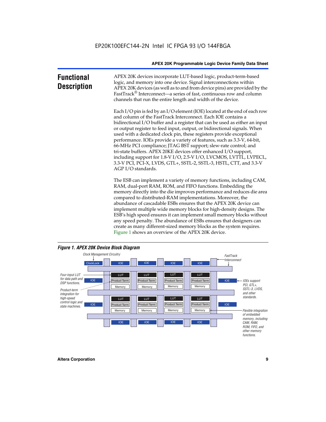| <b>Functional</b><br><b>Description</b> | APEX 20K devices incorporate LUT-based logic, product-term-based<br>logic, and memory into one device. Signal interconnections within<br>APEX 20K devices (as well as to and from device pins) are provided by the<br>FastTrack <sup>®</sup> Interconnect—a series of fast, continuous row and column<br>channels that run the entire length and width of the device.                                                                                                                                                                                                                                                                                                                                                                                              |
|-----------------------------------------|--------------------------------------------------------------------------------------------------------------------------------------------------------------------------------------------------------------------------------------------------------------------------------------------------------------------------------------------------------------------------------------------------------------------------------------------------------------------------------------------------------------------------------------------------------------------------------------------------------------------------------------------------------------------------------------------------------------------------------------------------------------------|
|                                         | Each I/O pin is fed by an I/O element (IOE) located at the end of each row<br>and column of the FastTrack Interconnect. Each IOE contains a<br>bidirectional I/O buffer and a register that can be used as either an input<br>or output register to feed input, output, or bidirectional signals. When<br>used with a dedicated clock pin, these registers provide exceptional<br>performance. IOEs provide a variety of features, such as 3.3-V, 64-bit,<br>66-MHz PCI compliance; JTAG BST support; slew-rate control; and<br>tri-state buffers. APEX 20KE devices offer enhanced I/O support,<br>including support for 1.8-V I/O, 2.5-V I/O, LVCMOS, LVTTL, LVPECL,<br>3.3-V PCI, PCI-X, LVDS, GTL+, SSTL-2, SSTL-3, HSTL, CTT, and 3.3-V<br>AGP I/O standards. |
|                                         | The ESB can implement a variety of memory functions, including CAM,<br>RAM, dual-port RAM, ROM, and FIFO functions. Embedding the<br>memory directly into the die improves performance and reduces die area<br>compared to distributed-RAM implementations. Moreover, the<br>abundance of cascadable ESBs ensures that the APEX 20K device can<br>implement multiple wide memory blocks for high-density designs. The<br>ESB's high speed ensures it can implement small memory blocks without<br>any speed penalty. The abundance of ESBs ensures that designers can<br>create as many different-sized memory blocks as the system requires.                                                                                                                      |



Figure 1 shows an overview of the APEX 20K device.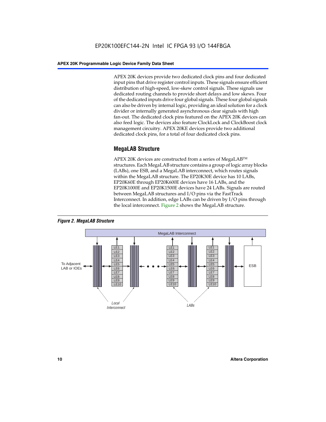APEX 20K devices provide two dedicated clock pins and four dedicated input pins that drive register control inputs. These signals ensure efficient distribution of high-speed, low-skew control signals. These signals use dedicated routing channels to provide short delays and low skews. Four of the dedicated inputs drive four global signals. These four global signals can also be driven by internal logic, providing an ideal solution for a clock divider or internally generated asynchronous clear signals with high fan-out. The dedicated clock pins featured on the APEX 20K devices can also feed logic. The devices also feature ClockLock and ClockBoost clock management circuitry. APEX 20KE devices provide two additional dedicated clock pins, for a total of four dedicated clock pins.

# **MegaLAB Structure**

APEX 20K devices are constructed from a series of MegaLAB<sup>™</sup> structures. Each MegaLAB structure contains a group of logic array blocks (LABs), one ESB, and a MegaLAB interconnect, which routes signals within the MegaLAB structure. The EP20K30E device has 10 LABs, EP20K60E through EP20K600E devices have 16 LABs, and the EP20K1000E and EP20K1500E devices have 24 LABs. Signals are routed between MegaLAB structures and I/O pins via the FastTrack Interconnect. In addition, edge LABs can be driven by I/O pins through the local interconnect. Figure 2 shows the MegaLAB structure.



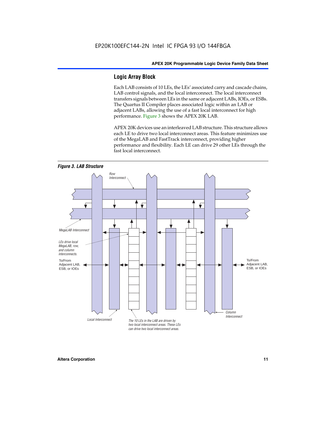# **Logic Array Block**

Each LAB consists of 10 LEs, the LEs' associated carry and cascade chains, LAB control signals, and the local interconnect. The local interconnect transfers signals between LEs in the same or adjacent LABs, IOEs, or ESBs. The Quartus II Compiler places associated logic within an LAB or adjacent LABs, allowing the use of a fast local interconnect for high performance. Figure 3 shows the APEX 20K LAB.

APEX 20K devices use an interleaved LAB structure. This structure allows each LE to drive two local interconnect areas. This feature minimizes use of the MegaLAB and FastTrack interconnect, providing higher performance and flexibility. Each LE can drive 29 other LEs through the fast local interconnect.

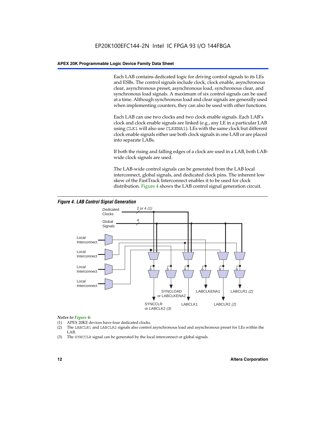Each LAB contains dedicated logic for driving control signals to its LEs and ESBs. The control signals include clock, clock enable, asynchronous clear, asynchronous preset, asynchronous load, synchronous clear, and synchronous load signals. A maximum of six control signals can be used at a time. Although synchronous load and clear signals are generally used when implementing counters, they can also be used with other functions.

Each LAB can use two clocks and two clock enable signals. Each LAB's clock and clock enable signals are linked (e.g., any LE in a particular LAB using CLK1 will also use CLKENA1). LEs with the same clock but different clock enable signals either use both clock signals in one LAB or are placed into separate LABs.

If both the rising and falling edges of a clock are used in a LAB, both LABwide clock signals are used.

The LAB-wide control signals can be generated from the LAB local interconnect, global signals, and dedicated clock pins. The inherent low skew of the FastTrack Interconnect enables it to be used for clock distribution. Figure 4 shows the LAB control signal generation circuit.



#### *Figure 4. LAB Control Signal Generation*

# *Notes to Figure 4:*

- (1) APEX 20KE devices have four dedicated clocks.
- (2) The LABCLR1 and LABCLR2 signals also control asynchronous load and asynchronous preset for LEs within the LAB.
- (3) The SYNCCLR signal can be generated by the local interconnect or global signals.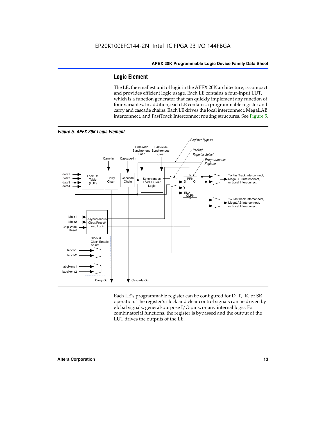# **Logic Element**

The LE, the smallest unit of logic in the APEX 20K architecture, is compact and provides efficient logic usage. Each LE contains a four-input LUT, which is a function generator that can quickly implement any function of four variables. In addition, each LE contains a programmable register and carry and cascade chains. Each LE drives the local interconnect, MegaLAB interconnect, and FastTrack Interconnect routing structures. See Figure 5.



*Figure 5. APEX 20K Logic Element*

Each LE's programmable register can be configured for D, T, JK, or SR operation. The register's clock and clear control signals can be driven by global signals, general-purpose I/O pins, or any internal logic. For combinatorial functions, the register is bypassed and the output of the LUT drives the outputs of the LE.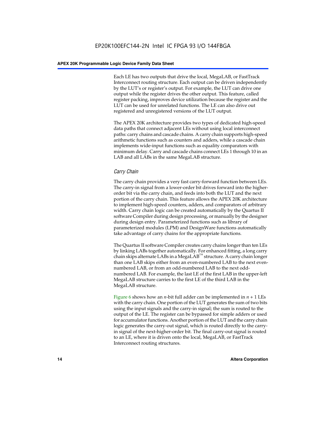Each LE has two outputs that drive the local, MegaLAB, or FastTrack Interconnect routing structure. Each output can be driven independently by the LUT's or register's output. For example, the LUT can drive one output while the register drives the other output. This feature, called register packing, improves device utilization because the register and the LUT can be used for unrelated functions. The LE can also drive out registered and unregistered versions of the LUT output.

The APEX 20K architecture provides two types of dedicated high-speed data paths that connect adjacent LEs without using local interconnect paths: carry chains and cascade chains. A carry chain supports high-speed arithmetic functions such as counters and adders, while a cascade chain implements wide-input functions such as equality comparators with minimum delay. Carry and cascade chains connect LEs 1 through 10 in an LAB and all LABs in the same MegaLAB structure.

# *Carry Chain*

The carry chain provides a very fast carry-forward function between LEs. The carry-in signal from a lower-order bit drives forward into the higherorder bit via the carry chain, and feeds into both the LUT and the next portion of the carry chain. This feature allows the APEX 20K architecture to implement high-speed counters, adders, and comparators of arbitrary width. Carry chain logic can be created automatically by the Quartus II software Compiler during design processing, or manually by the designer during design entry. Parameterized functions such as library of parameterized modules (LPM) and DesignWare functions automatically take advantage of carry chains for the appropriate functions.

The Quartus II software Compiler creates carry chains longer than ten LEs by linking LABs together automatically. For enhanced fitting, a long carry chain skips alternate LABs in a MegaLAB<sup>™</sup> structure. A carry chain longer than one LAB skips either from an even-numbered LAB to the next evennumbered LAB, or from an odd-numbered LAB to the next oddnumbered LAB. For example, the last LE of the first LAB in the upper-left MegaLAB structure carries to the first LE of the third LAB in the MegaLAB structure.

Figure 6 shows how an *n*-bit full adder can be implemented in *n* + 1 LEs with the carry chain. One portion of the LUT generates the sum of two bits using the input signals and the carry-in signal; the sum is routed to the output of the LE. The register can be bypassed for simple adders or used for accumulator functions. Another portion of the LUT and the carry chain logic generates the carry-out signal, which is routed directly to the carryin signal of the next-higher-order bit. The final carry-out signal is routed to an LE, where it is driven onto the local, MegaLAB, or FastTrack Interconnect routing structures.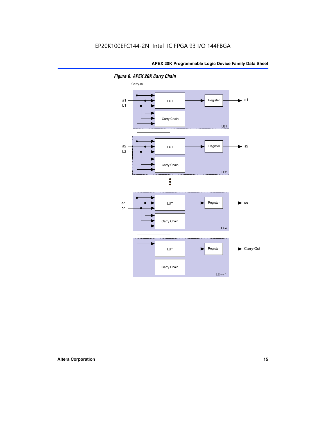

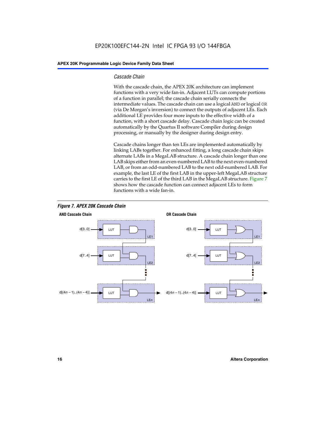## *Cascade Chain*

With the cascade chain, the APEX 20K architecture can implement functions with a very wide fan-in. Adjacent LUTs can compute portions of a function in parallel; the cascade chain serially connects the intermediate values. The cascade chain can use a logical AND or logical OR (via De Morgan's inversion) to connect the outputs of adjacent LEs. Each additional LE provides four more inputs to the effective width of a function, with a short cascade delay. Cascade chain logic can be created automatically by the Quartus II software Compiler during design processing, or manually by the designer during design entry.

Cascade chains longer than ten LEs are implemented automatically by linking LABs together. For enhanced fitting, a long cascade chain skips alternate LABs in a MegaLAB structure. A cascade chain longer than one LAB skips either from an even-numbered LAB to the next even-numbered LAB, or from an odd-numbered LAB to the next odd-numbered LAB. For example, the last LE of the first LAB in the upper-left MegaLAB structure carries to the first LE of the third LAB in the MegaLAB structure. Figure 7 shows how the cascade function can connect adjacent LEs to form functions with a wide fan-in.



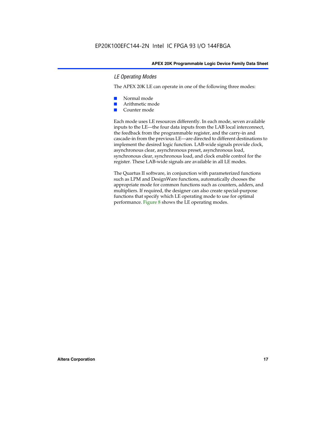# *LE Operating Modes*

The APEX 20K LE can operate in one of the following three modes:

- Normal mode
- Arithmetic mode
- Counter mode

Each mode uses LE resources differently. In each mode, seven available inputs to the LE—the four data inputs from the LAB local interconnect, the feedback from the programmable register, and the carry-in and cascade-in from the previous LE—are directed to different destinations to implement the desired logic function. LAB-wide signals provide clock, asynchronous clear, asynchronous preset, asynchronous load, synchronous clear, synchronous load, and clock enable control for the register. These LAB-wide signals are available in all LE modes.

The Quartus II software, in conjunction with parameterized functions such as LPM and DesignWare functions, automatically chooses the appropriate mode for common functions such as counters, adders, and multipliers. If required, the designer can also create special-purpose functions that specify which LE operating mode to use for optimal performance. Figure 8 shows the LE operating modes.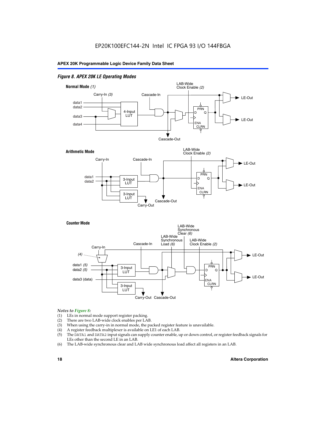# *Figure 8. APEX 20K LE Operating Modes*



#### *Notes to Figure 8:*

- (1) LEs in normal mode support register packing.
- (2) There are two LAB-wide clock enables per LAB.
- (3) When using the carry-in in normal mode, the packed register feature is unavailable.
- (4) A register feedback multiplexer is available on LE1 of each LAB.
- (5) The DATA1 and DATA2 input signals can supply counter enable, up or down control, or register feedback signals for LEs other than the second LE in an LAB.
- (6) The LAB-wide synchronous clear and LAB wide synchronous load affect all registers in an LAB.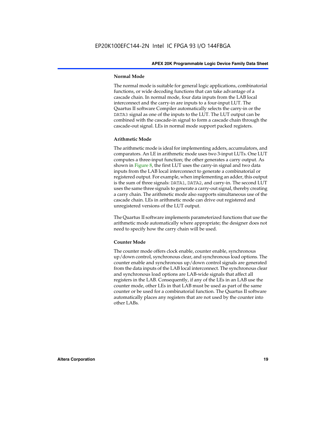#### **Normal Mode**

The normal mode is suitable for general logic applications, combinatorial functions, or wide decoding functions that can take advantage of a cascade chain. In normal mode, four data inputs from the LAB local interconnect and the carry-in are inputs to a four-input LUT. The Quartus II software Compiler automatically selects the carry-in or the DATA3 signal as one of the inputs to the LUT. The LUT output can be combined with the cascade-in signal to form a cascade chain through the cascade-out signal. LEs in normal mode support packed registers.

#### **Arithmetic Mode**

The arithmetic mode is ideal for implementing adders, accumulators, and comparators. An LE in arithmetic mode uses two 3-input LUTs. One LUT computes a three-input function; the other generates a carry output. As shown in Figure 8, the first LUT uses the carry-in signal and two data inputs from the LAB local interconnect to generate a combinatorial or registered output. For example, when implementing an adder, this output is the sum of three signals: DATA1, DATA2, and carry-in. The second LUT uses the same three signals to generate a carry-out signal, thereby creating a carry chain. The arithmetic mode also supports simultaneous use of the cascade chain. LEs in arithmetic mode can drive out registered and unregistered versions of the LUT output.

The Quartus II software implements parameterized functions that use the arithmetic mode automatically where appropriate; the designer does not need to specify how the carry chain will be used.

#### **Counter Mode**

The counter mode offers clock enable, counter enable, synchronous up/down control, synchronous clear, and synchronous load options. The counter enable and synchronous up/down control signals are generated from the data inputs of the LAB local interconnect. The synchronous clear and synchronous load options are LAB-wide signals that affect all registers in the LAB. Consequently, if any of the LEs in an LAB use the counter mode, other LEs in that LAB must be used as part of the same counter or be used for a combinatorial function. The Quartus II software automatically places any registers that are not used by the counter into other LABs.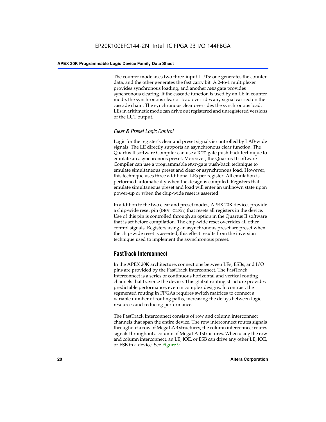The counter mode uses two three-input LUTs: one generates the counter data, and the other generates the fast carry bit. A 2-to-1 multiplexer provides synchronous loading, and another AND gate provides synchronous clearing. If the cascade function is used by an LE in counter mode, the synchronous clear or load overrides any signal carried on the cascade chain. The synchronous clear overrides the synchronous load. LEs in arithmetic mode can drive out registered and unregistered versions of the LUT output.

# *Clear & Preset Logic Control*

Logic for the register's clear and preset signals is controlled by LAB-wide signals. The LE directly supports an asynchronous clear function. The Quartus II software Compiler can use a NOT-gate push-back technique to emulate an asynchronous preset. Moreover, the Quartus II software Compiler can use a programmable NOT-gate push-back technique to emulate simultaneous preset and clear or asynchronous load. However, this technique uses three additional LEs per register. All emulation is performed automatically when the design is compiled. Registers that emulate simultaneous preset and load will enter an unknown state upon power-up or when the chip-wide reset is asserted.

In addition to the two clear and preset modes, APEX 20K devices provide a chip-wide reset pin (DEV\_CLRn) that resets all registers in the device. Use of this pin is controlled through an option in the Quartus II software that is set before compilation. The chip-wide reset overrides all other control signals. Registers using an asynchronous preset are preset when the chip-wide reset is asserted; this effect results from the inversion technique used to implement the asynchronous preset.

# **FastTrack Interconnect**

In the APEX 20K architecture, connections between LEs, ESBs, and I/O pins are provided by the FastTrack Interconnect. The FastTrack Interconnect is a series of continuous horizontal and vertical routing channels that traverse the device. This global routing structure provides predictable performance, even in complex designs. In contrast, the segmented routing in FPGAs requires switch matrices to connect a variable number of routing paths, increasing the delays between logic resources and reducing performance.

The FastTrack Interconnect consists of row and column interconnect channels that span the entire device. The row interconnect routes signals throughout a row of MegaLAB structures; the column interconnect routes signals throughout a column of MegaLAB structures. When using the row and column interconnect, an LE, IOE, or ESB can drive any other LE, IOE, or ESB in a device. See Figure 9.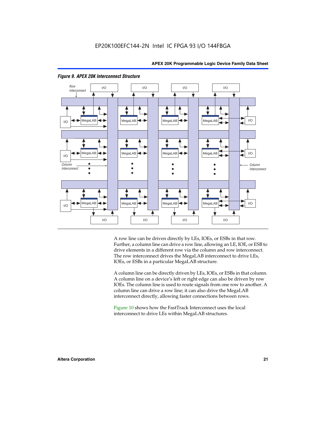



#### *Figure 9. APEX 20K Interconnect Structure*

A row line can be driven directly by LEs, IOEs, or ESBs in that row. Further, a column line can drive a row line, allowing an LE, IOE, or ESB to drive elements in a different row via the column and row interconnect. The row interconnect drives the MegaLAB interconnect to drive LEs, IOEs, or ESBs in a particular MegaLAB structure.

A column line can be directly driven by LEs, IOEs, or ESBs in that column. A column line on a device's left or right edge can also be driven by row IOEs. The column line is used to route signals from one row to another. A column line can drive a row line; it can also drive the MegaLAB interconnect directly, allowing faster connections between rows.

Figure 10 shows how the FastTrack Interconnect uses the local interconnect to drive LEs within MegaLAB structures.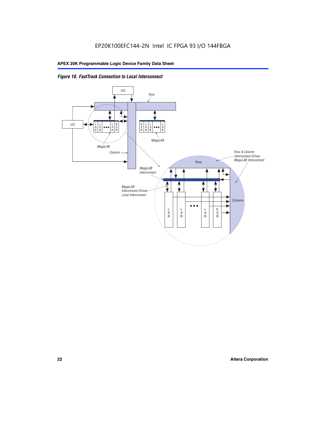

*Figure 10. FastTrack Connection to Local Interconnect*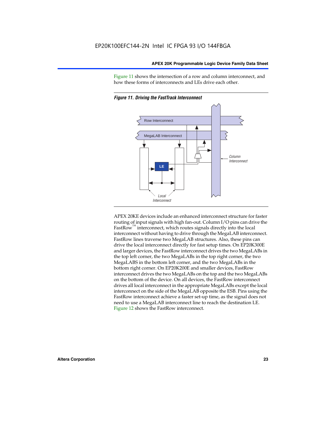Figure 11 shows the intersection of a row and column interconnect, and how these forms of interconnects and LEs drive each other.





APEX 20KE devices include an enhanced interconnect structure for faster routing of input signals with high fan-out. Column I/O pins can drive the FastRow<sup>™</sup> interconnect, which routes signals directly into the local interconnect without having to drive through the MegaLAB interconnect. FastRow lines traverse two MegaLAB structures. Also, these pins can drive the local interconnect directly for fast setup times. On EP20K300E and larger devices, the FastRow interconnect drives the two MegaLABs in the top left corner, the two MegaLABs in the top right corner, the two MegaLABS in the bottom left corner, and the two MegaLABs in the bottom right corner. On EP20K200E and smaller devices, FastRow interconnect drives the two MegaLABs on the top and the two MegaLABs on the bottom of the device. On all devices, the FastRow interconnect drives all local interconnect in the appropriate MegaLABs except the local interconnect on the side of the MegaLAB opposite the ESB. Pins using the FastRow interconnect achieve a faster set-up time, as the signal does not need to use a MegaLAB interconnect line to reach the destination LE. Figure 12 shows the FastRow interconnect.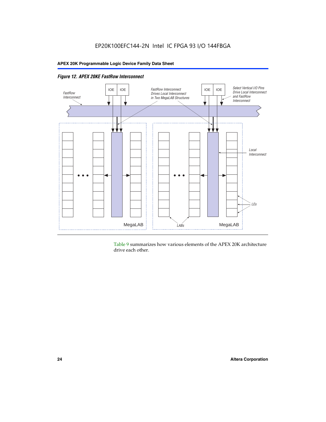

Table 9 summarizes how various elements of the APEX 20K architecture drive each other.

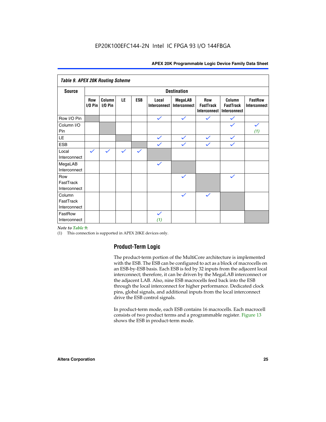| <b>Table 9. APEX 20K Routing Scheme</b> |                  |                      |              |              |                              |                                |                                                |                                                   |                                |
|-----------------------------------------|------------------|----------------------|--------------|--------------|------------------------------|--------------------------------|------------------------------------------------|---------------------------------------------------|--------------------------------|
| <b>Destination</b><br><b>Source</b>     |                  |                      |              |              |                              |                                |                                                |                                                   |                                |
|                                         | Row<br>$1/0$ Pin | Column<br>$I/O P$ in | LE           | <b>ESB</b>   | Local<br><b>Interconnect</b> | <b>MegaLAB</b><br>Interconnect | Row<br><b>FastTrack</b><br><b>Interconnect</b> | Column<br><b>FastTrack</b><br><b>Interconnect</b> | <b>FastRow</b><br>Interconnect |
| Row I/O Pin                             |                  |                      |              |              | $\checkmark$                 | $\checkmark$                   | $\checkmark$                                   | $\checkmark$                                      |                                |
| Column I/O<br>Pin                       |                  |                      |              |              |                              |                                |                                                | $\checkmark$                                      | $\checkmark$<br>(1)            |
| LE                                      |                  |                      |              |              | $\checkmark$                 | $\checkmark$                   | $\checkmark$                                   | $\checkmark$                                      |                                |
| <b>ESB</b>                              |                  |                      |              |              | $\checkmark$                 | $\checkmark$                   | $\checkmark$                                   | $\checkmark$                                      |                                |
| Local<br>Interconnect                   | $\checkmark$     | $\checkmark$         | $\checkmark$ | $\checkmark$ |                              |                                |                                                |                                                   |                                |
| MegaLAB<br>Interconnect                 |                  |                      |              |              | $\checkmark$                 |                                |                                                |                                                   |                                |
| Row<br>FastTrack<br>Interconnect        |                  |                      |              |              |                              | $\checkmark$                   |                                                | $\checkmark$                                      |                                |
| Column<br>FastTrack<br>Interconnect     |                  |                      |              |              |                              | $\checkmark$                   | $\checkmark$                                   |                                                   |                                |
| FastRow<br>Interconnect                 |                  |                      |              |              | $\checkmark$<br>(1)          |                                |                                                |                                                   |                                |

#### *Note to Table 9:*

(1) This connection is supported in APEX 20KE devices only.

# **Product-Term Logic**

The product-term portion of the MultiCore architecture is implemented with the ESB. The ESB can be configured to act as a block of macrocells on an ESB-by-ESB basis. Each ESB is fed by 32 inputs from the adjacent local interconnect; therefore, it can be driven by the MegaLAB interconnect or the adjacent LAB. Also, nine ESB macrocells feed back into the ESB through the local interconnect for higher performance. Dedicated clock pins, global signals, and additional inputs from the local interconnect drive the ESB control signals.

In product-term mode, each ESB contains 16 macrocells. Each macrocell consists of two product terms and a programmable register. Figure 13 shows the ESB in product-term mode.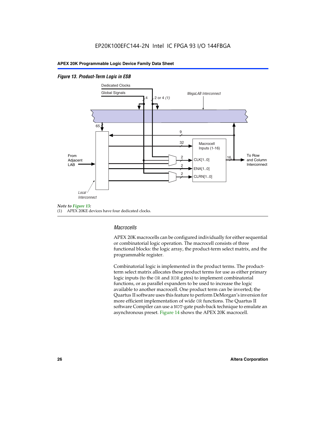## *Figure 13. Product-Term Logic in ESB*



(1) APEX 20KE devices have four dedicated clocks.

# *Macrocells*

APEX 20K macrocells can be configured individually for either sequential or combinatorial logic operation. The macrocell consists of three functional blocks: the logic array, the product-term select matrix, and the programmable register.

Combinatorial logic is implemented in the product terms. The productterm select matrix allocates these product terms for use as either primary logic inputs (to the OR and XOR gates) to implement combinatorial functions, or as parallel expanders to be used to increase the logic available to another macrocell. One product term can be inverted; the Quartus II software uses this feature to perform DeMorgan's inversion for more efficient implementation of wide OR functions. The Quartus II software Compiler can use a NOT-gate push-back technique to emulate an asynchronous preset. Figure 14 shows the APEX 20K macrocell.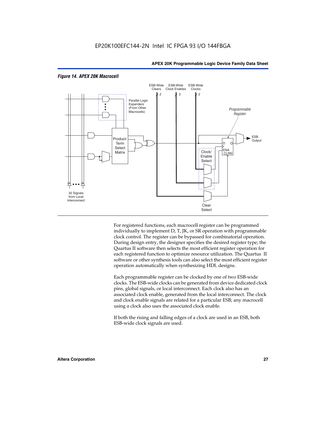

#### *Figure 14. APEX 20K Macrocell*

For registered functions, each macrocell register can be programmed individually to implement D, T, JK, or SR operation with programmable clock control. The register can be bypassed for combinatorial operation. During design entry, the designer specifies the desired register type; the Quartus II software then selects the most efficient register operation for each registered function to optimize resource utilization. The Quartus II software or other synthesis tools can also select the most efficient register operation automatically when synthesizing HDL designs.

Each programmable register can be clocked by one of two ESB-wide clocks. The ESB-wide clocks can be generated from device dedicated clock pins, global signals, or local interconnect. Each clock also has an associated clock enable, generated from the local interconnect. The clock and clock enable signals are related for a particular ESB; any macrocell using a clock also uses the associated clock enable.

If both the rising and falling edges of a clock are used in an ESB, both ESB-wide clock signals are used.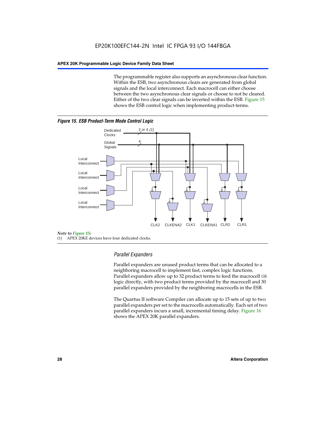The programmable register also supports an asynchronous clear function. Within the ESB, two asynchronous clears are generated from global signals and the local interconnect. Each macrocell can either choose between the two asynchronous clear signals or choose to not be cleared. Either of the two clear signals can be inverted within the ESB. Figure 15 shows the ESB control logic when implementing product-terms.





(1) APEX 20KE devices have four dedicated clocks.

# *Parallel Expanders*

Parallel expanders are unused product terms that can be allocated to a neighboring macrocell to implement fast, complex logic functions. Parallel expanders allow up to 32 product terms to feed the macrocell OR logic directly, with two product terms provided by the macrocell and 30 parallel expanders provided by the neighboring macrocells in the ESB.

The Quartus II software Compiler can allocate up to 15 sets of up to two parallel expanders per set to the macrocells automatically. Each set of two parallel expanders incurs a small, incremental timing delay. Figure 16 shows the APEX 20K parallel expanders.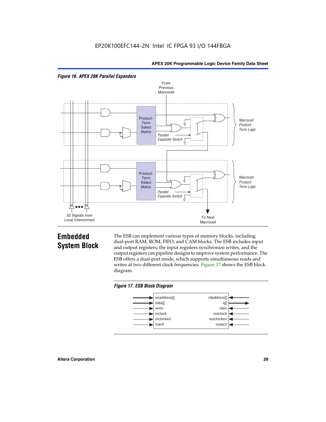



# **Embedded System Block**

The ESB can implement various types of memory blocks, including dual-port RAM, ROM, FIFO, and CAM blocks. The ESB includes input and output registers; the input registers synchronize writes, and the output registers can pipeline designs to improve system performance. The ESB offers a dual-port mode, which supports simultaneous reads and writes at two different clock frequencies. Figure 17 shows the ESB block diagram.



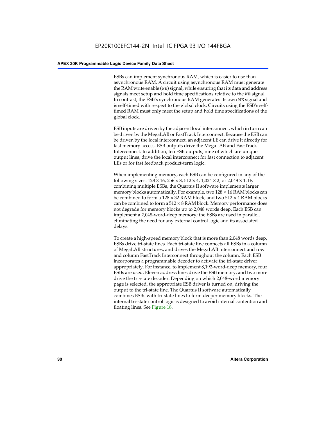ESBs can implement synchronous RAM, which is easier to use than asynchronous RAM. A circuit using asynchronous RAM must generate the RAM write enable (WE) signal, while ensuring that its data and address signals meet setup and hold time specifications relative to the WE signal. In contrast, the ESB's synchronous RAM generates its own WE signal and is self-timed with respect to the global clock. Circuits using the ESB's selftimed RAM must only meet the setup and hold time specifications of the global clock.

ESB inputs are driven by the adjacent local interconnect, which in turn can be driven by the MegaLAB or FastTrack Interconnect. Because the ESB can be driven by the local interconnect, an adjacent LE can drive it directly for fast memory access. ESB outputs drive the MegaLAB and FastTrack Interconnect. In addition, ten ESB outputs, nine of which are unique output lines, drive the local interconnect for fast connection to adjacent LEs or for fast feedback product-term logic.

When implementing memory, each ESB can be configured in any of the following sizes:  $128 \times 16$ ,  $256 \times 8$ ,  $512 \times 4$ ,  $1,024 \times 2$ , or  $2,048 \times 1$ . By combining multiple ESBs, the Quartus II software implements larger memory blocks automatically. For example, two  $128 \times 16$  RAM blocks can be combined to form a  $128 \times 32$  RAM block, and two  $512 \times 4$  RAM blocks can be combined to form a  $512 \times 8$  RAM block. Memory performance does not degrade for memory blocks up to 2,048 words deep. Each ESB can implement a 2,048-word-deep memory; the ESBs are used in parallel, eliminating the need for any external control logic and its associated delays.

To create a high-speed memory block that is more than 2,048 words deep, ESBs drive tri-state lines. Each tri-state line connects all ESBs in a column of MegaLAB structures, and drives the MegaLAB interconnect and row and column FastTrack Interconnect throughout the column. Each ESB incorporates a programmable decoder to activate the tri-state driver appropriately. For instance, to implement 8,192-word-deep memory, four ESBs are used. Eleven address lines drive the ESB memory, and two more drive the tri-state decoder. Depending on which 2,048-word memory page is selected, the appropriate ESB driver is turned on, driving the output to the tri-state line. The Quartus II software automatically combines ESBs with tri-state lines to form deeper memory blocks. The internal tri-state control logic is designed to avoid internal contention and floating lines. See Figure 18.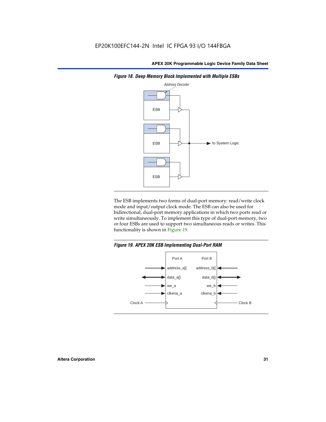

*Figure 18. Deep Memory Block Implemented with Multiple ESBs*

The ESB implements two forms of dual-port memory: read/write clock mode and input/output clock mode. The ESB can also be used for bidirectional, dual-port memory applications in which two ports read or write simultaneously. To implement this type of dual-port memory, two or four ESBs are used to support two simultaneous reads or writes. This functionality is shown in Figure 19.

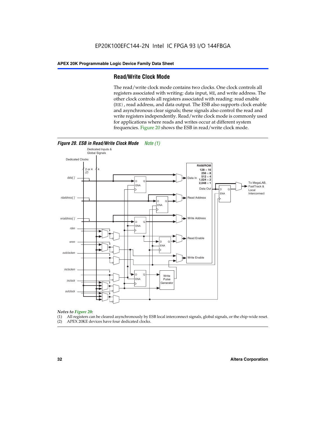# **Read/Write Clock Mode**

The read/write clock mode contains two clocks. One clock controls all registers associated with writing: data input, WE, and write address. The other clock controls all registers associated with reading: read enable (RE), read address, and data output. The ESB also supports clock enable and asynchronous clear signals; these signals also control the read and write registers independently. Read/write clock mode is commonly used for applications where reads and writes occur at different system frequencies. Figure 20 shows the ESB in read/write clock mode.



# *Notes to Figure 20:*

- (1) All registers can be cleared asynchronously by ESB local interconnect signals, global signals, or the chip-wide reset.
- (2) APEX 20KE devices have four dedicated clocks.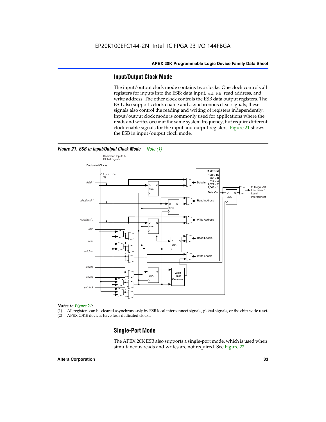# **Input/Output Clock Mode**

The input/output clock mode contains two clocks. One clock controls all registers for inputs into the ESB: data input, WE, RE, read address, and write address. The other clock controls the ESB data output registers. The ESB also supports clock enable and asynchronous clear signals; these signals also control the reading and writing of registers independently. Input/output clock mode is commonly used for applications where the reads and writes occur at the same system frequency, but require different clock enable signals for the input and output registers. Figure 21 shows the ESB in input/output clock mode.



#### *Figure 21. ESB in Input/Output Clock Mode Note (1)*

#### *Notes to Figure 21:*

(1) All registers can be cleared asynchronously by ESB local interconnect signals, global signals, or the chip-wide reset.

(2) APEX 20KE devices have four dedicated clocks.

# **Single-Port Mode**

The APEX 20K ESB also supports a single-port mode, which is used when simultaneous reads and writes are not required. See Figure 22.

#### **Altera Corporation 33**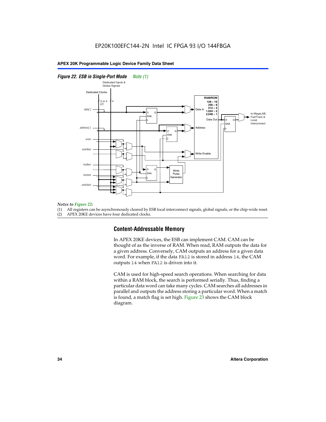# *Figure 22. ESB in Single-Port Mode Note (1)*



#### *Notes to Figure 22:*

(1) All registers can be asynchronously cleared by ESB local interconnect signals, global signals, or the chip-wide reset.

(2) APEX 20KE devices have four dedicated clocks.

# **Content-Addressable Memory**

In APEX 20KE devices, the ESB can implement CAM. CAM can be thought of as the inverse of RAM. When read, RAM outputs the data for a given address. Conversely, CAM outputs an address for a given data word. For example, if the data FA12 is stored in address 14, the CAM outputs 14 when FA12 is driven into it.

CAM is used for high-speed search operations. When searching for data within a RAM block, the search is performed serially. Thus, finding a particular data word can take many cycles. CAM searches all addresses in parallel and outputs the address storing a particular word. When a match is found, a match flag is set high. Figure 23 shows the CAM block diagram.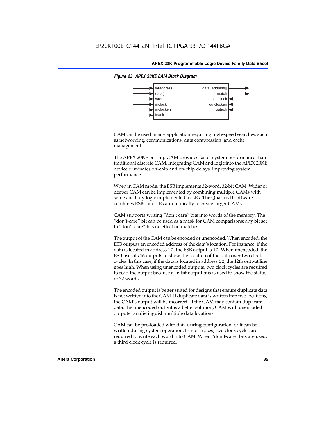

#### *Figure 23. APEX 20KE CAM Block Diagram*

CAM can be used in any application requiring high-speed searches, such as networking, communications, data compression, and cache management.

The APEX 20KE on-chip CAM provides faster system performance than traditional discrete CAM. Integrating CAM and logic into the APEX 20KE device eliminates off-chip and on-chip delays, improving system performance.

When in CAM mode, the ESB implements 32-word, 32-bit CAM. Wider or deeper CAM can be implemented by combining multiple CAMs with some ancillary logic implemented in LEs. The Quartus II software combines ESBs and LEs automatically to create larger CAMs.

CAM supports writing "don't care" bits into words of the memory. The "don't-care" bit can be used as a mask for CAM comparisons; any bit set to "don't-care" has no effect on matches.

The output of the CAM can be encoded or unencoded. When encoded, the ESB outputs an encoded address of the data's location. For instance, if the data is located in address 12, the ESB output is 12. When unencoded, the ESB uses its 16 outputs to show the location of the data over two clock cycles. In this case, if the data is located in address 12, the 12th output line goes high. When using unencoded outputs, two clock cycles are required to read the output because a 16-bit output bus is used to show the status of 32 words.

The encoded output is better suited for designs that ensure duplicate data is not written into the CAM. If duplicate data is written into two locations, the CAM's output will be incorrect. If the CAM may contain duplicate data, the unencoded output is a better solution; CAM with unencoded outputs can distinguish multiple data locations.

CAM can be pre-loaded with data during configuration, or it can be written during system operation. In most cases, two clock cycles are required to write each word into CAM. When "don't-care" bits are used, a third clock cycle is required.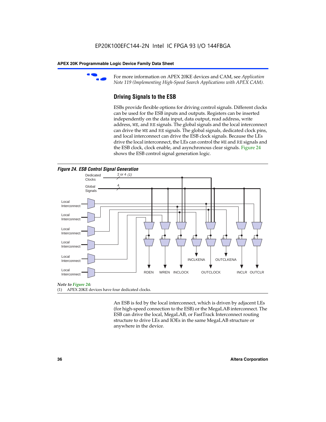

For more information on APEX 20KE devices and CAM, see *Application Note 119 (Implementing High-Speed Search Applications with APEX CAM).*

# **Driving Signals to the ESB**

ESBs provide flexible options for driving control signals. Different clocks can be used for the ESB inputs and outputs. Registers can be inserted independently on the data input, data output, read address, write address, WE, and RE signals. The global signals and the local interconnect can drive the WE and RE signals. The global signals, dedicated clock pins, and local interconnect can drive the ESB clock signals. Because the LEs drive the local interconnect, the LEs can control the WE and RE signals and the ESB clock, clock enable, and asynchronous clear signals. Figure 24 shows the ESB control signal generation logic.





### *Note to Figure 24:*

(1) APEX 20KE devices have four dedicated clocks.

An ESB is fed by the local interconnect, which is driven by adjacent LEs (for high-speed connection to the ESB) or the MegaLAB interconnect. The ESB can drive the local, MegaLAB, or FastTrack Interconnect routing structure to drive LEs and IOEs in the same MegaLAB structure or anywhere in the device.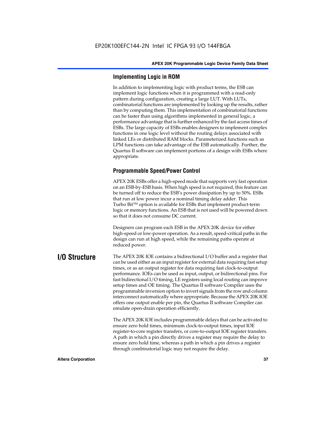# **Implementing Logic in ROM**

In addition to implementing logic with product terms, the ESB can implement logic functions when it is programmed with a read-only pattern during configuration, creating a large LUT. With LUTs, combinatorial functions are implemented by looking up the results, rather than by computing them. This implementation of combinatorial functions can be faster than using algorithms implemented in general logic, a performance advantage that is further enhanced by the fast access times of ESBs. The large capacity of ESBs enables designers to implement complex functions in one logic level without the routing delays associated with linked LEs or distributed RAM blocks. Parameterized functions such as LPM functions can take advantage of the ESB automatically. Further, the Quartus II software can implement portions of a design with ESBs where appropriate.

# **Programmable Speed/Power Control**

APEX 20K ESBs offer a high-speed mode that supports very fast operation on an ESB-by-ESB basis. When high speed is not required, this feature can be turned off to reduce the ESB's power dissipation by up to 50%. ESBs that run at low power incur a nominal timing delay adder. This Turbo  $Bit^{TM}$  option is available for ESBs that implement product-term logic or memory functions. An ESB that is not used will be powered down so that it does not consume DC current.

Designers can program each ESB in the APEX 20K device for either high-speed or low-power operation. As a result, speed-critical paths in the design can run at high speed, while the remaining paths operate at reduced power.

**I/O Structure** The APEX 20K IOE contains a bidirectional I/O buffer and a register that can be used either as an input register for external data requiring fast setup times, or as an output register for data requiring fast clock-to-output performance. IOEs can be used as input, output, or bidirectional pins. For fast bidirectional I/O timing, LE registers using local routing can improve setup times and OE timing. The Quartus II software Compiler uses the programmable inversion option to invert signals from the row and column interconnect automatically where appropriate. Because the APEX 20K IOE offers one output enable per pin, the Quartus II software Compiler can emulate open-drain operation efficiently.

> The APEX 20K IOE includes programmable delays that can be activated to ensure zero hold times, minimum clock-to-output times, input IOE register-to-core register transfers, or core-to-output IOE register transfers. A path in which a pin directly drives a register may require the delay to ensure zero hold time, whereas a path in which a pin drives a register through combinatorial logic may not require the delay.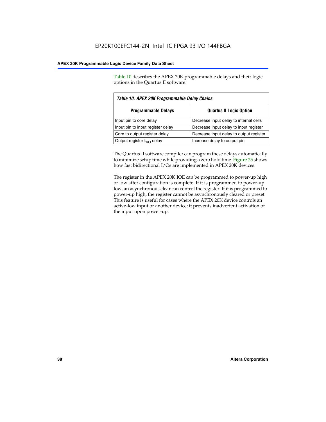Table 10 describes the APEX 20K programmable delays and their logic options in the Quartus II software.

| Table 10. APEX 20K Programmable Delay Chains |                                         |  |  |
|----------------------------------------------|-----------------------------------------|--|--|
| <b>Programmable Delays</b>                   | <b>Quartus II Logic Option</b>          |  |  |
| Input pin to core delay                      | Decrease input delay to internal cells  |  |  |
| Input pin to input register delay            | Decrease input delay to input register  |  |  |
| Core to output register delay                | Decrease input delay to output register |  |  |
| Output register $t_{\rm CO}$ delay           | Increase delay to output pin            |  |  |

The Quartus II software compiler can program these delays automatically to minimize setup time while providing a zero hold time. Figure 25 shows how fast bidirectional I/Os are implemented in APEX 20K devices.

The register in the APEX 20K IOE can be programmed to power-up high or low after configuration is complete. If it is programmed to power-up low, an asynchronous clear can control the register. If it is programmed to power-up high, the register cannot be asynchronously cleared or preset. This feature is useful for cases where the APEX 20K device controls an active-low input or another device; it prevents inadvertent activation of the input upon power-up.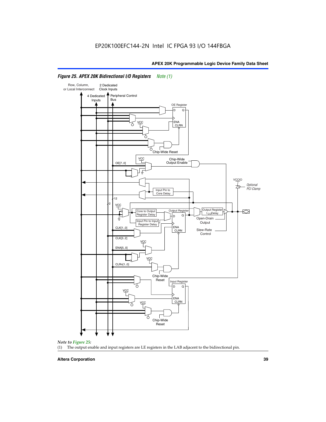

# *Figure 25. APEX 20K Bidirectional I/O Registers Note (1)*



### **Altera Corporation 39**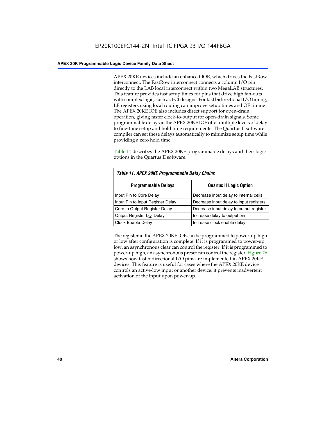APEX 20KE devices include an enhanced IOE, which drives the FastRow interconnect. The FastRow interconnect connects a column I/O pin directly to the LAB local interconnect within two MegaLAB structures. This feature provides fast setup times for pins that drive high fan-outs with complex logic, such as PCI designs. For fast bidirectional I/O timing, LE registers using local routing can improve setup times and OE timing. The APEX 20KE IOE also includes direct support for open-drain operation, giving faster clock-to-output for open-drain signals. Some programmable delays in the APEX 20KE IOE offer multiple levels of delay to fine-tune setup and hold time requirements. The Quartus II software compiler can set these delays automatically to minimize setup time while providing a zero hold time.

Table 11 describes the APEX 20KE programmable delays and their logic options in the Quartus II software.

| Table 11. APEX 20KE Programmable Delay Chains |                                         |  |  |  |
|-----------------------------------------------|-----------------------------------------|--|--|--|
| <b>Programmable Delays</b>                    | <b>Quartus II Logic Option</b>          |  |  |  |
| Input Pin to Core Delay                       | Decrease input delay to internal cells  |  |  |  |
| Input Pin to Input Register Delay             | Decrease input delay to input registers |  |  |  |
| Core to Output Register Delay                 | Decrease input delay to output register |  |  |  |
| Output Register t <sub>CO</sub> Delay         | Increase delay to output pin            |  |  |  |
| Clock Enable Delay                            | Increase clock enable delay             |  |  |  |

The register in the APEX 20KE IOE can be programmed to power-up high or low after configuration is complete. If it is programmed to power-up low, an asynchronous clear can control the register. If it is programmed to power-up high, an asynchronous preset can control the register. Figure 26 shows how fast bidirectional I/O pins are implemented in APEX 20KE devices. This feature is useful for cases where the APEX 20KE device controls an active-low input or another device; it prevents inadvertent activation of the input upon power-up.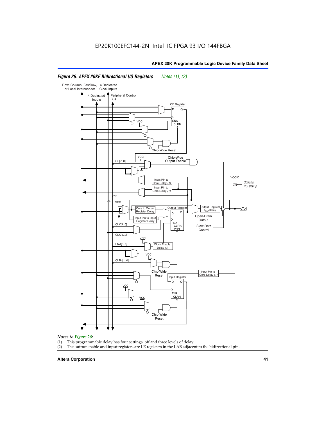### Row, Column, FastRow, 4 Dedicated or Local Interconnect Clock Inputs Peripheral Control 4 Dedicated **Bus** Inputs OE Register D Q ENA VCC CLRN 7 Chip-Wide Reset vcc Chip-Wide Output Enable OE[7..0] VC Input Pin to **Optional** Core Delay (1) PCI Clamp Input Pin to Core Delay (1) 12 4 **VCC** Output Register **Output Registe**  $\approx$ Core to Output | Output Hegister | Durbut Tropieding | Contput Tropieding | Durbut Tropieding | Output Tropied<br>Register Delay | Durbut Tropieding | Contput Tropieding | Contput Tropieding | O t<sub>CO</sub>Delay  $D$  Q ŧ Open-Drain Input Pin to Input **Output** Register Delay ENA CLK[1..0] CLRN/ Slew-Rate PR<sub>N</sub> Control CLK[3..0] VCC ENA[5..0] Clock Enable Delay (1) VCC CLRn[1..0] Chip-Wide Input Pin to Core Delay (1) Reset Input Register D Q VCC .<br>ENA CLRN **VCC** Chip-Wide Reset

# *Figure 26. APEX 20KE Bidirectional I/O Registers Notes (1), (2)*

### *Notes to Figure 26:*

- (1) This programmable delay has four settings: off and three levels of delay.<br>(2) The output enable and input registers are LE registers in the LAB adjacer
- The output enable and input registers are LE registers in the LAB adjacent to the bidirectional pin.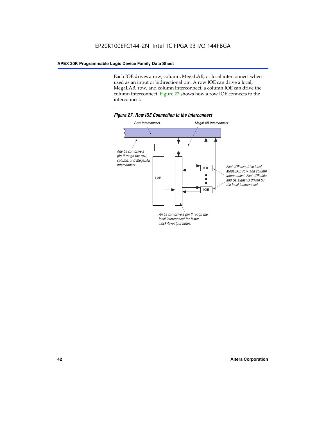Each IOE drives a row, column, MegaLAB, or local interconnect when used as an input or bidirectional pin. A row IOE can drive a local, MegaLAB, row, and column interconnect; a column IOE can drive the column interconnect. Figure 27 shows how a row IOE connects to the interconnect.

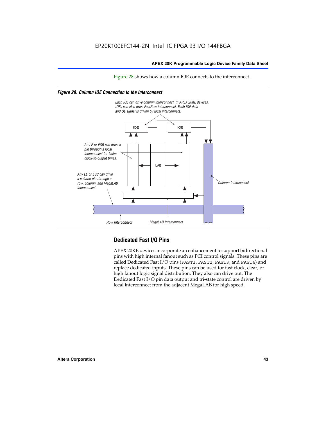Figure 28 shows how a column IOE connects to the interconnect.

# *Figure 28. Column IOE Connection to the Interconnect*



# **Dedicated Fast I/O Pins**

APEX 20KE devices incorporate an enhancement to support bidirectional pins with high internal fanout such as PCI control signals. These pins are called Dedicated Fast I/O pins (FAST1, FAST2, FAST3, and FAST4) and replace dedicated inputs. These pins can be used for fast clock, clear, or high fanout logic signal distribution. They also can drive out. The Dedicated Fast I/O pin data output and tri-state control are driven by local interconnect from the adjacent MegaLAB for high speed.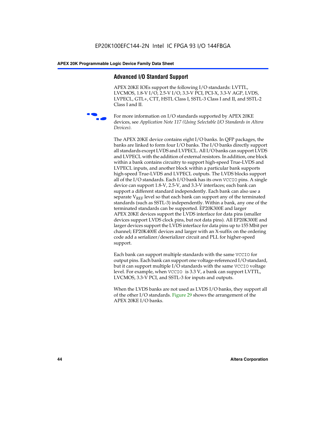# **Advanced I/O Standard Support**

APEX 20KE IOEs support the following I/O standards: LVTTL, LVCMOS, 1.8-V I/O, 2.5-V I/O, 3.3-V PCI, PCI-X, 3.3-V AGP, LVDS, LVPECL, GTL+, CTT, HSTL Class I, SSTL-3 Class I and II, and SSTL-2 Class I and II.



For more information on I/O standards supported by APEX 20KE devices, see *Application Note 117 (Using Selectable I/O Standards in Altera Devices)*.

The APEX 20KE device contains eight I/O banks. In QFP packages, the banks are linked to form four I/O banks. The I/O banks directly support all standards except LVDS and LVPECL. All I/O banks can support LVDS and LVPECL with the addition of external resistors. In addition, one block within a bank contains circuitry to support high-speed True-LVDS and LVPECL inputs, and another block within a particular bank supports high-speed True-LVDS and LVPECL outputs. The LVDS blocks support all of the I/O standards. Each I/O bank has its own VCCIO pins. A single device can support 1.8-V, 2.5-V, and 3.3-V interfaces; each bank can support a different standard independently. Each bank can also use a separate  $V_{\text{REF}}$  level so that each bank can support any of the terminated standards (such as SSTL-3) independently. Within a bank, any one of the terminated standards can be supported. EP20K300E and larger APEX 20KE devices support the LVDS interface for data pins (smaller devices support LVDS clock pins, but not data pins). All EP20K300E and larger devices support the LVDS interface for data pins up to 155 Mbit per channel; EP20K400E devices and larger with an X-suffix on the ordering code add a serializer/deserializer circuit and PLL for higher-speed support.

Each bank can support multiple standards with the same VCCIO for output pins. Each bank can support one voltage-referenced I/O standard, but it can support multiple I/O standards with the same VCCIO voltage level. For example, when VCCIO is 3.3 V, a bank can support LVTTL, LVCMOS, 3.3-V PCI, and SSTL-3 for inputs and outputs.

When the LVDS banks are not used as LVDS I/O banks, they support all of the other I/O standards. Figure 29 shows the arrangement of the APEX 20KE I/O banks.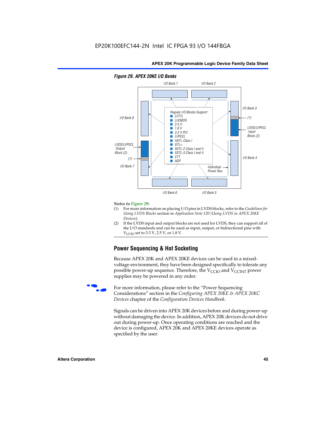

# *Figure 29. APEX 20KE I/O Banks*

### *Notes to Figure 29:*

- (1) For more information on placing I/O pins in LVDS blocks, refer to the *Guidelines for Using LVDS Blocks* section in *Application Note 120 (Using LVDS in APEX 20KE Devices*).
- (2) If the LVDS input and output blocks are not used for LVDS, they can support all of the I/O standards and can be used as input, output, or bidirectional pins with  $V_{\text{C} \cap \text{O}}$  set to 3.3 V, 2.5 V, or 1.8 V.

# **Power Sequencing & Hot Socketing**

Because APEX 20K and APEX 20KE devices can be used in a mixedvoltage environment, they have been designed specifically to tolerate any possible power-up sequence. Therefore, the  $V_{\text{CCIO}}$  and  $V_{\text{CCINT}}$  power supplies may be powered in any order.

For more information, please refer to the "Power Sequencing Considerations" section in the *Configuring APEX 20KE & APEX 20KC Devices* chapter of the *Configuration Devices Handbook*.

Signals can be driven into APEX 20K devices before and during power-up without damaging the device. In addition, APEX 20K devices do not drive out during power-up. Once operating conditions are reached and the device is configured, APEX 20K and APEX 20KE devices operate as specified by the user.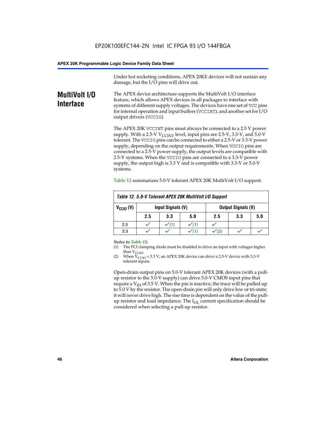Under hot socketing conditions, APEX 20KE devices will not sustain any damage, but the I/O pins will drive out.

# **MultiVolt I/O Interface**

The APEX device architecture supports the MultiVolt I/O interface feature, which allows APEX devices in all packages to interface with systems of different supply voltages. The devices have one set of VCC pins for internal operation and input buffers (VCCINT), and another set for I/O output drivers (VCCIO).

The APEX 20K VCCINT pins must always be connected to a 2.5 V power supply. With a 2.5-V  $V_{\text{CCMT}}$  level, input pins are 2.5-V, 3.3-V, and 5.0-V tolerant. The VCCIO pins can be connected to either a 2.5-V or 3.3-V power supply, depending on the output requirements. When VCCIO pins are connected to a 2.5-V power supply, the output levels are compatible with 2.5-V systems. When the VCCIO pins are connected to a 3.3-V power supply, the output high is 3.3 V and is compatible with 3.3-V or 5.0-V systems.

| Table 12. 5.0-V Tolerant APEX 20K MultiVolt I/O Support |                                                |                  |     |     |     |     |
|---------------------------------------------------------|------------------------------------------------|------------------|-----|-----|-----|-----|
| $V_{\text{CCIO}}(V)$                                    | Input Signals (V)<br><b>Output Signals (V)</b> |                  |     |     |     |     |
|                                                         | 2.5                                            | 3.3              | 5.0 | 2.5 | 3.3 | 5.0 |
| 2.5                                                     |                                                | $\checkmark$ (1) |     |     |     |     |
| 3.3                                                     |                                                |                  |     |     |     |     |

Table 12 summarizes 5.0-V tolerant APEX 20K MultiVolt I/O support.

### *Notes to Table 12:*

- (1) The PCI clamping diode must be disabled to drive an input with voltages higher than  $V_{CCIO}$ .
- (2) When  $V_{CCIO} = 3.3 V$ , an APEX 20K device can drive a 2.5-V device with 3.3-V tolerant inputs.

Open-drain output pins on 5.0-V tolerant APEX 20K devices (with a pullup resistor to the 5.0-V supply) can drive 5.0-V CMOS input pins that require a  $V_{IH}$  of 3.5 V. When the pin is inactive, the trace will be pulled up to 5.0 V by the resistor. The open-drain pin will only drive low or tri-state; it will never drive high. The rise time is dependent on the value of the pullup resistor and load impedance. The  $I_{OI}$  current specification should be considered when selecting a pull-up resistor.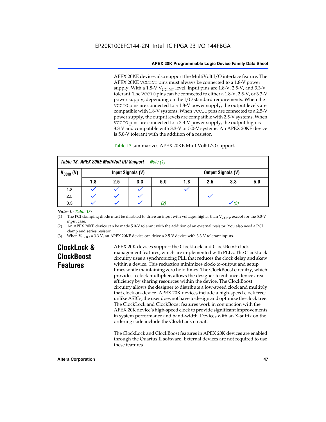APEX 20KE devices also support the MultiVolt I/O interface feature. The APEX 20KE VCCINT pins must always be connected to a 1.8-V power supply. With a 1.8-V  $V_{\text{CCINT}}$  level, input pins are 1.8-V, 2.5-V, and 3.3-V tolerant. The VCCIO pins can be connected to either a 1.8-V, 2.5-V, or 3.3-V power supply, depending on the I/O standard requirements. When the VCCIO pins are connected to a 1.8-V power supply, the output levels are compatible with 1.8-V systems. When VCCIO pins are connected to a 2.5-V power supply, the output levels are compatible with 2.5-V systems. When VCCIO pins are connected to a 3.3-V power supply, the output high is 3.3 V and compatible with 3.3-V or 5.0-V systems. An APEX 20KE device is 5.0-V tolerant with the addition of a resistor.

# Table 13 summarizes APEX 20KE MultiVolt I/O support.

|                      | Table 13. APEX 20KE MultiVolt I/O Support<br>Note (1) |     |                   |     |     |     |                           |     |
|----------------------|-------------------------------------------------------|-----|-------------------|-----|-----|-----|---------------------------|-----|
| $V_{\text{CCIO}}(V)$ |                                                       |     | Input Signals (V) |     |     |     | <b>Output Signals (V)</b> |     |
|                      | 1.8                                                   | 2.5 | 3.3               | 5.0 | 1.8 | 2.5 | 3.3                       | 5.0 |
| 1.8                  |                                                       |     |                   |     |     |     |                           |     |
| 2.5                  |                                                       |     |                   |     |     |     |                           |     |
| 3.3                  |                                                       |     |                   | (2) |     |     | (3)                       |     |

## *Notes to Table 13:*

(1) The PCI clamping diode must be disabled to drive an input with voltages higher than  $V_{CCIO}$ , except for the 5.0-V input case.

(2) An APEX 20KE device can be made 5.0-V tolerant with the addition of an external resistor. You also need a PCI clamp and series resistor.

(3) When  $V_{\text{CCIO}} = 3.3$  V, an APEX 20KE device can drive a 2.5-V device with 3.3-V tolerant inputs.

# **ClockLock & ClockBoost Features**

APEX 20K devices support the ClockLock and ClockBoost clock management features, which are implemented with PLLs. The ClockLock circuitry uses a synchronizing PLL that reduces the clock delay and skew within a device. This reduction minimizes clock-to-output and setup times while maintaining zero hold times. The ClockBoost circuitry, which provides a clock multiplier, allows the designer to enhance device area efficiency by sharing resources within the device. The ClockBoost circuitry allows the designer to distribute a low-speed clock and multiply that clock on-device. APEX 20K devices include a high-speed clock tree; unlike ASICs, the user does not have to design and optimize the clock tree. The ClockLock and ClockBoost features work in conjunction with the APEX 20K device's high-speed clock to provide significant improvements in system performance and band-width. Devices with an X-suffix on the ordering code include the ClockLock circuit.

The ClockLock and ClockBoost features in APEX 20K devices are enabled through the Quartus II software. External devices are not required to use these features.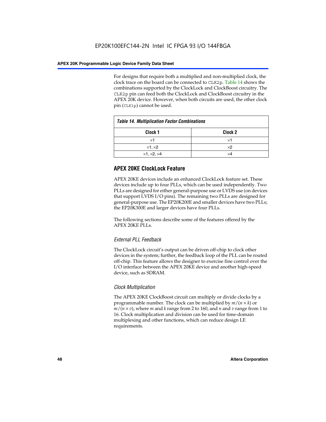For designs that require both a multiplied and non-multiplied clock, the clock trace on the board can be connected to CLK2p. Table 14 shows the combinations supported by the ClockLock and ClockBoost circuitry. The CLK2p pin can feed both the ClockLock and ClockBoost circuitry in the APEX 20K device. However, when both circuits are used, the other clock pin (CLK1p) cannot be used.

| <b>Table 14. Multiplication Factor Combinations</b> |                    |  |
|-----------------------------------------------------|--------------------|--|
| Clock <sub>1</sub>                                  | Clock <sub>2</sub> |  |
| $\times$ 1                                          | ×1                 |  |
| $\times$ 1, $\times$ 2                              | $\times 2$         |  |
| $\times$ 1, $\times$ 2, $\times$ 4                  | ×4                 |  |

# **APEX 20KE ClockLock Feature**

APEX 20KE devices include an enhanced ClockLock feature set. These devices include up to four PLLs, which can be used independently. Two PLLs are designed for either general-purpose use or LVDS use (on devices that support LVDS I/O pins). The remaining two PLLs are designed for general-purpose use. The EP20K200E and smaller devices have two PLLs; the EP20K300E and larger devices have four PLLs.

The following sections describe some of the features offered by the APEX 20KE PLLs.

# *External PLL Feedback*

The ClockLock circuit's output can be driven off-chip to clock other devices in the system; further, the feedback loop of the PLL can be routed off-chip. This feature allows the designer to exercise fine control over the I/O interface between the APEX 20KE device and another high-speed device, such as SDRAM.

# *Clock Multiplication*

The APEX 20KE ClockBoost circuit can multiply or divide clocks by a programmable number. The clock can be multiplied by *m*/(*n* × *k*) or  $m/(n \times v)$ , where *m* and *k* range from 2 to 160, and *n* and *v* range from 1 to 16. Clock multiplication and division can be used for time-domain multiplexing and other functions, which can reduce design LE requirements.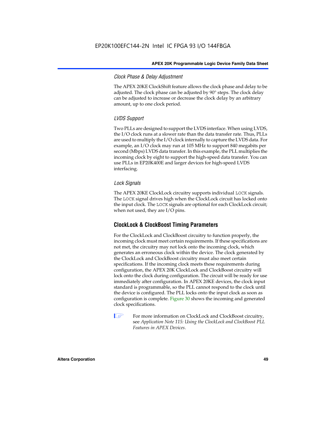# *Clock Phase & Delay Adjustment*

The APEX 20KE ClockShift feature allows the clock phase and delay to be adjusted. The clock phase can be adjusted by 90° steps. The clock delay can be adjusted to increase or decrease the clock delay by an arbitrary amount, up to one clock period.

# *LVDS Support*

Two PLLs are designed to support the LVDS interface. When using LVDS, the I/O clock runs at a slower rate than the data transfer rate. Thus, PLLs are used to multiply the I/O clock internally to capture the LVDS data. For example, an I/O clock may run at 105 MHz to support 840 megabits per second (Mbps) LVDS data transfer. In this example, the PLL multiplies the incoming clock by eight to support the high-speed data transfer. You can use PLLs in EP20K400E and larger devices for high-speed LVDS interfacing.

# *Lock Signals*

The APEX 20KE ClockLock circuitry supports individual LOCK signals. The LOCK signal drives high when the ClockLock circuit has locked onto the input clock. The LOCK signals are optional for each ClockLock circuit; when not used, they are I/O pins.

# **ClockLock & ClockBoost Timing Parameters**

For the ClockLock and ClockBoost circuitry to function properly, the incoming clock must meet certain requirements. If these specifications are not met, the circuitry may not lock onto the incoming clock, which generates an erroneous clock within the device. The clock generated by the ClockLock and ClockBoost circuitry must also meet certain specifications. If the incoming clock meets these requirements during configuration, the APEX 20K ClockLock and ClockBoost circuitry will lock onto the clock during configuration. The circuit will be ready for use immediately after configuration. In APEX 20KE devices, the clock input standard is programmable, so the PLL cannot respond to the clock until the device is configured. The PLL locks onto the input clock as soon as configuration is complete. Figure 30 shows the incoming and generated clock specifications.

 $\mathbb{I} \mathcal{F}$  For more information on ClockLock and ClockBoost circuitry, see *Application Note 115: Using the ClockLock and ClockBoost PLL Features in APEX Devices*.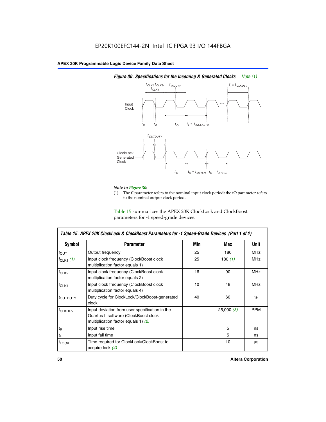

# *Figure 30. Specifications for the Incoming & Generated Clocks Note (1)*

# *Note to Figure 30:*

The tI parameter refers to the nominal input clock period; the tO parameter refers to the nominal output clock period.

Table 15 summarizes the APEX 20K ClockLock and ClockBoost parameters for -1 speed-grade devices.

| <b>Symbol</b>     | <b>Parameter</b>                                                                                                                 | Min | Max       | <b>Unit</b> |
|-------------------|----------------------------------------------------------------------------------------------------------------------------------|-----|-----------|-------------|
| $f_{OUT}$         | Output frequency                                                                                                                 | 25  | 180       | MHz         |
| $f_{CLK1}$ $(1)$  | Input clock frequency (ClockBoost clock<br>multiplication factor equals 1)                                                       | 25  | 180 $(1)$ | <b>MHz</b>  |
| $f_{CLK2}$        | Input clock frequency (ClockBoost clock<br>multiplication factor equals 2)                                                       | 16  | 90        | <b>MHz</b>  |
| $f_{CLK4}$        | Input clock frequency (ClockBoost clock<br>multiplication factor equals 4)                                                       | 10  | 48        | <b>MHz</b>  |
| toutputy          | Duty cycle for ClockLock/ClockBoost-generated<br>clock                                                                           | 40  | 60        | %           |
| <b>f</b> CLKDEV   | Input deviation from user specification in the<br>Quartus II software (ClockBoost clock<br>multiplication factor equals 1) $(2)$ |     | 25,000(3) | <b>PPM</b>  |
| $t_{\mathsf{R}}$  | Input rise time                                                                                                                  |     | 5         | ns          |
| $t_{\mathsf{F}}$  | Input fall time                                                                                                                  |     | 5         | ns          |
| <sup>t</sup> LOCK | Time required for ClockLock/ClockBoost to<br>acquire lock (4)                                                                    |     | 10        | μs          |

 $\mathsf I$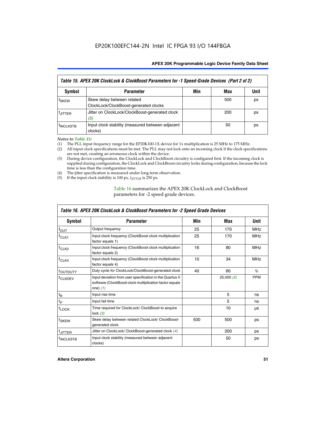| Table 15. APEX 20K ClockLock & ClockBoost Parameters for -1 Speed-Grade Devices (Part 2 of 2) |                                                                     |     |     |      |
|-----------------------------------------------------------------------------------------------|---------------------------------------------------------------------|-----|-----|------|
| <b>Symbol</b>                                                                                 | <b>Parameter</b>                                                    | Min | Max | Unit |
| t <sub>SKEW</sub>                                                                             | Skew delay between related<br>ClockLock/ClockBoost-generated clocks |     | 500 | ps   |
| <b>UITTER</b>                                                                                 | Jitter on ClockLock/ClockBoost-generated clock<br>(5)               |     | 200 | ps   |
| <b>INCLKSTB</b>                                                                               | Input clock stability (measured between adjacent<br>clocks)         |     | 50  | ps   |

*Notes to Table 15:*

- (1) The PLL input frequency range for the EP20K100-1X device for 1x multiplication is 25 MHz to 175 MHz.
- (2) All input clock specifications must be met. The PLL may not lock onto an incoming clock if the clock specifications are not met, creating an erroneous clock within the device.
- (3) During device configuration, the ClockLock and ClockBoost circuitry is configured first. If the incoming clock is supplied during configuration, the ClockLock and ClockBoost circuitry locks during configuration, because the lock time is less than the configuration time.
- (4) The jitter specification is measured under long-term observation.
- (5) If the input clock stability is 100 ps,  $t_{\text{JITTER}}$  is 250 ps.

# Table 16 summarizes the APEX 20K ClockLock and ClockBoost parameters for -2 speed grade devices.

| Symbol                                                                                | <b>Parameter</b>                                                                                                                   | Min | Max       | Unit       |
|---------------------------------------------------------------------------------------|------------------------------------------------------------------------------------------------------------------------------------|-----|-----------|------------|
| $f_{OUT}$                                                                             | Output frequency                                                                                                                   | 25  | 170       | <b>MHz</b> |
| <sup>T</sup> CLK1                                                                     | Input clock frequency (ClockBoost clock multiplication<br>factor equals 1)                                                         | 25  | 170       | <b>MHz</b> |
| $f_{CLK2}$                                                                            | Input clock frequency (ClockBoost clock multiplication<br>factor equals 2)                                                         |     | 80        | <b>MHz</b> |
| Input clock frequency (ClockBoost clock multiplication<br>$tCLK4$<br>factor equals 4) |                                                                                                                                    | 10  | 34        | <b>MHz</b> |
| <sup>t</sup> outduty                                                                  | Duty cycle for ClockLock/ClockBoost-generated clock                                                                                | 40  | 60        | $\%$       |
| <sup>T</sup> CLKDEV                                                                   | Input deviation from user specification in the Quartus II<br>software (ClockBoost clock multiplication factor equals<br>one) $(1)$ |     | 25,000(2) | <b>PPM</b> |
| $t_{\mathsf{R}}$                                                                      | Input rise time                                                                                                                    |     | 5         | ns         |
| $t_F$                                                                                 | Input fall time                                                                                                                    |     | 5         | ns         |
| $t_{\text{LOCK}}$                                                                     | Time required for ClockLock/ ClockBoost to acquire<br>lock $(3)$                                                                   |     | 10        | μs         |
| t <sub>SKEW</sub>                                                                     | Skew delay between related ClockLock/ ClockBoost-<br>generated clock                                                               | 500 | 500       | ps         |
| t <sub>JITTER</sub>                                                                   | Jitter on ClockLock/ ClockBoost-generated clock (4)                                                                                |     | 200       | ps         |
| <sup>I</sup> INCLKSTB                                                                 | Input clock stability (measured between adjacent<br>clocks)                                                                        |     | 50        | ps         |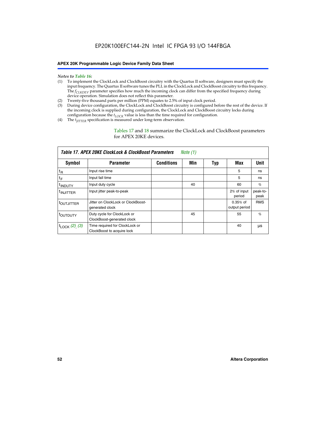- *Notes to Table 16:* (1) To implement the ClockLock and ClockBoost circuitry with the Quartus II software, designers must specify the input frequency. The Quartus II software tunes the PLL in the ClockLock and ClockBoost circuitry to this frequency. The *f<sub>CLKDEV</sub>* parameter specifies how much the incoming clock can differ from the specified frequency during device operation. Simulation does not reflect this parameter.
- (2) Twenty-five thousand parts per million (PPM) equates to 2.5% of input clock period.
- (3) During device configuration, the ClockLock and ClockBoost circuitry is configured before the rest of the device. If the incoming clock is supplied during configuration, the ClockLock and ClockBoost circuitry locks during configuration because the  $t_{LOCK}$  value is less than the time required for configuration.
- (4) The  $t_{\text{ITTTER}}$  specification is measured under long-term observation.

Tables 17 and 18 summarize the ClockLock and ClockBoost parameters for APEX 20KE devices.

|                          | Table 17. APEX 20KE ClockLock & ClockBoost Parameters        |                   | Note $(1)$ |     |                             |                  |
|--------------------------|--------------------------------------------------------------|-------------------|------------|-----|-----------------------------|------------------|
| <b>Symbol</b>            | <b>Parameter</b>                                             | <b>Conditions</b> | Min        | Typ | Max                         | <b>Unit</b>      |
| $t_{R}$                  | Input rise time                                              |                   |            |     | 5                           | ns               |
| tF                       | Input fall time                                              |                   |            |     | 5                           | ns               |
| <sup>t</sup> INDUTY      | Input duty cycle                                             |                   | 40         |     | 60                          | %                |
| <sup>t</sup> INJITTER    | Input jitter peak-to-peak                                    |                   |            |     | 2% of input<br>period       | peak-to-<br>peak |
| <sup>t</sup> OUTJITTER   | Jitter on ClockLock or ClockBoost-<br>generated clock        |                   |            |     | $0.35%$ of<br>output period | <b>RMS</b>       |
| toutbuty                 | Duty cycle for ClockLock or<br>ClockBoost-generated clock    |                   | 45         |     | 55                          | $\%$             |
| $t_{\text{LOCK}}(2)$ (3) | Time required for ClockLock or<br>ClockBoost to acquire lock |                   |            |     | 40                          | μs               |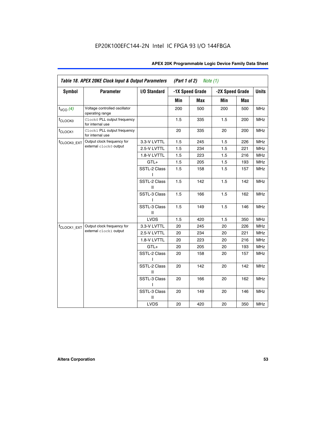| <b>Symbol</b>           | <b>Parameter</b>                                 | I/O Standard      |     | -1X Speed Grade | -2X Speed Grade |     | <b>Units</b> |
|-------------------------|--------------------------------------------------|-------------------|-----|-----------------|-----------------|-----|--------------|
|                         |                                                  |                   |     |                 |                 |     |              |
|                         |                                                  |                   | Min | Max             | Min             | Max |              |
| $f_{VCO}$ $(4)$         | Voltage controlled oscillator<br>operating range |                   | 200 | 500             | 200             | 500 | <b>MHz</b>   |
| f <sub>CLOCK0</sub>     | Clock0 PLL output frequency<br>for internal use  |                   | 1.5 | 335             | 1.5             | 200 | MHz          |
| f <sub>CLOCK1</sub>     | Clock1 PLL output frequency<br>for internal use  |                   | 20  | 335             | 20              | 200 | MHz          |
| f <sub>CLOCK0_EXT</sub> | Output clock frequency for                       | 3.3-V LVTTL       | 1.5 | 245             | 1.5             | 226 | <b>MHz</b>   |
|                         | external clock0 output                           | 2.5-V LVTTL       | 1.5 | 234             | 1.5             | 221 | <b>MHz</b>   |
|                         |                                                  | 1.8-V LVTTL       | 1.5 | 223             | 1.5             | 216 | <b>MHz</b>   |
|                         |                                                  | $GTL+$            | 1.5 | 205             | 1.5             | 193 | <b>MHz</b>   |
|                         |                                                  | SSTL-2 Class<br>L | 1.5 | 158             | 1.5             | 157 | <b>MHz</b>   |
|                         |                                                  | SSTL-2 Class<br>Ш | 1.5 | 142             | 1.5             | 142 | <b>MHz</b>   |
|                         |                                                  | SSTL-3 Class<br>I | 1.5 | 166             | 1.5             | 162 | <b>MHz</b>   |
|                         |                                                  | SSTL-3 Class<br>Ш | 1.5 | 149             | 1.5             | 146 | <b>MHz</b>   |
|                         |                                                  | <b>LVDS</b>       | 1.5 | 420             | 1.5             | 350 | <b>MHz</b>   |
| f <sub>CLOCK1_EXT</sub> | Output clock frequency for                       | 3.3-V LVTTL       | 20  | 245             | 20              | 226 | <b>MHz</b>   |
|                         | external clock1 output                           | 2.5-V LVTTL       | 20  | 234             | 20              | 221 | <b>MHz</b>   |
|                         |                                                  | 1.8-V LVTTL       | 20  | 223             | 20              | 216 | <b>MHz</b>   |
|                         |                                                  | $GTL+$            | 20  | 205             | 20              | 193 | MHz          |
|                         |                                                  | SSTL-2 Class      | 20  | 158             | 20              | 157 | <b>MHz</b>   |
|                         |                                                  | SSTL-2 Class<br>Ш | 20  | 142             | 20              | 142 | <b>MHz</b>   |
|                         |                                                  | SSTL-3 Class      | 20  | 166             | 20              | 162 | <b>MHz</b>   |
|                         |                                                  | SSTL-3 Class<br>Ш | 20  | 149             | 20              | 146 | <b>MHz</b>   |
|                         |                                                  | <b>LVDS</b>       | 20  | 420             | 20              | 350 | MHz          |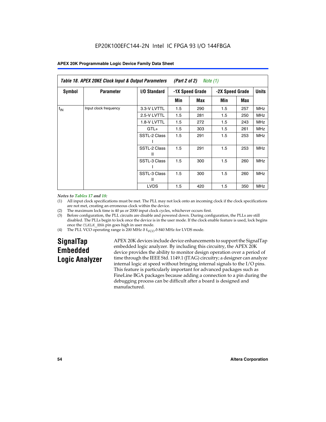| Table 18. APEX 20KE Clock Input & Output Parameters<br><i>(Part 2 of 2)</i><br>Note (1) |                       |                     |                 |     |     |     |                 |  |              |
|-----------------------------------------------------------------------------------------|-----------------------|---------------------|-----------------|-----|-----|-----|-----------------|--|--------------|
| <b>Symbol</b>                                                                           | <b>Parameter</b>      | <b>I/O Standard</b> | -1X Speed Grade |     |     |     | -2X Speed Grade |  | <b>Units</b> |
|                                                                                         |                       |                     | Min             | Max | Min | Max |                 |  |              |
| $f_{IN}$                                                                                | Input clock frequency | 3.3-V LVTTL         | 1.5             | 290 | 1.5 | 257 | <b>MHz</b>      |  |              |
|                                                                                         |                       | 2.5-V LVTTL         | 1.5             | 281 | 1.5 | 250 | <b>MHz</b>      |  |              |
|                                                                                         |                       | 1.8-V LVTTL         | 1.5             | 272 | 1.5 | 243 | <b>MHz</b>      |  |              |
|                                                                                         |                       | $GTL+$              | 1.5             | 303 | 1.5 | 261 | <b>MHz</b>      |  |              |
|                                                                                         |                       | SSTL-2 Class        | 1.5             | 291 | 1.5 | 253 | <b>MHz</b>      |  |              |
|                                                                                         |                       | SSTL-2 Class<br>Ш   | 1.5             | 291 | 1.5 | 253 | <b>MHz</b>      |  |              |
|                                                                                         |                       | SSTL-3 Class        | 1.5             | 300 | 1.5 | 260 | <b>MHz</b>      |  |              |
|                                                                                         |                       | SSTL-3 Class<br>Ш   | 1.5             | 300 | 1.5 | 260 | <b>MHz</b>      |  |              |
|                                                                                         |                       | <b>LVDS</b>         | 1.5             | 420 | 1.5 | 350 | <b>MHz</b>      |  |              |

### *Notes to Tables 17 and 18:*

(1) All input clock specifications must be met. The PLL may not lock onto an incoming clock if the clock specifications are not met, creating an erroneous clock within the device.

- (2) The maximum lock time is 40 µs or 2000 input clock cycles, whichever occurs first.
- (3) Before configuration, the PLL circuits are disable and powered down. During configuration, the PLLs are still disabled. The PLLs begin to lock once the device is in the user mode. If the clock enable feature is used, lock begins once the CLKLK\_ENA pin goes high in user mode.
- (4) The PLL VCO operating range is 200 MHz  $\eth$  f<sub>VCO</sub>  $\eth$  840 MHz for LVDS mode.

# **SignalTap Embedded Logic Analyzer**

APEX 20K devices include device enhancements to support the SignalTap embedded logic analyzer. By including this circuitry, the APEX 20K device provides the ability to monitor design operation over a period of time through the IEEE Std. 1149.1 (JTAG) circuitry; a designer can analyze internal logic at speed without bringing internal signals to the I/O pins. This feature is particularly important for advanced packages such as FineLine BGA packages because adding a connection to a pin during the debugging process can be difficult after a board is designed and manufactured.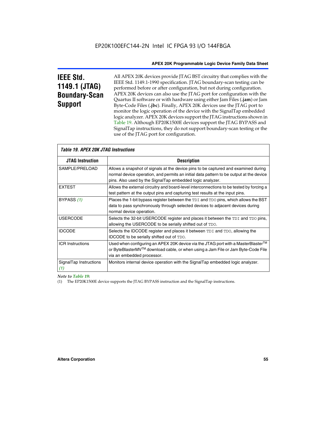# **IEEE Std. 1149.1 (JTAG) Boundary-Scan Support**

All APEX 20K devices provide JTAG BST circuitry that complies with the IEEE Std. 1149.1-1990 specification. JTAG boundary-scan testing can be performed before or after configuration, but not during configuration. APEX 20K devices can also use the JTAG port for configuration with the Quartus II software or with hardware using either Jam Files (**.jam**) or Jam Byte-Code Files (**.jbc**). Finally, APEX 20K devices use the JTAG port to monitor the logic operation of the device with the SignalTap embedded logic analyzer. APEX 20K devices support the JTAG instructions shown in Table 19. Although EP20K1500E devices support the JTAG BYPASS and SignalTap instructions, they do not support boundary-scan testing or the use of the JTAG port for configuration.

| <i><b>Table 19. APEX 20K JTAG Instructions</b></i> |                                                                                                                                                                                                                                            |
|----------------------------------------------------|--------------------------------------------------------------------------------------------------------------------------------------------------------------------------------------------------------------------------------------------|
| <b>JTAG Instruction</b>                            | <b>Description</b>                                                                                                                                                                                                                         |
| SAMPLE/PRELOAD                                     | Allows a snapshot of signals at the device pins to be captured and examined during<br>normal device operation, and permits an initial data pattern to be output at the device<br>pins. Also used by the SignalTap embedded logic analyzer. |
| <b>EXTEST</b>                                      | Allows the external circuitry and board-level interconnections to be tested by forcing a<br>test pattern at the output pins and capturing test results at the input pins.                                                                  |
| BYPASS (1)                                         | Places the 1-bit bypass register between the TDI and TDO pins, which allows the BST<br>data to pass synchronously through selected devices to adjacent devices during<br>normal device operation.                                          |
| <b>USERCODE</b>                                    | Selects the 32-bit USERCODE register and places it between the TDI and TDO pins,<br>allowing the USERCODE to be serially shifted out of TDO.                                                                                               |
| <b>IDCODE</b>                                      | Selects the IDCODE register and places it between TDI and TDO, allowing the<br>IDCODE to be serially shifted out of TDO.                                                                                                                   |
| <b>ICR Instructions</b>                            | Used when configuring an APEX 20K device via the JTAG port with a MasterBlaster™<br>or ByteBlasterMV™ download cable, or when using a Jam File or Jam Byte-Code File<br>via an embedded processor.                                         |
| SignalTap Instructions<br>(1)                      | Monitors internal device operation with the SignalTap embedded logic analyzer.                                                                                                                                                             |

 $\overline{\phantom{a}}$ 

# *Note to Table 19:*

(1) The EP20K1500E device supports the JTAG BYPASS instruction and the SignalTap instructions.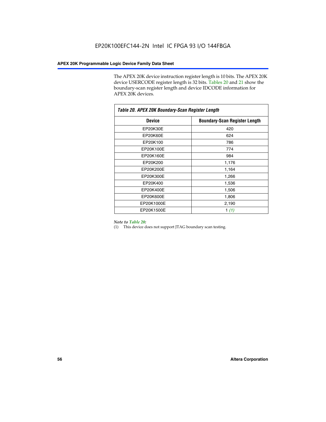The APEX 20K device instruction register length is 10 bits. The APEX 20K device USERCODE register length is 32 bits. Tables 20 and 21 show the boundary-scan register length and device IDCODE information for APEX 20K devices.

| Table 20. APEX 20K Boundary-Scan Register Length |                                      |  |  |  |
|--------------------------------------------------|--------------------------------------|--|--|--|
| <b>Device</b>                                    | <b>Boundary-Scan Register Length</b> |  |  |  |
| EP20K30E                                         | 420                                  |  |  |  |
| EP20K60E                                         | 624                                  |  |  |  |
| EP20K100                                         | 786                                  |  |  |  |
| EP20K100E                                        | 774                                  |  |  |  |
| EP20K160E                                        | 984                                  |  |  |  |
| EP20K200                                         | 1,176                                |  |  |  |
| EP20K200E                                        | 1,164                                |  |  |  |
| EP20K300E                                        | 1,266                                |  |  |  |
| EP20K400                                         | 1,536                                |  |  |  |
| EP20K400E                                        | 1,506                                |  |  |  |
| EP20K600E                                        | 1,806                                |  |  |  |
| EP20K1000E                                       | 2,190                                |  |  |  |
| EP20K1500E                                       | 1 $(1)$                              |  |  |  |

### *Note to Table 20:*

(1) This device does not support JTAG boundary scan testing.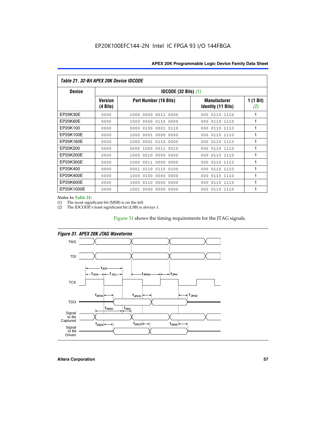| Table 21. 32-Bit APEX 20K Device IDCODE |                                          |                              |                                           |                  |  |  |
|-----------------------------------------|------------------------------------------|------------------------------|-------------------------------------------|------------------|--|--|
| <b>Device</b>                           | <b>IDCODE (32 Bits) <math>(1)</math></b> |                              |                                           |                  |  |  |
|                                         | <b>Version</b><br>(4 Bits)               | Part Number (16 Bits)        | <b>Manufacturer</b><br>Identity (11 Bits) | 1 (1 Bit)<br>(2) |  |  |
| EP20K30E                                | 0000                                     | 0000 0011 0000<br>1000       | 0110 1110<br>000                          | 1                |  |  |
| EP20K60E                                | 0000                                     | 0000<br>0110<br>0000<br>1000 | 0110 1110<br>000                          | 1                |  |  |
| EP20K100                                | 0000                                     | 0000<br>0100<br>0001 0110    | 000<br>0110 1110                          | 1                |  |  |
| EP20K100E                               | 0000                                     | 0001 0000<br>0000<br>1000    | 0110 1110<br>000                          | 1                |  |  |
| EP20K160E                               | 0000                                     | 0001 0110<br>0000<br>1000    | 0110 1110<br>000                          | 1                |  |  |
| EP20K200                                | 0000                                     | 0000<br>1000<br>0011 0010    | 0110 1110<br>000                          | 1                |  |  |
| EP20K200E                               | 0000                                     | 0010<br>0000<br>0000<br>1000 | 0110 1110<br>000                          | 1                |  |  |
| EP20K300E                               | 0000                                     | 0011 0000 0000<br>1000       | 0110 1110<br>000                          | 1                |  |  |
| EP20K400                                | 0000                                     | 0110<br>0110<br>0100<br>0001 | 0110 1110<br>000                          | 1                |  |  |
| EP20K400E                               | 0000                                     | 0100<br>0000<br>0000<br>1000 | 0110 1110<br>000                          | 1                |  |  |
| EP20K600E                               | 0000                                     | 0110<br>0000<br>0000<br>1000 | 0110 1110<br>000                          | 1                |  |  |
| EP20K1000E                              | 0000                                     | 0000<br>0000<br>0000<br>1001 | 000<br>0110 1110                          | 1                |  |  |

*Notes to Table 21:*

The most significant bit (MSB) is on the left.

(2) The IDCODE's least significant bit (LSB) is always 1.

# Figure 31 shows the timing requirements for the JTAG signals.





**Altera Corporation 57**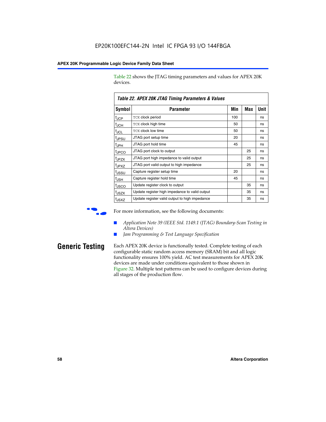Table 22 shows the JTAG timing parameters and values for APEX 20K devices.

|                   | TADIE ZZ. AFEA ZUN JTAU TIIIIIIU FAIAIIIEIEIS & VAIUES |     |            |      |  |  |  |
|-------------------|--------------------------------------------------------|-----|------------|------|--|--|--|
| Symbol            | Parameter                                              | Min | <b>Max</b> | Unit |  |  |  |
| $t_{JCP}$         | TCK clock period                                       | 100 |            | ns   |  |  |  |
| $t_{JCH}$         | TCK clock high time                                    | 50  |            | ns   |  |  |  |
| tjcl              | TCK clock low time                                     | 50  |            | ns   |  |  |  |
| t <sub>JPSU</sub> | JTAG port setup time                                   | 20  |            | ns   |  |  |  |
| t <sub>JPH</sub>  | JTAG port hold time                                    | 45  |            | ns   |  |  |  |
| <sup>t</sup> JPCO | JTAG port clock to output                              |     | 25         | ns   |  |  |  |
| t <sub>JPZX</sub> | JTAG port high impedance to valid output               |     | 25         | ns   |  |  |  |
| t <sub>JPXZ</sub> | JTAG port valid output to high impedance               |     | 25         | ns   |  |  |  |
| tussu             | Capture register setup time                            | 20  |            | ns   |  |  |  |
| $t_{\sf JSH}$     | Capture register hold time                             | 45  |            | ns   |  |  |  |
| t <sub>JSCO</sub> | Update register clock to output                        |     | 35         | ns   |  |  |  |
| t <sub>JSZX</sub> | Update register high impedance to valid output         |     | 35         | ns   |  |  |  |
| t <sub>JSXZ</sub> | Update register valid output to high impedance         |     | 35         | ns   |  |  |  |

*Table 22. APEX 20K JTAG Timing Parameters & Values*

For more information, see the following documents:

- *Application Note 39 (IEEE Std. 1149.1 (JTAG) Boundary-Scan Testing in Altera Devices)*
- Jam Programming & Test Language Specification

**Generic Testing** Each APEX 20K device is functionally tested. Complete testing of each configurable static random access memory (SRAM) bit and all logic functionality ensures 100% yield. AC test measurements for APEX 20K devices are made under conditions equivalent to those shown in Figure 32. Multiple test patterns can be used to configure devices during all stages of the production flow.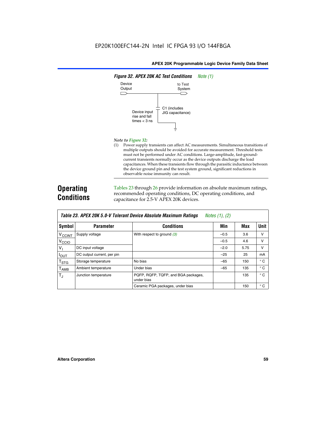

### *Note to Figure 32:*

(1) Power supply transients can affect AC measurements. Simultaneous transitions of multiple outputs should be avoided for accurate measurement. Threshold tests must not be performed under AC conditions. Large-amplitude, fast-groundcurrent transients normally occur as the device outputs discharge the load capacitances. When these transients flow through the parasitic inductance between the device ground pin and the test system ground, significant reductions in observable noise immunity can result.

# **Operating Conditions**

Tables 23 through 26 provide information on absolute maximum ratings, recommended operating conditions, DC operating conditions, and capacitance for 2.5-V APEX 20K devices.

|                           | Table Lo. At LA Lon 0.0 V Toletant Device Absolute maximum hathlys<br>110100 (11, 14) |                                                   |        |      |              |  |  |
|---------------------------|---------------------------------------------------------------------------------------|---------------------------------------------------|--------|------|--------------|--|--|
| Symbol                    | <b>Parameter</b>                                                                      | <b>Conditions</b>                                 | Min    | Max  | <b>Unit</b>  |  |  |
| <b>V<sub>CCINT</sub></b>  | Supply voltage                                                                        | With respect to ground $(3)$                      | $-0.5$ | 3.6  | v            |  |  |
| V <sub>CCIO</sub>         |                                                                                       |                                                   | $-0.5$ | 4.6  | v            |  |  |
| $V_{\parallel}$           | DC input voltage                                                                      |                                                   | $-2.0$ | 5.75 | v            |  |  |
| $I_{\text{OUT}}$          | DC output current, per pin                                                            |                                                   | $-25$  | 25   | mA           |  |  |
| $\mathsf{T}_{\text{STG}}$ | Storage temperature                                                                   | No bias                                           | $-65$  | 150  | $^{\circ}$ C |  |  |
| Т <sub>АМВ</sub>          | Ambient temperature                                                                   | Under bias                                        | $-65$  | 135  | $^{\circ}$ C |  |  |
| $T_{\rm J}$               | Junction temperature                                                                  | PQFP, RQFP, TQFP, and BGA packages,<br>under bias |        | 135  | $^{\circ}$ C |  |  |
|                           |                                                                                       | Ceramic PGA packages, under bias                  |        | 150  | $^{\circ}$ C |  |  |

| Table 23. APEX 20K 5.0-V Tolerant Device Absolute Maximum Ratings $Notes (1), (2)$ |  |
|------------------------------------------------------------------------------------|--|
|------------------------------------------------------------------------------------|--|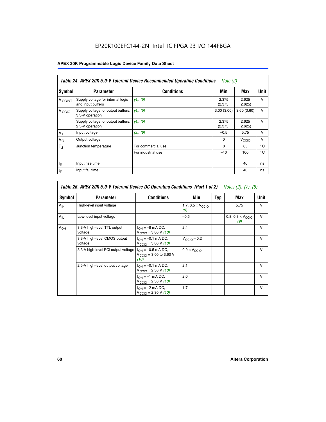# EP20K100EFC144-2N Intel IC FPGA 93 I/O 144FBGA

# **APEX 20K Programmable Logic Device Family Data Sheet**

|                          | Table 24. APEX 20K 5.0-V Tolerant Device Recommended Operating Conditions<br>Note $(2)$ |                    |                  |                   |              |  |
|--------------------------|-----------------------------------------------------------------------------------------|--------------------|------------------|-------------------|--------------|--|
| Symbol                   | <b>Parameter</b>                                                                        | <b>Conditions</b>  | Min              | Max               | <b>Unit</b>  |  |
| <b>V<sub>CCINT</sub></b> | Supply voltage for internal logic<br>and input buffers                                  | $(4)$ , $(5)$      | 2.375<br>(2.375) | 2.625<br>(2.625)  | $\vee$       |  |
| V <sub>CCIO</sub>        | Supply voltage for output buffers,<br>3.3-V operation                                   | (4), (5)           | 3.00(3.00)       | 3.60(3.60)        | $\vee$       |  |
|                          | Supply voltage for output buffers,<br>2.5-V operation                                   | (4), (5)           | 2.375<br>(2.375) | 2.625<br>(2.625)  | $\vee$       |  |
| $V_1$                    | Input voltage                                                                           | (3), (6)           | $-0.5$           | 5.75              | $\vee$       |  |
| $V_{\rm O}$              | Output voltage                                                                          |                    | $\Omega$         | V <sub>CCIO</sub> | $\vee$       |  |
| $T_{\rm J}$              | Junction temperature                                                                    | For commercial use | $\Omega$         | 85                | $^{\circ}$ C |  |
|                          |                                                                                         | For industrial use | $-40$            | 100               | $^{\circ}$ C |  |
| $t_{R}$                  | Input rise time                                                                         |                    |                  | 40                | ns           |  |
| $t_{\mathsf{F}}$         | Input fall time                                                                         |                    |                  | 40                | ns           |  |

| Table 25. APEX 20K 5.0-V Tolerant Device DC Operating Conditions (Part 1 of 2) Notes (2), (7), (8) |                                         |                                                                        |                                          |     |                                          |              |  |
|----------------------------------------------------------------------------------------------------|-----------------------------------------|------------------------------------------------------------------------|------------------------------------------|-----|------------------------------------------|--------------|--|
| Symbol                                                                                             | <b>Parameter</b>                        | <b>Conditions</b>                                                      | Min                                      | Typ | Max                                      | Unit         |  |
| $V_{\text{IH}}$                                                                                    | High-level input voltage                |                                                                        | 1.7, $0.5 \times V_{\text{CCIO}}$<br>(9) |     | 5.75                                     | $\mathsf{V}$ |  |
| $V_{\parallel}$                                                                                    | Low-level input voltage                 |                                                                        | $-0.5$                                   |     | 0.8, $0.3 \times V_{\text{CCIO}}$<br>(9) | $\mathsf{V}$ |  |
| $V_{OH}$                                                                                           | 3.3-V high-level TTL output<br>voltage  | $I_{OH} = -8$ mA DC,<br>$V_{\text{CCIO}} = 3.00 V (10)$                | 2.4                                      |     |                                          | $\mathsf{V}$ |  |
|                                                                                                    | 3.3-V high-level CMOS output<br>voltage | $I_{OH} = -0.1$ mA DC,<br>$V_{\text{CCIO}} = 3.00 \text{ V} (10)$      | $V_{\text{CCIO}} - 0.2$                  |     |                                          | $\mathsf{v}$ |  |
|                                                                                                    | 3.3-V high-level PCI output voltage     | $I_{OH} = -0.5$ mA DC,<br>$V_{\text{GClO}} = 3.00$ to 3.60 V<br>(10)   | $0.9 \times V_{\text{CCIO}}$             |     |                                          | $\mathsf{V}$ |  |
|                                                                                                    | 2.5-V high-level output voltage         | $I_{OH} = -0.1$ mA DC,<br>$V_{\text{CCIO}} = 2.30 \text{ V} (10)$      | 2.1                                      |     |                                          | $\mathsf{V}$ |  |
|                                                                                                    |                                         | $I_{\text{OH}} = -1 \text{ mA DC},$<br>$V_{\text{CCIO}} = 2.30 V (10)$ | 2.0                                      |     |                                          | v            |  |
|                                                                                                    |                                         | $I_{OH} = -2$ mA DC,<br>$V_{\text{CCIO}} = 2.30 V (10)$                | 1.7                                      |     |                                          | v            |  |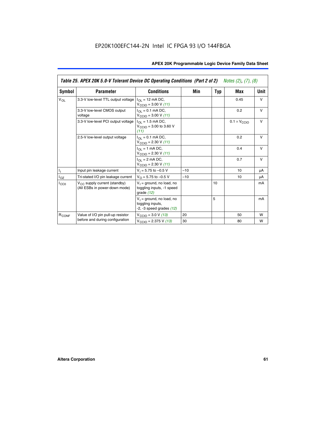|                   | Table 25. APEX 20K 5.0-V Tolerant Device DC Operating Conditions (Part 2 of 2) Notes (2), (7), (8) |                                                                                    |       |     |                              |        |  |
|-------------------|----------------------------------------------------------------------------------------------------|------------------------------------------------------------------------------------|-------|-----|------------------------------|--------|--|
| Symbol            | <b>Parameter</b>                                                                                   | <b>Conditions</b>                                                                  | Min   | Typ | Max                          | Unit   |  |
| $V_{OL}$          | 3.3-V low-level TTL output voltage                                                                 | $I_{\Omega}$ = 12 mA DC,<br>$V_{\text{CCIO}} = 3.00 V (11)$                        |       |     | 0.45                         | $\vee$ |  |
|                   | 3.3-V low-level CMOS output<br>voltage                                                             | $I_{\Omega I} = 0.1$ mA DC,<br>$V_{\text{CCIO}} = 3.00 V (11)$                     |       |     | 0.2                          | $\vee$ |  |
|                   | 3.3-V low-level PCI output voltage                                                                 | $I_{\Omega}$ = 1.5 mA DC,<br>$V_{CClO}$ = 3.00 to 3.60 V<br>(11)                   |       |     | $0.1 \times V_{\text{CCLO}}$ | $\vee$ |  |
|                   | 2.5-V low-level output voltage                                                                     | $I_{\Omega I} = 0.1$ mA DC,<br>$V_{\text{CCIO}} = 2.30 V (11)$                     |       |     | 0.2                          | $\vee$ |  |
|                   |                                                                                                    | $I_{\Omega}$ = 1 mA DC,<br>$V_{\text{CCIO}} = 2.30 V (11)$                         |       |     | 0.4                          | $\vee$ |  |
|                   |                                                                                                    | $I_{\Omega}$ = 2 mA DC,<br>$V_{\text{CCIO}} = 2.30 V (11)$                         |       |     | 0.7                          | $\vee$ |  |
| Τ,                | Input pin leakage current                                                                          | $V_1 = 5.75$ to $-0.5$ V                                                           | $-10$ |     | 10                           | μA     |  |
| $I_{OZ}$          | Tri-stated I/O pin leakage current                                                                 | $V_{\Omega}$ = 5.75 to -0.5 V                                                      | $-10$ |     | 10                           | μA     |  |
| $I_{CC0}$         | $V_{CC}$ supply current (standby)<br>(All ESBs in power-down mode)                                 | $V_1$ = ground, no load, no<br>toggling inputs, -1 speed<br>grade $(12)$           |       | 10  |                              | mA     |  |
|                   |                                                                                                    | $V_1$ = ground, no load, no<br>toggling inputs,<br>$-2$ , $-3$ speed grades $(12)$ |       | 5   |                              | mA     |  |
| R <sub>CONF</sub> | Value of I/O pin pull-up resistor                                                                  | $V_{\text{CCIO}} = 3.0 V (13)$                                                     | 20    |     | 50                           | W      |  |
|                   | before and during configuration                                                                    | $V_{\text{CCIO}} = 2.375 \text{ V} (13)$                                           | 30    |     | 80                           | W      |  |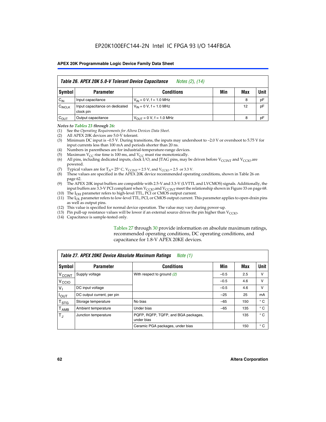|                    | Table 26. APEX 20K 5.0-V Tolerant Device Capacitance<br>Notes (2), (14) |                               |     |     |      |  |
|--------------------|-------------------------------------------------------------------------|-------------------------------|-----|-----|------|--|
| Symbol             | <b>Parameter</b>                                                        | <b>Conditions</b>             | Min | Max | Unit |  |
| $C_{\text{IN}}$    | Input capacitance                                                       | $V_{IN} = 0 V$ , f = 1.0 MHz  |     | 8   | pF   |  |
| C <sub>INCLK</sub> | Input capacitance on dedicated<br>clock pin                             | $V_{IN} = 0 V$ , f = 1.0 MHz  |     | 12  | pF   |  |
| $C_{OUT}$          | Output capacitance                                                      | $V_{OUT} = 0 V$ , f = 1.0 MHz |     | 8   | pF   |  |

### *Notes to Tables 23 through 26:*

- (1) See the *Operating Requirements for Altera Devices Data Sheet*.
- (2) All APEX 20K devices are 5.0-V tolerant.
- (3) Minimum DC input is –0.5 V. During transitions, the inputs may undershoot to –2.0 V or overshoot to 5.75 V for input currents less than 100 mA and periods shorter than 20 ns.
- (4) Numbers in parentheses are for industrial-temperature-range devices.
- (5) Maximum  $V_{CC}$  rise time is 100 ms, and  $V_{CC}$  must rise monotonically.<br>(6) All pins, including dedicated inputs, clock I/O, and JTAG pins, may b
- All pins, including dedicated inputs, clock I/O, and JTAG pins, may be driven before  $V_{\text{CCINT}}$  and  $V_{\text{CCIO}}$  are powered.
- (7) Typical values are for  $T_A = 25^\circ$  C, V<sub>CCINT</sub> = 2.5 V, and V<sub>CCIO</sub> = 2.5 or 3.3 V.<br>(8) These values are specified in the APEX 20K device recommended operat
- These values are specified in the APEX 20K device recommended operating conditions, shown in Table 26 on page 62.
- (9) The APEX 20K input buffers are compatible with 2.5-V and 3.3-V (LVTTL and LVCMOS) signals. Additionally, the input buffers are 3.3-V PCI compliant when  $V_{\text{CCIO}}$  and  $V_{\text{CCINI}}$  meet the relationship shown in Figure 33 on page 68.
- (10) The  $I<sub>OH</sub>$  parameter refers to high-level TTL, PCI or CMOS output current.
- (11) The I<sub>OL</sub> parameter refers to low-level TTL, PCI, or CMOS output current. This parameter applies to open-drain pins as well as output pins.
- (12) This value is specified for normal device operation. The value may vary during power-up.
- (13) Pin pull-up resistance values will be lower if an external source drives the pin higher than  $V_{\text{CCIO}}$ .
- (14) Capacitance is sample-tested only.

Tables 27 through 30 provide information on absolute maximum ratings, recommended operating conditions, DC operating conditions, and capacitance for 1.8-V APEX 20KE devices.

| Table 27. APEX 20KE Device Absolute Maximum Ratings<br>Note (1) |                            |                                                   |        |     |              |  |
|-----------------------------------------------------------------|----------------------------|---------------------------------------------------|--------|-----|--------------|--|
| Symbol                                                          | <b>Parameter</b>           | <b>Conditions</b>                                 | Min    | Max | Unit         |  |
| $V_{\text{CCINT}}$                                              | Supply voltage             | With respect to ground (2)                        | $-0.5$ | 2.5 | v            |  |
| V <sub>CCIO</sub>                                               |                            |                                                   | $-0.5$ | 4.6 | v            |  |
| $V_{1}$                                                         | DC input voltage           |                                                   | $-0.5$ | 4.6 | $\vee$       |  |
| $I_{OUT}$                                                       | DC output current, per pin |                                                   | $-25$  | 25  | mA           |  |
| $\mathsf{T}_{\texttt{STG}}$                                     | Storage temperature        | No bias                                           | $-65$  | 150 | $^{\circ}$ C |  |
| Т <sub>АМВ</sub>                                                | Ambient temperature        | Under bias                                        | $-65$  | 135 | $^{\circ}$ C |  |
| $\mathsf{T}_{\text{d}}$                                         | Junction temperature       | PQFP, RQFP, TQFP, and BGA packages,<br>under bias |        | 135 | $^{\circ}$ C |  |
|                                                                 |                            | Ceramic PGA packages, under bias                  |        | 150 | $^{\circ}$ C |  |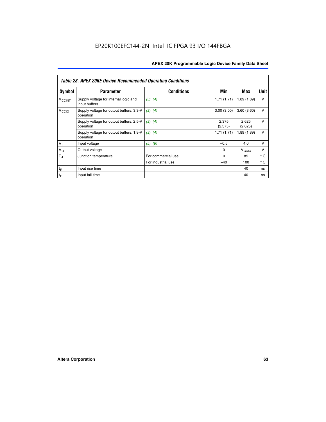|                             | <b>Table 28. APEX 20KE Device Recommended Operating Conditions</b> |                    |                  |                   |              |  |  |
|-----------------------------|--------------------------------------------------------------------|--------------------|------------------|-------------------|--------------|--|--|
| <b>Symbol</b>               | <b>Parameter</b>                                                   | <b>Conditions</b>  | Min              | Max               | <b>Unit</b>  |  |  |
| <b>V<sub>CCINT</sub></b>    | Supply voltage for internal logic and<br>input buffers             | (3), (4)           | 1.71(1.71)       | 1.89(1.89)        | $\vee$       |  |  |
| V <sub>CCIO</sub>           | Supply voltage for output buffers, 3.3-V<br>operation              | (3), (4)           | 3.00(3.00)       | 3.60(3.60)        | $\vee$       |  |  |
|                             | Supply voltage for output buffers, 2.5-V<br>operation              | (3), (4)           | 2.375<br>(2.375) | 2.625<br>(2.625)  | $\vee$       |  |  |
|                             | Supply voltage for output buffers, 1.8-V<br>operation              | (3), (4)           | 1.71(1.71)       | 1.89(1.89)        | $\vee$       |  |  |
| $V_1$                       | Input voltage                                                      | (5), (6)           | $-0.5$           | 4.0               | $\vee$       |  |  |
| $V_{\rm O}$                 | Output voltage                                                     |                    | $\Omega$         | V <sub>CCIO</sub> | v            |  |  |
| $T_{\rm J}$                 | Junction temperature                                               | For commercial use | $\Omega$         | 85                | $^{\circ}$ C |  |  |
|                             |                                                                    | For industrial use | $-40$            | 100               | $^{\circ}$ C |  |  |
| $t_{R}$                     | Input rise time                                                    |                    |                  | 40                | ns           |  |  |
| $\mathfrak{t}_{\mathsf{F}}$ | Input fall time                                                    |                    |                  | 40                | ns           |  |  |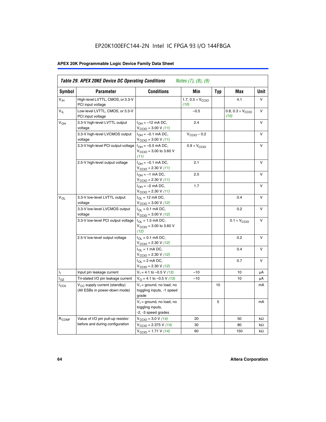# EP20K100EFC144-2N Intel IC FPGA 93 I/O 144FBGA

# **APEX 20K Programmable Logic Device Family Data Sheet**

| Symbol                     | <b>Parameter</b>                                                   | <b>Conditions</b>                                                                        | Min                                       | <b>Typ</b> | Max                                       | Unit      |
|----------------------------|--------------------------------------------------------------------|------------------------------------------------------------------------------------------|-------------------------------------------|------------|-------------------------------------------|-----------|
| $V_{\text{IH}}$            | High-level LVTTL, CMOS, or 3.3-V<br>PCI input voltage              |                                                                                          | 1.7, $0.5 \times V_{\text{CCIO}}$<br>(10) |            | 4.1                                       | V         |
| $\mathsf{V}_{\mathsf{IL}}$ | Low-level LVTTL, CMOS, or 3.3-V<br>PCI input voltage               |                                                                                          | $-0.5$                                    |            | 0.8, $0.3 \times V_{\text{CCIO}}$<br>(10) | $\vee$    |
| $V_{OH}$                   | 3.3-V high-level LVTTL output<br>voltage                           | $I_{OH} = -12$ mA DC,<br>$V_{\text{CCIO}} = 3.00 V (11)$                                 | 2.4                                       |            |                                           | v         |
|                            | 3.3-V high-level LVCMOS output<br>voltage                          | $I_{OH} = -0.1$ mA DC,<br>$V_{\text{CCIO}} = 3.00 V (11)$                                | $V_{\text{CGIO}} - 0.2$                   |            |                                           | v         |
|                            | 3.3-V high-level PCI output voltage $ I_{OH} = -0.5$ mA DC,        | $V_{\text{CGIO}} = 3.00$ to 3.60 V<br>(11)                                               | $0.9 \times V_{\text{CCIO}}$              |            |                                           | V         |
|                            | 2.5-V high-level output voltage                                    | $I_{OH} = -0.1$ mA DC,<br>$V_{\text{CCIO}} = 2.30 V (11)$                                | 2.1                                       |            |                                           | v         |
|                            |                                                                    | $I_{OH} = -1$ mA DC,<br>$V_{\text{CCIO}} = 2.30 V (11)$                                  | 2.0                                       |            |                                           | v         |
|                            |                                                                    | $I_{OH} = -2$ mA DC,<br>$V_{\text{CCIO}}$ = 2.30 V (11)                                  | 1.7                                       |            |                                           | V         |
| $V_{OL}$                   | 3.3-V low-level LVTTL output<br>voltage                            | $I_{\Omega}$ = 12 mA DC,<br>$V_{\text{CCIO}} = 3.00 V (12)$                              |                                           |            | 0.4                                       | v         |
|                            | 3.3-V low-level LVCMOS output<br>voltage                           | $I_{\Omega} = 0.1$ mA DC,<br>$V_{\text{CCIO}} = 3.00 V (12)$                             |                                           |            | 0.2                                       | $\vee$    |
|                            | 3.3-V low-level PCI output voltage                                 | $I_{\Omega}$ = 1.5 mA DC,<br>$V_{\text{CCIO}} = 3.00 \text{ to } 3.60 \text{ V}$<br>(12) |                                           |            | $0.1 \times V_{\text{CCIO}}$              | v         |
|                            | 2.5-V low-level output voltage                                     | $I_{\Omega} = 0.1$ mA DC,<br>$V_{\text{CCIO}}$ = 2.30 V (12)                             |                                           |            | 0.2                                       | V         |
|                            |                                                                    | $I_{\Omega} = 1$ mA DC,<br>$V_{\text{CCIO}}$ = 2.30 V (12)                               |                                           |            | 0.4                                       | v         |
|                            |                                                                    | $I_{OL}$ = 2 mA DC,<br>$V_{\text{CCIO}} = 2.30 V (12)$                                   |                                           |            | 0.7                                       | v         |
| ъ,                         | Input pin leakage current                                          | $V_1 = 4.1$ to -0.5 V (13)                                                               | $-10$                                     |            | 10                                        | μA        |
| $I_{OZ}$                   | Tri-stated I/O pin leakage current                                 | $V_O = 4.1$ to -0.5 V (13)                                                               | $-10$                                     |            | 10                                        | μA        |
| $I_{CC0}$                  | $V_{CC}$ supply current (standby)<br>(All ESBs in power-down mode) | $V_1$ = ground, no load, no<br>toggling inputs, -1 speed<br>grade                        |                                           | 10         |                                           | mA        |
|                            |                                                                    | $V_1$ = ground, no load, no<br>toggling inputs,<br>-2, -3 speed grades                   |                                           | 5          |                                           | mA        |
| R <sub>CONF</sub>          | Value of I/O pin pull-up resistor                                  | $V_{\text{CCIO}} = 3.0 V (14)$                                                           | 20                                        |            | 50                                        | $k\Omega$ |
|                            | before and during configuration                                    | $V_{\text{CGIO}} = 2.375 V (14)$                                                         | 30                                        |            | 80                                        | kΩ        |
|                            |                                                                    | $V_{\text{CCIO}} = 1.71 V (14)$                                                          | 60                                        |            | 150                                       | $k\Omega$ |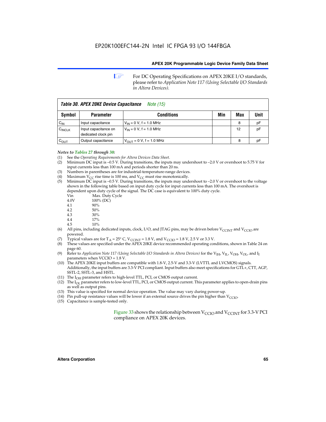**1 For DC Operating Specifications on APEX 20KE I/O standards,** please refer to *Application Note 117 (Using Selectable I/O Standards in Altera Devices).*

| Table 30. APEX 20KE Device Capacitance<br><i>Note</i> (15) |                                             |                                |     |     |      |
|------------------------------------------------------------|---------------------------------------------|--------------------------------|-----|-----|------|
| Symbol                                                     | <b>Parameter</b>                            | <b>Conditions</b>              | Min | Max | Unit |
| $C_{\text{IN}}$                                            | Input capacitance                           | $V_{IN} = 0 V$ , f = 1.0 MHz   |     | 8   | pF   |
| $C_{\text{INCLK}}$                                         | Input capacitance on<br>dedicated clock pin | $V_{IN} = 0 V$ , f = 1.0 MHz   |     | 12  | pF   |
| $C_{OUT}$                                                  | Output capacitance                          | $V_{OUIT} = 0 V$ , f = 1.0 MHz |     | 8   | рF   |

### *Notes to Tables 27 through 30:*

- (1) See the *Operating Requirements for Altera Devices Data Sheet*.
- (2) Minimum DC input is –0.5 V. During transitions, the inputs may undershoot to –2.0 V or overshoot to 5.75 V for input currents less than 100 mA and periods shorter than 20 ns.
- (3) Numbers in parentheses are for industrial-temperature-range devices.
- (4) Maximum  $V_{CC}$  rise time is 100 ms, and  $V_{CC}$  must rise monotonically.<br>(5) Minimum DC input is -0.5 V. During transitions, the inputs may und
- Minimum DC input is  $-0.5$  V. During transitions, the inputs may undershoot to  $-2.0$  V or overshoot to the voltage shown in the following table based on input duty cycle for input currents less than 100 mA. The overshoot is dependent upon duty cycle of the signal. The DC case is equivalent to 100% duty cycle.

| Vin  | Max. Duty Cycle |
|------|-----------------|
| 4.0V | 100% (DC)       |
| 4.1  | 90%             |
| 4.2  | 50%             |
| 4.3  | 30%             |
|      |                 |

- 4.4  $17\%$ <br>4.5  $10\%$
- 10%
- (6) All pins, including dedicated inputs, clock, I/O, and JTAG pins, may be driven before  $V_{\text{CCINT}}$  and  $V_{\text{CCIO}}$  are powered.
- (7) Typical values are for  $T_A = 25^\circ$  C, V<sub>CCINT</sub> = 1.8 V, and V<sub>CCIO</sub> = 1.8 V, 2.5 V or 3.3 V.
- (8) These values are specified under the APEX 20KE device recommended operating conditions, shown in Table 24 on page 60.
- (9) Refer to *Application Note 117 (Using Selectable I/O Standards in Altera Devices)* for the V<sub>IH</sub>, V<sub>IL</sub>, V<sub>OH</sub>, V<sub>OL</sub>, and I<sub>I</sub> parameters when VCCIO = 1.8 V.
- (10) The APEX 20KE input buffers are compatible with 1.8-V, 2.5-V and 3.3-V (LVTTL and LVCMOS) signals. Additionally, the input buffers are 3.3-V PCI compliant. Input buffers also meet specifications for GTL+, CTT, AGP, SSTL-2, SSTL-3, and HSTL.
- (11) The  $I_{OH}$  parameter refers to high-level TTL, PCI, or CMOS output current.
- (12) The I<sub>OL</sub> parameter refers to low-level TTL, PCI, or CMOS output current. This parameter applies to open-drain pins as well as output pins.
- (13) This value is specified for normal device operation. The value may vary during power-up.
- (14) Pin pull-up resistance values will be lower if an external source drives the pin higher than  $V_{CCIO}$ .
- (15) Capacitance is sample-tested only.

Figure 33 shows the relationship between  $V_{\text{CCIO}}$  and  $V_{\text{CCINT}}$  for 3.3-V PCI compliance on APEX 20K devices.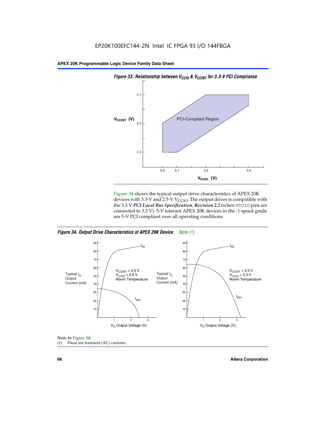

Figure 34 shows the typical output drive characteristics of APEX 20K devices with 3.3-V and 2.5-V V<sub>CCIO</sub>. The output driver is compatible with the 3.3-V *PCI Local Bus Specification, Revision 2.2* (when VCCIO pins are connected to 3.3 V). 5-V tolerant APEX 20K devices in the -1 speed grade are 5-V PCI compliant over all operating conditions.







**66 Altera Corporation**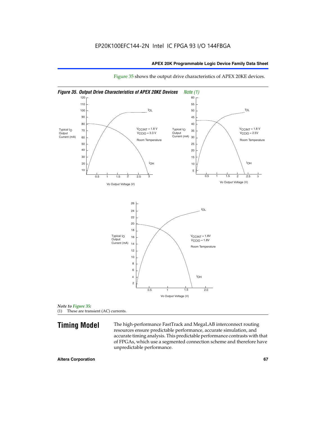

Figure 35 shows the output drive characteristics of APEX 20KE devices.

**Timing Model** The high-performance FastTrack and MegaLAB interconnect routing resources ensure predictable performance, accurate simulation, and accurate timing analysis. This predictable performance contrasts with that of FPGAs, which use a segmented connection scheme and therefore have unpredictable performance.

### **Altera Corporation 67** 67

*Note to Figure 35:* (1) These are transient (AC) currents.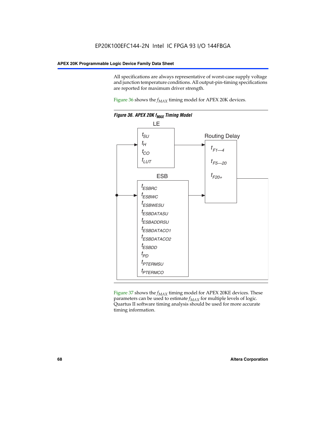All specifications are always representative of worst-case supply voltage and junction temperature conditions. All output-pin-timing specifications are reported for maximum driver strength.

Figure  $36$  shows the  $f_{MAX}$  timing model for APEX 20K devices.



Figure 37 shows the  $f_{MAX}$  timing model for APEX 20KE devices. These parameters can be used to estimate  $f_{MAX}$  for multiple levels of logic. Quartus II software timing analysis should be used for more accurate timing information.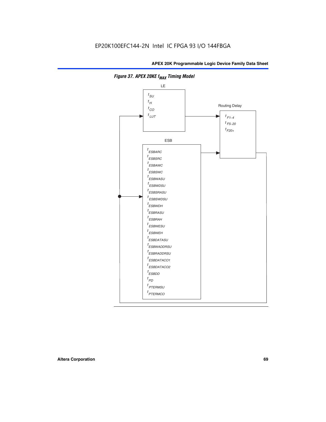

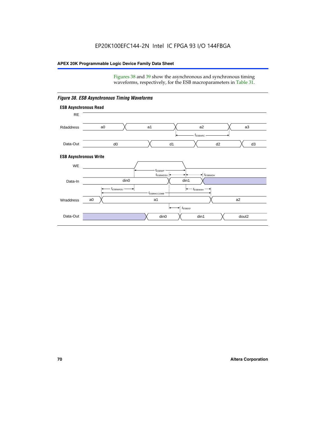Figures 38 and 39 show the asynchronous and synchronous timing waveforms, respectively, for the ESB macroparameters in Table 31.



*Figure 38. ESB Asynchronous Timing Waveforms*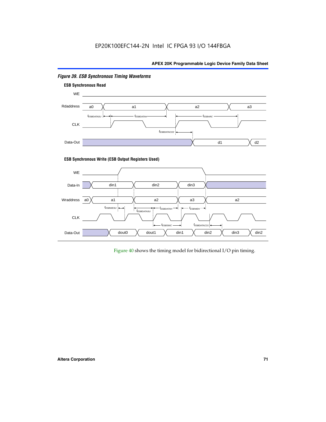# EP20K100EFC144-2N Intel IC FPGA 93 I/O 144FBGA

# **APEX 20K Programmable Logic Device Family Data Sheet**



# *Figure 39. ESB Synchronous Timing Waveforms*

# **ESB Synchronous Write (ESB Output Registers Used)**



Figure 40 shows the timing model for bidirectional I/O pin timing.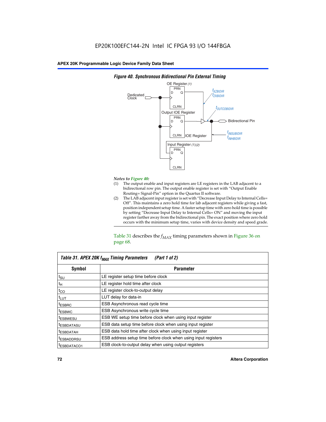

### *Figure 40. Synchronous Bidirectional Pin External Timing*

# *Notes to Figure 40:*

- The output enable and input registers are LE registers in the LAB adjacent to a bidirectional row pin. The output enable register is set with "Output Enable Routing= Signal-Pin" option in the Quartus II software.
- (2) The LAB adjacent input register is set with "Decrease Input Delay to Internal Cells= Off". This maintains a zero hold time for lab adjacent registers while giving a fast, position independent setup time. A faster setup time with zero hold time is possible by setting "Decrease Input Delay to Internal Cells= ON" and moving the input register farther away from the bidirectional pin. The exact position where zero hold occurs with the minimum setup time, varies with device density and speed grade.

Table 31 describes the  $f_{MAX}$  timing parameters shown in Figure 36 on page 68.

| Table 31. APEX 20K f <sub>MAX</sub> Timing Parameters<br>(Part 1 of 2) |                                                                |  |  |  |  |  |
|------------------------------------------------------------------------|----------------------------------------------------------------|--|--|--|--|--|
| Symbol                                                                 | <b>Parameter</b>                                               |  |  |  |  |  |
| $t_{\text{SU}}$                                                        | LE register setup time before clock                            |  |  |  |  |  |
| $t_H$                                                                  | LE register hold time after clock                              |  |  |  |  |  |
| $t_{CO}$                                                               | LE register clock-to-output delay                              |  |  |  |  |  |
| t <sub>LUT</sub>                                                       | LUT delay for data-in                                          |  |  |  |  |  |
| <sup>t</sup> ESBRC                                                     | ESB Asynchronous read cycle time                               |  |  |  |  |  |
| <sup>t</sup> ESBWC                                                     | ESB Asynchronous write cycle time                              |  |  |  |  |  |
| <sup>t</sup> ESBWESU                                                   | ESB WE setup time before clock when using input register       |  |  |  |  |  |
| <sup>t</sup> ESBDATASU                                                 | ESB data setup time before clock when using input register     |  |  |  |  |  |
| <sup>t</sup> ESBDATAH                                                  | ESB data hold time after clock when using input register       |  |  |  |  |  |
| <sup>t</sup> ESBADDRSU                                                 | ESB address setup time before clock when using input registers |  |  |  |  |  |
| ESBDATACO1                                                             | ESB clock-to-output delay when using output registers          |  |  |  |  |  |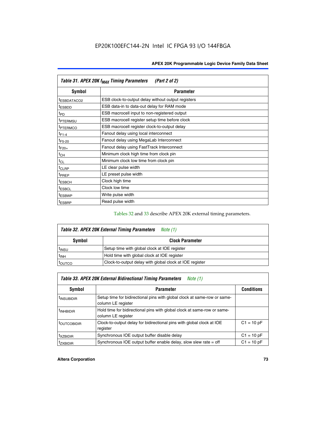| Table 31. APEX 20K f <sub>MAX</sub> Timing Parameters<br>(Part 2 of 2) |                                                    |  |  |  |  |
|------------------------------------------------------------------------|----------------------------------------------------|--|--|--|--|
| Symbol                                                                 | <b>Parameter</b>                                   |  |  |  |  |
| t <sub>ESBDATACO2</sub>                                                | ESB clock-to-output delay without output registers |  |  |  |  |
| <sup>t</sup> ESBDD                                                     | ESB data-in to data-out delay for RAM mode         |  |  |  |  |
| t <sub>PD</sub>                                                        | ESB macrocell input to non-registered output       |  |  |  |  |
| <sup>t</sup> PTERMSU                                                   | ESB macrocell register setup time before clock     |  |  |  |  |
| <sup>t</sup> PTERMCO                                                   | ESB macrocell register clock-to-output delay       |  |  |  |  |
| $t_{F1-4}$                                                             | Fanout delay using local interconnect              |  |  |  |  |
| $t_{F5-20}$                                                            | Fanout delay using MegaLab Interconnect            |  |  |  |  |
| $t_{F20+}$                                                             | Fanout delay using FastTrack Interconnect          |  |  |  |  |
| $t_{CH}$                                                               | Minimum clock high time from clock pin             |  |  |  |  |
| $t_{CL}$                                                               | Minimum clock low time from clock pin              |  |  |  |  |
| $t_{CLRP}$                                                             | LE clear pulse width                               |  |  |  |  |
| t <sub>PREP</sub>                                                      | LE preset pulse width                              |  |  |  |  |
| <sup>t</sup> ESBCH                                                     | Clock high time                                    |  |  |  |  |
| <sup>t</sup> ESBCL                                                     | Clock low time                                     |  |  |  |  |
| <sup>t</sup> ESBWP                                                     | Write pulse width                                  |  |  |  |  |
| <sup>t</sup> ESBRP                                                     | Read pulse width                                   |  |  |  |  |

### Tables 32 and 33 describe APEX 20K external timing parameters.

| Table 32. APEX 20K External Timing Parameters<br>Note (1) |                                                         |  |  |  |  |
|-----------------------------------------------------------|---------------------------------------------------------|--|--|--|--|
| Symbol                                                    | <b>Clock Parameter</b>                                  |  |  |  |  |
| t <sub>INSU</sub>                                         | Setup time with global clock at IOE register            |  |  |  |  |
| $t_{INH}$                                                 | Hold time with global clock at IOE register             |  |  |  |  |
| toutco                                                    | Clock-to-output delay with global clock at IOE register |  |  |  |  |

| Table 33. APEX 20K External Bidirectional Timing Parameters<br>Note (1) |                                                                                                |              |  |  |  |
|-------------------------------------------------------------------------|------------------------------------------------------------------------------------------------|--------------|--|--|--|
| Symbol<br><b>Conditions</b><br><b>Parameter</b>                         |                                                                                                |              |  |  |  |
| <sup>I</sup> INSUBIDIR                                                  | Setup time for bidirectional pins with global clock at same-row or same-<br>column LE register |              |  |  |  |
| <sup>t</sup> INHBIDIR                                                   | Hold time for bidirectional pins with global clock at same-row or same-<br>column LE register  |              |  |  |  |
| <sup>t</sup> OUTCOBIDIR                                                 | Clock-to-output delay for bidirectional pins with global clock at IOE<br>register              | $C1 = 10 pF$ |  |  |  |
| <sup>t</sup> xzbidir                                                    | Synchronous IOE output buffer disable delay                                                    | $C1 = 10 pF$ |  |  |  |
| <sup>I</sup> ZXBIDIR                                                    | Synchronous IOE output buffer enable delay, slow slew rate $=$ off                             | $C1 = 10 pF$ |  |  |  |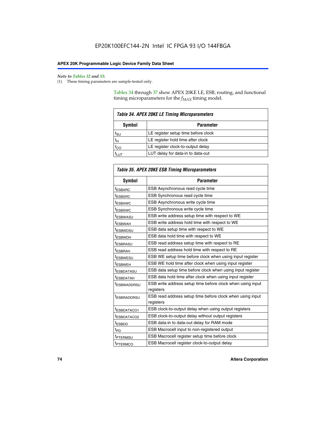$\mathbf{r}$ 

#### *Note to Tables 32 and 33:*

(1) These timing parameters are sample-tested only.

Tables 34 through 37 show APEX 20KE LE, ESB, routing, and functional timing microparameters for the  $f_{MAX}$  timing model.

| <b>Table 34. APEX 20KE LE Timing Microparameters</b> |                                     |  |  |  |  |
|------------------------------------------------------|-------------------------------------|--|--|--|--|
| Symbol<br><b>Parameter</b>                           |                                     |  |  |  |  |
| t <sub>SU</sub>                                      | LE register setup time before clock |  |  |  |  |
| $t_H$                                                | LE register hold time after clock   |  |  |  |  |
| $t_{CO}$                                             | LE register clock-to-output delay   |  |  |  |  |
| <b>LUT</b>                                           | LUT delay for data-in to data-out   |  |  |  |  |

| <b>Table 35. APEX 20KE ESB Timing Microparameters</b> |                                                            |  |  |  |
|-------------------------------------------------------|------------------------------------------------------------|--|--|--|
| Symbol                                                | <b>Parameter</b>                                           |  |  |  |
| <sup>t</sup> ESBARC                                   | ESB Asynchronous read cycle time                           |  |  |  |
| <sup>t</sup> ESBSRC                                   | ESB Synchronous read cycle time                            |  |  |  |
| <b><i>ESBAWC</i></b>                                  | ESB Asynchronous write cycle time                          |  |  |  |
| t <sub>ESBSWC</sub>                                   | ESB Synchronous write cycle time                           |  |  |  |
| t <sub>ESBWASU</sub>                                  | ESB write address setup time with respect to WE            |  |  |  |
| <sup>t</sup> ESBWAH                                   | ESB write address hold time with respect to WE             |  |  |  |
| t <sub>ESBWDSU</sub>                                  | ESB data setup time with respect to WE                     |  |  |  |
| <sup>t</sup> ESBWDH                                   | ESB data hold time with respect to WE                      |  |  |  |
| tESBRASU                                              | ESB read address setup time with respect to RE             |  |  |  |
| <sup>t</sup> ESBRAH                                   | ESB read address hold time with respect to RE              |  |  |  |
| <i><b>ESBWESU</b></i>                                 | ESB WE setup time before clock when using input register   |  |  |  |
| t <sub>ESBWEH</sub>                                   | ESB WE hold time after clock when using input register     |  |  |  |
| <b><i>t</i>ESBDATASU</b>                              | ESB data setup time before clock when using input register |  |  |  |
| t <sub>ESBDATAH</sub>                                 | ESB data hold time after clock when using input register   |  |  |  |
| t <sub>ESBWADDRSU</sub>                               | ESB write address setup time before clock when using input |  |  |  |
|                                                       | registers                                                  |  |  |  |
| <i><b>LESBRADDRSU</b></i>                             | ESB read address setup time before clock when using input  |  |  |  |
|                                                       | registers                                                  |  |  |  |
| t <sub>ESBDATACO1</sub>                               | ESB clock-to-output delay when using output registers      |  |  |  |
| t <sub>ESBDATACO2</sub>                               | ESB clock-to-output delay without output registers         |  |  |  |
| $t_{ESBDD}$                                           | ESB data-in to data-out delay for RAM mode                 |  |  |  |
| $t_{\mathsf{PD}}$                                     | ESB Macrocell input to non-registered output               |  |  |  |
| t <sub>PTERMSU</sub>                                  | ESB Macrocell register setup time before clock             |  |  |  |
| t <sub>PTERMCO</sub>                                  | ESB Macrocell register clock-to-output delay               |  |  |  |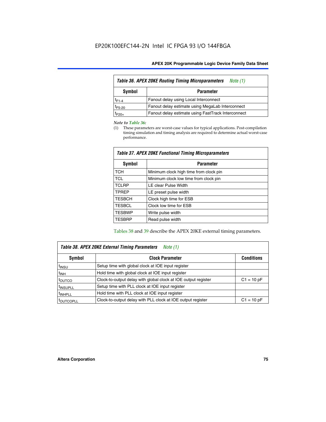| Table 36. APEX 20KE Routing Timing Microparameters<br>Note (1) |                                                    |  |  |  |  |
|----------------------------------------------------------------|----------------------------------------------------|--|--|--|--|
| Symbol<br><b>Parameter</b>                                     |                                                    |  |  |  |  |
| $t_{F1-4}$                                                     | Fanout delay using Local Interconnect              |  |  |  |  |
| $t_{F5-20}$                                                    | Fanout delay estimate using MegaLab Interconnect   |  |  |  |  |
| t <sub>F20+</sub>                                              | Fanout delay estimate using FastTrack Interconnect |  |  |  |  |

#### *Note to Table 36:*

(1) These parameters are worst-case values for typical applications. Post-compilation timing simulation and timing analysis are required to determine actual worst-case performance.

| Symbol        | <b>Parameter</b>                       |  |  |  |  |  |
|---------------|----------------------------------------|--|--|--|--|--|
| <b>TCH</b>    | Minimum clock high time from clock pin |  |  |  |  |  |
| <b>TCL</b>    | Minimum clock low time from clock pin  |  |  |  |  |  |
| <b>TCLRP</b>  | LE clear Pulse Width                   |  |  |  |  |  |
| <b>TPREP</b>  | LE preset pulse width                  |  |  |  |  |  |
| <b>TESBCH</b> | Clock high time for ESB                |  |  |  |  |  |
| <b>TESBCL</b> | Clock low time for ESB                 |  |  |  |  |  |
| <b>TESBWP</b> | Write pulse width                      |  |  |  |  |  |
| <b>TESBRP</b> | Read pulse width                       |  |  |  |  |  |

### *Table 37. APEX 20KE Functional Timing Microparameters*

Tables 38 and 39 describe the APEX 20KE external timing parameters.

| Table 38. APEX 20KE External Timing Parameters<br>Note (1) |                                                                                |              |  |  |  |  |
|------------------------------------------------------------|--------------------------------------------------------------------------------|--------------|--|--|--|--|
| <b>Clock Parameter</b><br>Symbol<br><b>Conditions</b>      |                                                                                |              |  |  |  |  |
| <sup>t</sup> insu                                          | Setup time with global clock at IOE input register                             |              |  |  |  |  |
| $t_{\text{INH}}$                                           | Hold time with global clock at IOE input register                              |              |  |  |  |  |
| t <sub>outco</sub>                                         | Clock-to-output delay with global clock at IOE output register<br>$C1 = 10 pF$ |              |  |  |  |  |
| <sup>t</sup> INSUPLL                                       | Setup time with PLL clock at IOE input register                                |              |  |  |  |  |
| <sup>t</sup> INHPLL                                        | Hold time with PLL clock at IOE input register                                 |              |  |  |  |  |
| <b><i>LOUTCOPLL</i></b>                                    | Clock-to-output delay with PLL clock at IOE output register                    | $C1 = 10 pF$ |  |  |  |  |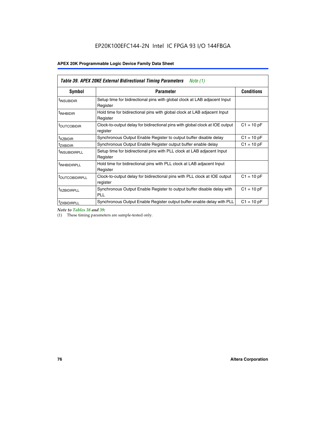| Table 39. APEX 20KE External Bidirectional Timing Parameters<br>Note $(1)$ |                                                                                                          |              |  |  |  |  |  |  |
|----------------------------------------------------------------------------|----------------------------------------------------------------------------------------------------------|--------------|--|--|--|--|--|--|
| <b>Symbol</b>                                                              | <b>Conditions</b><br><b>Parameter</b>                                                                    |              |  |  |  |  |  |  |
| <sup>t</sup> INSUBIDIR                                                     | Setup time for bidirectional pins with global clock at LAB adjacent Input<br>Register                    |              |  |  |  |  |  |  |
| <sup>t</sup> INHBIDIR                                                      | Hold time for bidirectional pins with global clock at LAB adjacent Input<br>Register                     |              |  |  |  |  |  |  |
| <b><i>LOUTCOBIDIR</i></b>                                                  | $C1 = 10 pF$<br>Clock-to-output delay for bidirectional pins with global clock at IOE output<br>register |              |  |  |  |  |  |  |
| t <sub>XZBIDIR</sub>                                                       | $C1 = 10 pF$<br>Synchronous Output Enable Register to output buffer disable delay                        |              |  |  |  |  |  |  |
| <sup>t</sup> zxbidir                                                       | Synchronous Output Enable Register output buffer enable delay                                            | $C1 = 10 pF$ |  |  |  |  |  |  |
| <sup>I</sup> INSUBIDIRPLL                                                  | Setup time for bidirectional pins with PLL clock at LAB adjacent Input<br>Register                       |              |  |  |  |  |  |  |
| <sup>t</sup> INHBIDIRPLL                                                   | Hold time for bidirectional pins with PLL clock at LAB adjacent Input<br>Register                        |              |  |  |  |  |  |  |
| <b><i>LOUTCOBIDIRPLL</i></b>                                               | Clock-to-output delay for bidirectional pins with PLL clock at IOE output<br>register                    | $C1 = 10 pF$ |  |  |  |  |  |  |
| <sup>t</sup> XZBIDIRPLL                                                    | Synchronous Output Enable Register to output buffer disable delay with<br><b>PLL</b>                     | $C1 = 10 pF$ |  |  |  |  |  |  |
| <sup>I</sup> ZXBIDIRPLL                                                    | Synchronous Output Enable Register output buffer enable delay with PLL                                   | $C1 = 10 pF$ |  |  |  |  |  |  |

*Note to Tables 38 and 39:*

(1) These timing parameters are sample-tested only.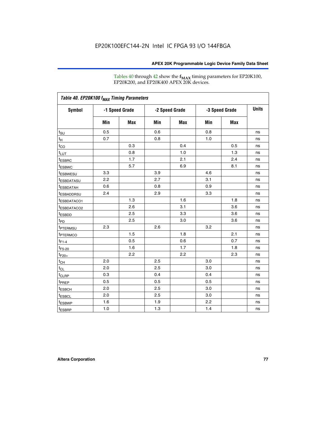Tables 40 through 42 show the **f<sub>MAX</sub>** timing parameters for EP20K100, EP20K200, and EP20K400 APEX 20K devices.

| Table 40. EP20K100 f <sub>MAX</sub> Timing Parameters |                |     |                |     |                |     |              |
|-------------------------------------------------------|----------------|-----|----------------|-----|----------------|-----|--------------|
| <b>Symbol</b>                                         | -1 Speed Grade |     | -2 Speed Grade |     | -3 Speed Grade |     | <b>Units</b> |
|                                                       | Min            | Max | Min            | Max | Min            | Max |              |
| $t_{\text{SU}}$                                       | 0.5            |     | 0.6            |     | 0.8            |     | ns           |
| $t_H$                                                 | 0.7            |     | 0.8            |     | 1.0            |     | ns           |
| $t_{CO}$                                              |                | 0.3 |                | 0.4 |                | 0.5 | ns           |
| $t_{LUT}$                                             |                | 0.8 |                | 1.0 |                | 1.3 | ns           |
| <sup>t</sup> ESBRC                                    |                | 1.7 |                | 2.1 |                | 2.4 | ns           |
| t <sub>ESBWC</sub>                                    |                | 5.7 |                | 6.9 |                | 8.1 | ns           |
| t <sub>ESBWESU</sub>                                  | 3.3            |     | 3.9            |     | 4.6            |     | ns           |
| <sup>t</sup> ESBDATASU                                | 2.2            |     | 2.7            |     | 3.1            |     | ns           |
| t <sub>ESBDATAH</sub>                                 | 0.6            |     | 0.8            |     | 0.9            |     | ns           |
| <sup>t</sup> ESBADDRSU                                | 2.4            |     | 2.9            |     | 3.3            |     | ns           |
| t <sub>ESBDATACO1</sub>                               |                | 1.3 |                | 1.6 |                | 1.8 | ns           |
| t <sub>ESBDATACO2</sub>                               |                | 2.6 |                | 3.1 |                | 3.6 | ns           |
| t <sub>ESBDD</sub>                                    |                | 2.5 |                | 3.3 |                | 3.6 | ns           |
| t <sub>PD</sub>                                       |                | 2.5 |                | 3.0 |                | 3.6 | ns           |
| <sup>t</sup> PTERMSU                                  | 2.3            |     | 2.6            |     | 3.2            |     | ns           |
| t <sub>PTERMCO</sub>                                  |                | 1.5 |                | 1.8 |                | 2.1 | ns           |
| $t_{F1-4}$                                            |                | 0.5 |                | 0.6 |                | 0.7 | ns           |
| $t_{F5-20}$                                           |                | 1.6 |                | 1.7 |                | 1.8 | ns           |
| $t_{F20+}$                                            |                | 2.2 |                | 2.2 |                | 2.3 | ns           |
| $t_{\mathsf{CH}}$                                     | 2.0            |     | 2.5            |     | 3.0            |     | ns           |
| $t_{CL}$                                              | 2.0            |     | 2.5            |     | 3.0            |     | ns           |
| t <sub>CLRP</sub>                                     | 0.3            |     | 0.4            |     | 0.4            |     | ns           |
| t <sub>PREP</sub>                                     | 0.5            |     | 0.5            |     | 0.5            |     | ns           |
| t <sub>ESBCH</sub>                                    | 2.0            |     | 2.5            |     | 3.0            |     | ns           |
| t <sub>ESBCL</sub>                                    | 2.0            |     | 2.5            |     | 3.0            |     | ns           |
| t <sub>ESBWP</sub>                                    | 1.6            |     | 1.9            |     | 2.2            |     | ns           |
| $t_{ESBRP}$                                           | 1.0            |     | 1.3            |     | 1.4            |     | ns           |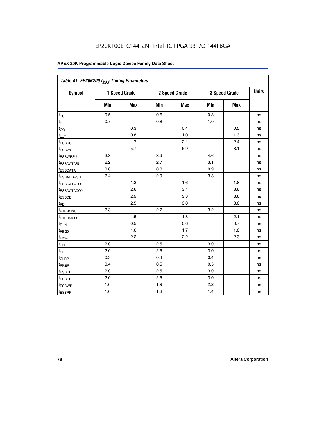| Table 41. EP20K200 f <sub>MAX</sub> Timing Parameters |                |     |     |                |     |                |    |
|-------------------------------------------------------|----------------|-----|-----|----------------|-----|----------------|----|
| Symbol                                                | -1 Speed Grade |     |     | -2 Speed Grade |     | -3 Speed Grade |    |
|                                                       | Min            | Max | Min | <b>Max</b>     | Min | Max            |    |
| $t_{\text{SU}}$                                       | 0.5            |     | 0.6 |                | 0.8 |                | ns |
| $t_H$                                                 | 0.7            |     | 0.8 |                | 1.0 |                | ns |
| $t_{CO}$                                              |                | 0.3 |     | 0.4            |     | 0.5            | ns |
| $t_{LUT}$                                             |                | 0.8 |     | 1.0            |     | 1.3            | ns |
| t <sub>ESBRC</sub>                                    |                | 1.7 |     | 2.1            |     | 2.4            | ns |
| t <sub>ESBWC</sub>                                    |                | 5.7 |     | 6.9            |     | 8.1            | ns |
| t <sub>ESBWESU</sub>                                  | 3.3            |     | 3.9 |                | 4.6 |                | ns |
| <sup>t</sup> ESBDATASU                                | 2.2            |     | 2.7 |                | 3.1 |                | ns |
| t <sub>ESBDATAH</sub>                                 | 0.6            |     | 0.8 |                | 0.9 |                | ns |
| t <sub>ESBADDRSU</sub>                                | 2.4            |     | 2.9 |                | 3.3 |                | ns |
| <u>t<sub>ESBDATACO1</sub></u>                         |                | 1.3 |     | 1.6            |     | 1.8            | ns |
| <sup>t</sup> ESBDATACO2                               |                | 2.6 |     | 3.1            |     | 3.6            | ns |
| t <sub>ESBDD</sub>                                    |                | 2.5 |     | 3.3            |     | 3.6            | ns |
| t <sub>PD</sub>                                       |                | 2.5 |     | 3.0            |     | 3.6            | ns |
| t <sub>PTERMSU</sub>                                  | 2.3            |     | 2.7 |                | 3.2 |                | ns |
| t <sub>PTERMCO</sub>                                  |                | 1.5 |     | 1.8            |     | 2.1            | ns |
| $t_{F1-4}$                                            |                | 0.5 |     | 0.6            |     | 0.7            | ns |
| $t_{F5-20}$                                           |                | 1.6 |     | 1.7            |     | 1.8            | ns |
| $t_{F20+}$                                            |                | 2.2 |     | 2.2            |     | 2.3            | ns |
| $\textnormal{t}_{\textnormal{CH}}$                    | 2.0            |     | 2.5 |                | 3.0 |                | ns |
| $t_{CL}$                                              | 2.0            |     | 2.5 |                | 3.0 |                | ns |
| t <sub>CLRP</sub>                                     | 0.3            |     | 0.4 |                | 0.4 |                | ns |
| t <sub>PREP</sub>                                     | 0.4            |     | 0.5 |                | 0.5 |                | ns |
| t <sub>ESBCH</sub>                                    | 2.0            |     | 2.5 |                | 3.0 |                | ns |
| t <sub>ESBCL</sub>                                    | 2.0            |     | 2.5 |                | 3.0 |                | ns |
| t <sub>ESBWP</sub>                                    | 1.6            |     | 1.9 |                | 2.2 |                | ns |
| t <sub>ESBRP</sub>                                    | 1.0            |     | 1.3 |                | 1.4 |                | ns |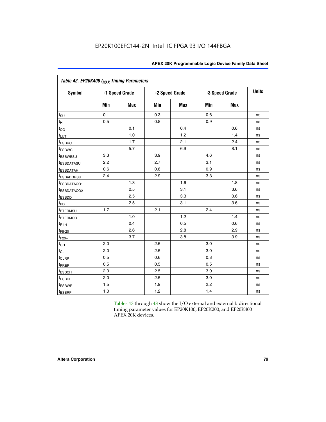| Table 42. EP20K400 f <sub>MAX</sub> Timing Parameters |     |                |     |                |     |                |              |  |  |  |
|-------------------------------------------------------|-----|----------------|-----|----------------|-----|----------------|--------------|--|--|--|
| <b>Symbol</b>                                         |     | -1 Speed Grade |     | -2 Speed Grade |     | -3 Speed Grade | <b>Units</b> |  |  |  |
|                                                       | Min | <b>Max</b>     | Min | <b>Max</b>     | Min | <b>Max</b>     |              |  |  |  |
| $t_{\text{SU}}$                                       | 0.1 |                | 0.3 |                | 0.6 |                | ns           |  |  |  |
| $t_H$                                                 | 0.5 |                | 0.8 |                | 0.9 |                | ns           |  |  |  |
| $t_{CO}$                                              |     | 0.1            |     | 0.4            |     | 0.6            | ns           |  |  |  |
| $t_{LUT}$                                             |     | 1.0            |     | 1.2            |     | 1.4            | ns           |  |  |  |
| t <sub>ESBRC</sub>                                    |     | 1.7            |     | 2.1            |     | 2.4            | ns           |  |  |  |
| <b>t</b> <sub>ESBWC</sub>                             |     | 5.7            |     | 6.9            |     | 8.1            | ns           |  |  |  |
| t <sub>ESBWESU</sub>                                  | 3.3 |                | 3.9 |                | 4.6 |                | ns           |  |  |  |
| <sup>t</sup> ESBDATASU                                | 2.2 |                | 2.7 |                | 3.1 |                | ns           |  |  |  |
| <sup>t</sup> ESBDATAH                                 | 0.6 |                | 0.8 |                | 0.9 |                | ns           |  |  |  |
| <sup>t</sup> ESBADDRSU                                | 2.4 |                | 2.9 |                | 3.3 |                | ns           |  |  |  |
| <sup>t</sup> ESBDATACO1                               |     | 1.3            |     | 1.6            |     | 1.8            | ns           |  |  |  |
| t <sub>ESBDATACO2</sub>                               |     | 2.5            |     | 3.1            |     | 3.6            | ns           |  |  |  |
| t <sub>ESBDD</sub>                                    |     | 2.5            |     | 3.3            |     | 3.6            | ns           |  |  |  |
| t <sub>PD</sub>                                       |     | 2.5            |     | 3.1            |     | 3.6            | ns           |  |  |  |
| t <sub>PTERMSU</sub>                                  | 1.7 |                | 2.1 |                | 2.4 |                | ns           |  |  |  |
| <sup>t</sup> PTERMCO                                  |     | 1.0            |     | 1.2            |     | 1.4            | ns           |  |  |  |
| $t_{F1-4}$                                            |     | 0.4            |     | 0.5            |     | 0.6            | ns           |  |  |  |
| $t_{F5-20}$                                           |     | 2.6            |     | 2.8            |     | 2.9            | ns           |  |  |  |
| $t_{F20+}$                                            |     | 3.7            |     | 3.8            |     | 3.9            | ns           |  |  |  |
| $t_{\text{CH}}$                                       | 2.0 |                | 2.5 |                | 3.0 |                | ns           |  |  |  |
| $t_{CL}$                                              | 2.0 |                | 2.5 |                | 3.0 |                | ns           |  |  |  |
| t <sub>CLRP</sub>                                     | 0.5 |                | 0.6 |                | 0.8 |                | ns           |  |  |  |
| t <sub>PREP</sub>                                     | 0.5 |                | 0.5 |                | 0.5 |                | ns           |  |  |  |
| <sup>t</sup> ESBCH                                    | 2.0 |                | 2.5 |                | 3.0 |                | ns           |  |  |  |
| <b><i>LESBCL</i></b>                                  | 2.0 |                | 2.5 |                | 3.0 |                | ns           |  |  |  |
| t <sub>ESBWP</sub>                                    | 1.5 |                | 1.9 |                | 2.2 |                | ns           |  |  |  |
| t <sub>ESBRP</sub>                                    | 1.0 |                | 1.2 |                | 1.4 |                | ns           |  |  |  |

Tables 43 through 48 show the I/O external and external bidirectional timing parameter values for EP20K100, EP20K200, and EP20K400 APEX 20K devices.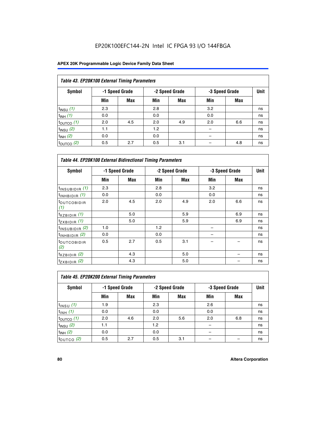|                       | Table 43. EP20K100 External Timing Parameters |                |     |                |     |                |    |  |  |  |  |
|-----------------------|-----------------------------------------------|----------------|-----|----------------|-----|----------------|----|--|--|--|--|
| Symbol                |                                               | -1 Speed Grade |     | -2 Speed Grade |     | -3 Speed Grade |    |  |  |  |  |
|                       | Min                                           | Max            | Min | <b>Max</b>     | Min | <b>Max</b>     |    |  |  |  |  |
| $t_{INSU}$ (1)        | 2.3                                           |                | 2.8 |                | 3.2 |                | ns |  |  |  |  |
| $t_{INH}$ (1)         | 0.0                                           |                | 0.0 |                | 0.0 |                | ns |  |  |  |  |
| $t_{\text{OUTCO}}(1)$ | 2.0                                           | 4.5            | 2.0 | 4.9            | 2.0 | 6.6            | ns |  |  |  |  |
| $t_{IN}$ su $(2)$     | 1.1                                           |                | 1.2 |                |     |                | ns |  |  |  |  |
| $t_{INH}$ (2)         | 0.0                                           |                | 0.0 |                |     |                | ns |  |  |  |  |
| $t_{\text{OUTCO}}(2)$ | 0.5                                           | 2.7            | 0.5 | 3.1            |     | 4.8            | ns |  |  |  |  |

|                                | <b>Table 44. EP20K100 External Bidirectional Timing Parameters</b> |                |     |                |     |                |    |  |  |  |  |
|--------------------------------|--------------------------------------------------------------------|----------------|-----|----------------|-----|----------------|----|--|--|--|--|
| Symbol                         |                                                                    | -1 Speed Grade |     | -2 Speed Grade |     | -3 Speed Grade |    |  |  |  |  |
|                                | Min                                                                | Max            | Min | Max            | Min | Max            |    |  |  |  |  |
| $t_{\text{INSUBIDIR}}(1)$      | 2.3                                                                |                | 2.8 |                | 3.2 |                | ns |  |  |  |  |
| $t_{INHBIDIR}$ (1)             | 0.0                                                                |                | 0.0 |                | 0.0 |                | ns |  |  |  |  |
| <sup>t</sup> OUTCOBIDIR<br>(1) | 2.0                                                                | 4.5            | 2.0 | 4.9            | 2.0 | 6.6            | ns |  |  |  |  |
| $t_{XZBIDIR}$ (1)              |                                                                    | 5.0            |     | 5.9            |     | 6.9            | ns |  |  |  |  |
| $t_{ZXBIDIR}$ (1)              |                                                                    | 5.0            |     | 5.9            |     | 6.9            | ns |  |  |  |  |
| $t_{INSUBIDIR}$ (2)            | 1.0                                                                |                | 1.2 |                |     |                | ns |  |  |  |  |
| $t_{INHBIDIR}$ (2)             | 0.0                                                                |                | 0.0 |                |     |                | ns |  |  |  |  |
| <sup>t</sup> OUTCOBIDIR<br>(2) | 0.5                                                                | 2.7            | 0.5 | 3.1            |     |                | ns |  |  |  |  |
| $t_{XZBIDIR}$ (2)              |                                                                    | 4.3            |     | 5.0            |     |                | ns |  |  |  |  |
| $t_{ZXBIDIR}$ (2)              |                                                                    | 4.3            |     | 5.0            |     |                | ns |  |  |  |  |

| Table 45. EP20K200 External Timing Parameters |     |                |     |                |     |                |    |  |  |  |
|-----------------------------------------------|-----|----------------|-----|----------------|-----|----------------|----|--|--|--|
| Symbol                                        |     | -1 Speed Grade |     | -2 Speed Grade |     | -3 Speed Grade |    |  |  |  |
|                                               | Min | <b>Max</b>     | Min | <b>Max</b>     | Min | <b>Max</b>     |    |  |  |  |
| $t_{INSU}$ (1)                                | 1.9 |                | 2.3 |                | 2.6 |                | ns |  |  |  |
| $t_{INH}$ (1)                                 | 0.0 |                | 0.0 |                | 0.0 |                | ns |  |  |  |
| $t_{\text{OUTCO}}(1)$                         | 2.0 | 4.6            | 2.0 | 5.6            | 2.0 | 6.8            | ns |  |  |  |
| $t_{\text{INSU}}(2)$                          | 1.1 |                | 1.2 |                |     |                | ns |  |  |  |
| $t_{INH}$ (2)                                 | 0.0 |                | 0.0 |                |     |                | ns |  |  |  |
| $t_{\text{OUTCO}}$ (2)                        | 0.5 | 2.7            | 0.5 | 3.1            |     |                | ns |  |  |  |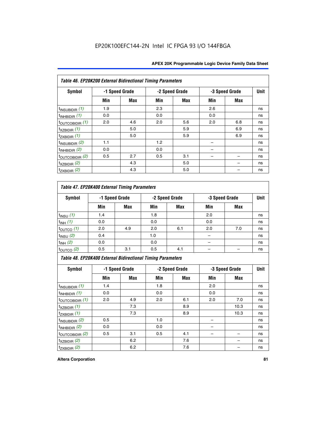|  | <b>APEX 20K Programmable Logic Device Family Data Sheet</b> |  |  |  |
|--|-------------------------------------------------------------|--|--|--|
|--|-------------------------------------------------------------|--|--|--|

|                             | Table 46. EP20K200 External Bidirectional Timing Parameters |                |     |                |     |                |    |  |  |  |  |
|-----------------------------|-------------------------------------------------------------|----------------|-----|----------------|-----|----------------|----|--|--|--|--|
| Symbol                      |                                                             | -1 Speed Grade |     | -2 Speed Grade |     | -3 Speed Grade |    |  |  |  |  |
|                             | Min                                                         | <b>Max</b>     | Min | Max            | Min | <b>Max</b>     |    |  |  |  |  |
| $t_{\text{INSUBIDIR}}(1)$   | 1.9                                                         |                | 2.3 |                | 2.6 |                | ns |  |  |  |  |
| $t_{INHBIDIR}$ (1)          | 0.0                                                         |                | 0.0 |                | 0.0 |                | ns |  |  |  |  |
| $t_{\text{OUTCOBIDIR}}(1)$  | 2.0                                                         | 4.6            | 2.0 | 5.6            | 2.0 | 6.8            | ns |  |  |  |  |
| $t_{XZBIDIR}$ (1)           |                                                             | 5.0            |     | 5.9            |     | 6.9            | ns |  |  |  |  |
| $t_{ZXBIDIR}$ (1)           |                                                             | 5.0            |     | 5.9            |     | 6.9            | ns |  |  |  |  |
| $t_{INSUBIDIR}$ (2)         | 1.1                                                         |                | 1.2 |                |     |                | ns |  |  |  |  |
| $t_{INHBIDIR}$ (2)          | 0.0                                                         |                | 0.0 |                |     |                | ns |  |  |  |  |
| $t_{\text{OUTCOBIDIR}}$ (2) | 0.5                                                         | 2.7            | 0.5 | 3.1            |     |                | ns |  |  |  |  |
| $t_{XZBIDIR}$ (2)           |                                                             | 4.3            |     | 5.0            |     |                | ns |  |  |  |  |
| $t_{ZXBIDIR}$ (2)           |                                                             | 4.3            |     | 5.0            |     |                | ns |  |  |  |  |

### *Table 47. EP20K400 External Timing Parameters*

| Symbol                |     | -1 Speed Grade |     | -2 Speed Grade |     | -3 Speed Grade |    |
|-----------------------|-----|----------------|-----|----------------|-----|----------------|----|
|                       | Min | <b>Max</b>     | Min | <b>Max</b>     | Min | <b>Max</b>     |    |
| $t_{INSU}$ (1)        | 1.4 |                | 1.8 |                | 2.0 |                | ns |
| $t_{INH}$ (1)         | 0.0 |                | 0.0 |                | 0.0 |                | ns |
| $t_{\text{OUTCO}}(1)$ | 2.0 | 4.9            | 2.0 | 6.1            | 2.0 | 7.0            | ns |
| $t_{INSU}$ (2)        | 0.4 |                | 1.0 |                |     |                | ns |
| $t_{INH}$ (2)         | 0.0 |                | 0.0 |                |     |                | ns |
| $t_{\text{OUTCO}}(2)$ | 0.5 | 3.1            | 0.5 | 4.1            |     |                | ns |

*Table 48. EP20K400 External Bidirectional Timing Parameters*

| Symbol                      | -1 Speed Grade |     | -2 Speed Grade |     |     | -3 Speed Grade | <b>Unit</b> |
|-----------------------------|----------------|-----|----------------|-----|-----|----------------|-------------|
|                             | Min            | Max | Min            | Max | Min | Max            |             |
| $t_{\text{INSUBIDIR}}(1)$   | 1.4            |     | 1.8            |     | 2.0 |                | ns          |
| $t_{INHBIDIR}$ (1)          | 0.0            |     | 0.0            |     | 0.0 |                | ns          |
| $t_{\text{OUTCOBIDIR}}(1)$  | 2.0            | 4.9 | 2.0            | 6.1 | 2.0 | 7.0            | ns          |
| $t_{XZBIDIR}$ (1)           |                | 7.3 |                | 8.9 |     | 10.3           | ns          |
| $t_{ZXBIDIR}$ (1)           |                | 7.3 |                | 8.9 |     | 10.3           | ns          |
| $t_{\text{INSUBIDIR}}(2)$   | 0.5            |     | 1.0            |     |     |                | ns          |
| $t_{INHBIDIR}$ (2)          | 0.0            |     | 0.0            |     |     |                | ns          |
| $t_{\text{OUTCOBIDIR}}$ (2) | 0.5            | 3.1 | 0.5            | 4.1 |     |                | ns          |
| $t_{XZBIDIR}$ (2)           |                | 6.2 |                | 7.6 |     |                | ns          |
| $t_{ZXBIDIR}$ (2)           |                | 6.2 |                | 7.6 |     |                | ns          |

#### **Altera Corporation 81**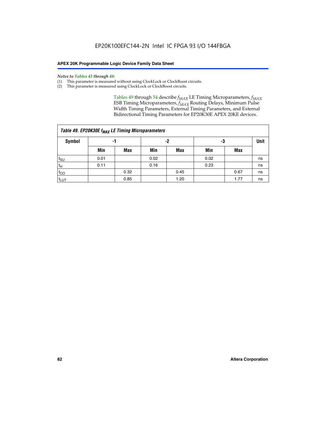#### *Notes to Tables 43 through 48:*

- (1) This parameter is measured without using ClockLock or ClockBoost circuits.
- (2) This parameter is measured using ClockLock or ClockBoost circuits.

Tables 49 through 54 describe  $f_{MAX}$  LE Timing Microparameters,  $f_{MAX}$ ESB Timing Microparameters, *f<sub>MAX</sub>* Routing Delays, Minimum Pulse Width Timing Parameters, External Timing Parameters, and External Bidirectional Timing Parameters for EP20K30E APEX 20KE devices.

| Table 49. EP20K30E f <sub>MAX</sub> LE Timing Microparameters |      |      |      |            |      |      |             |  |  |  |  |
|---------------------------------------------------------------|------|------|------|------------|------|------|-------------|--|--|--|--|
| <b>Symbol</b>                                                 | -1   |      | -2   |            | -3   |      | <b>Unit</b> |  |  |  |  |
|                                                               | Min  | Max  | Min  | <b>Max</b> | Min  | Max  |             |  |  |  |  |
| $t_{\text{SU}}$                                               | 0.01 |      | 0.02 |            | 0.02 |      | ns          |  |  |  |  |
| $t_H$                                                         | 0.11 |      | 0.16 |            | 0.23 |      | ns          |  |  |  |  |
| $t_{CO}$                                                      |      | 0.32 |      | 0.45       |      | 0.67 | ns          |  |  |  |  |
| $t_{LUT}$                                                     |      | 0.85 |      | 1.20       |      | 1.77 | ns          |  |  |  |  |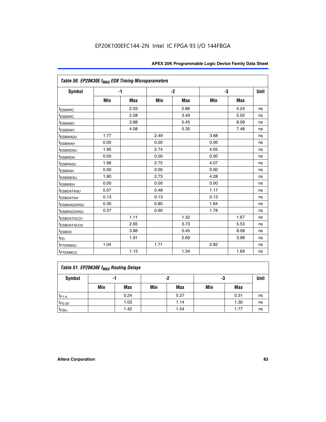| Table 50. EP20K30E f <sub>MAX</sub> ESB Timing Microparameters |      |      |      |      |      |      |             |
|----------------------------------------------------------------|------|------|------|------|------|------|-------------|
| Symbol                                                         |      | $-1$ |      | $-2$ |      | -3   | <b>Unit</b> |
|                                                                | Min  | Max  | Min  | Max  | Min  | Max  |             |
| <sup>t</sup> ESBARC                                            |      | 2.03 |      | 2.86 |      | 4.24 | ns          |
| <i><b>LESBSRC</b></i>                                          |      | 2.58 |      | 3.49 |      | 5.02 | ns          |
| <sup>t</sup> ESBAWC                                            |      | 3.88 |      | 5.45 |      | 8.08 | ns          |
| <sup>t</sup> ESBSWC                                            |      | 4.08 |      | 5.35 |      | 7.48 | ns          |
| t <sub>ESBWASU</sub>                                           | 1.77 |      | 2.49 |      | 3.68 |      | ns          |
| <sup>t</sup> ESBWAH                                            | 0.00 |      | 0.00 |      | 0.00 |      | ns          |
| t <sub>ESBWDSU</sub>                                           | 1.95 |      | 2.74 |      | 4.05 |      | ns          |
| <sup>t</sup> ESBWDH                                            | 0.00 |      | 0.00 |      | 0.00 |      | ns          |
| <sup>t</sup> ESBRASU                                           | 1.96 |      | 2.75 |      | 4.07 |      | ns          |
| <sup>t</sup> ESBRAH                                            | 0.00 |      | 0.00 |      | 0.00 |      | ns          |
| <b>ESBWESU</b>                                                 | 1.80 |      | 2.73 |      | 4.28 |      | ns          |
| <sup>t</sup> ESBWEH                                            | 0.00 |      | 0.00 |      | 0.00 |      | ns          |
| <sup>I</sup> ESBDATASU                                         | 0.07 |      | 0.48 |      | 1.17 |      | ns          |
| <sup>t</sup> ESBDATAH                                          | 0.13 |      | 0.13 |      | 0.13 |      | ns          |
| <sup>I</sup> ESBWADDRSU                                        | 0.30 |      | 0.80 |      | 1.64 |      | ns          |
| <sup>I</sup> ESBRADDRSU                                        | 0.37 |      | 0.90 |      | 1.78 |      | ns          |
| ESBDATACO1                                                     |      | 1.11 |      | 1.32 |      | 1.67 | ns          |
| <sup>t</sup> ESBDATACO2                                        |      | 2.65 |      | 3.73 |      | 5.53 | ns          |
| t <sub>ESBDD</sub>                                             |      | 3.88 |      | 5.45 |      | 8.08 | ns          |
| t <sub>PD</sub>                                                |      | 1.91 |      | 2.69 |      | 3.98 | ns          |
| <sup>t</sup> PTERMSU                                           | 1.04 |      | 1.71 |      | 2.82 |      | ns          |
| t <sub>PTERMCO</sub>                                           |      | 1.13 |      | 1.34 |      | 1.69 | ns          |

### **Table 51. EP20K30E f<sub>MAX</sub> Routing Delays**

| Symbol      | н.  |            | -2  |            | -3  |            | Unit |
|-------------|-----|------------|-----|------------|-----|------------|------|
|             | Min | <b>Max</b> | Min | <b>Max</b> | Min | <b>Max</b> |      |
| $t_{F1-4}$  |     | 0.24       |     | 0.27       |     | 0.31       | ns   |
| $t_{F5-20}$ |     | 1.03       |     | 1.14       |     | 1.30       | ns   |
| $t_{F20+}$  |     | 1.42       |     | 1.54       |     | 1.77       | ns   |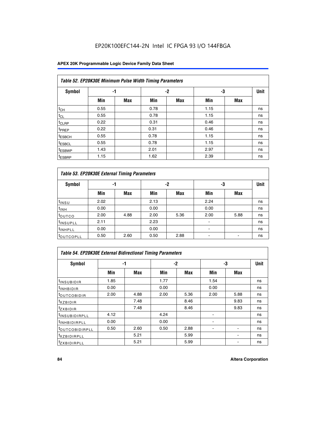### **APEX 20K Programmable Logic Device Family Data Sheet**

| Table 52. EP20K30E Minimum Pulse Width Timing Parameters |      |            |      |            |      |            |             |  |  |  |  |
|----------------------------------------------------------|------|------------|------|------------|------|------------|-------------|--|--|--|--|
| <b>Symbol</b>                                            | -1   |            |      | $-2$       | -3   |            | <b>Unit</b> |  |  |  |  |
|                                                          | Min  | <b>Max</b> | Min  | <b>Max</b> | Min  | <b>Max</b> |             |  |  |  |  |
| $t_{CH}$                                                 | 0.55 |            | 0.78 |            | 1.15 |            | ns          |  |  |  |  |
| $t_{CL}$                                                 | 0.55 |            | 0.78 |            | 1.15 |            | ns          |  |  |  |  |
| $t_{CLRP}$                                               | 0.22 |            | 0.31 |            | 0.46 |            | ns          |  |  |  |  |
| <sup>t</sup> PREP                                        | 0.22 |            | 0.31 |            | 0.46 |            | ns          |  |  |  |  |
| <sup>t</sup> ESBCH                                       | 0.55 |            | 0.78 |            | 1.15 |            | ns          |  |  |  |  |
| <sup>t</sup> ESBCL                                       | 0.55 |            | 0.78 |            | 1.15 |            | ns          |  |  |  |  |
| <sup>t</sup> ESBWP                                       | 1.43 |            | 2.01 |            | 2.97 |            | ns          |  |  |  |  |
| <sup>t</sup> ESBRP                                       | 1.15 |            | 1.62 |            | 2.39 |            | ns          |  |  |  |  |

|                      | Table 53. EP20K30E External Timing Parameters |            |      |            |      |            |             |  |  |  |  |  |  |
|----------------------|-----------------------------------------------|------------|------|------------|------|------------|-------------|--|--|--|--|--|--|
| <b>Symbol</b>        |                                               | -1         |      | -2         |      | -3         | <b>Unit</b> |  |  |  |  |  |  |
|                      | Min                                           | <b>Max</b> | Min  | <b>Max</b> | Min  | <b>Max</b> |             |  |  |  |  |  |  |
| t <sub>INSU</sub>    | 2.02                                          |            | 2.13 |            | 2.24 |            | ns          |  |  |  |  |  |  |
| $t_{\text{INH}}$     | 0.00                                          |            | 0.00 |            | 0.00 |            | ns          |  |  |  |  |  |  |
| toutco               | 2.00                                          | 4.88       | 2.00 | 5.36       | 2.00 | 5.88       | ns          |  |  |  |  |  |  |
| <sup>t</sup> INSUPLL | 2.11                                          |            | 2.23 |            |      |            | ns          |  |  |  |  |  |  |
| <sup>t</sup> INHPLL  | 0.00                                          |            | 0.00 |            | ٠    |            | ns          |  |  |  |  |  |  |
| <b>LOUTCOPLL</b>     | 0.50                                          | 2.60       | 0.50 | 2.88       |      |            | ns          |  |  |  |  |  |  |

| Table 54. EP20K30E External Bidirectional Timing Parameters |      |      |      |      |                          |             |    |  |  |  |  |
|-------------------------------------------------------------|------|------|------|------|--------------------------|-------------|----|--|--|--|--|
| Symbol                                                      | -1   |      |      | $-2$ | -3                       | <b>Unit</b> |    |  |  |  |  |
|                                                             | Min  | Max  | Min  | Max  | Min                      | Max         |    |  |  |  |  |
| <sup>t</sup> INSUBIDIR                                      | 1.85 |      | 1.77 |      | 1.54                     |             | ns |  |  |  |  |
| <b>INHBIDIR</b>                                             | 0.00 |      | 0.00 |      | 0.00                     |             | ns |  |  |  |  |
| <b>LOUTCOBIDIR</b>                                          | 2.00 | 4.88 | 2.00 | 5.36 | 2.00                     | 5.88        | ns |  |  |  |  |
| <sup>T</sup> XZBIDIR                                        |      | 7.48 |      | 8.46 |                          | 9.83        | ns |  |  |  |  |
| <sup>t</sup> zxbidir                                        |      | 7.48 |      | 8.46 |                          | 9.83        | ns |  |  |  |  |
| <sup>I</sup> INSUBIDIRPLL                                   | 4.12 |      | 4.24 |      | $\overline{\phantom{0}}$ |             | ns |  |  |  |  |
| <b>INHBIDIRPLL</b>                                          | 0.00 |      | 0.00 |      |                          |             | ns |  |  |  |  |
| <b><i>COUTCOBIDIRPLL</i></b>                                | 0.50 | 2.60 | 0.50 | 2.88 |                          |             | ns |  |  |  |  |
| <sup>I</sup> XZBIDIRPLL                                     |      | 5.21 |      | 5.99 |                          |             | ns |  |  |  |  |
| <sup>I</sup> ZXBIDIRPLL                                     |      | 5.21 |      | 5.99 |                          |             | ns |  |  |  |  |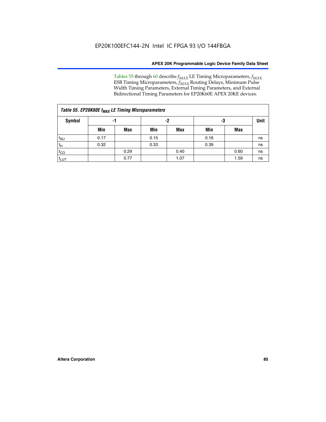Tables 55 through 60 describe *f<sub>MAX</sub>* LE Timing Microparameters, *f<sub>MAX</sub>* ESB Timing Microparameters, *f<sub>MAX</sub>* Routing Delays, Minimum Pulse Width Timing Parameters, External Timing Parameters, and External Bidirectional Timing Parameters for EP20K60E APEX 20KE devices.

| Table 55. EP20K60E f <sub>MAX</sub> LE Timing Microparameters |      |      |      |      |      |      |    |  |  |  |  |  |
|---------------------------------------------------------------|------|------|------|------|------|------|----|--|--|--|--|--|
| Symbol                                                        |      | -1   |      | -2   |      | -3   |    |  |  |  |  |  |
|                                                               | Min  | Max  | Min  | Max  | Min  | Max  |    |  |  |  |  |  |
| $t_{\text{SU}}$                                               | 0.17 |      | 0.15 |      | 0.16 |      | ns |  |  |  |  |  |
| $t_H$                                                         | 0.32 |      | 0.33 |      | 0.39 |      | ns |  |  |  |  |  |
| $t_{CO}$                                                      |      | 0.29 |      | 0.40 |      | 0.60 | ns |  |  |  |  |  |
| t <sub>lut</sub>                                              |      | 0.77 |      | 1.07 |      | 1.59 | ns |  |  |  |  |  |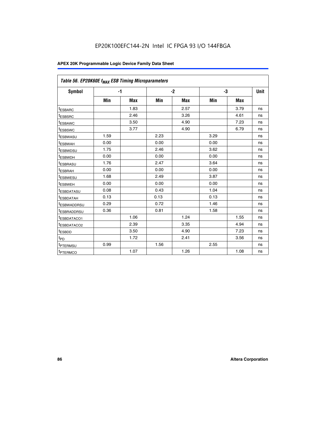| Table 56. EP20K60E f <sub>MAX</sub> ESB Timing Microparameters |      |            |      |            |      |            |             |
|----------------------------------------------------------------|------|------------|------|------------|------|------------|-------------|
| <b>Symbol</b>                                                  |      | $-1$       |      | $-2$       |      | -3         | <b>Unit</b> |
|                                                                | Min  | <b>Max</b> | Min  | <b>Max</b> | Min  | <b>Max</b> |             |
| <sup>t</sup> ESBARC                                            |      | 1.83       |      | 2.57       |      | 3.79       | ns          |
| t <sub>ESBSRC</sub>                                            |      | 2.46       |      | 3.26       |      | 4.61       | ns          |
| t <sub>ESBAWC</sub>                                            |      | 3.50       |      | 4.90       |      | 7.23       | ns          |
| <sup>t</sup> ESBSWC                                            |      | 3.77       |      | 4.90       |      | 6.79       | ns          |
| t <sub>ESBWASU</sub>                                           | 1.59 |            | 2.23 |            | 3.29 |            | ns          |
| <sup>t</sup> ESBWAH                                            | 0.00 |            | 0.00 |            | 0.00 |            | ns          |
| t <sub>ESBWDSU</sub>                                           | 1.75 |            | 2.46 |            | 3.62 |            | ns          |
| t <sub>ESBWDH</sub>                                            | 0.00 |            | 0.00 |            | 0.00 |            | ns          |
| t <sub>ESBRASU</sub>                                           | 1.76 |            | 2.47 |            | 3.64 |            | ns          |
| <sup>t</sup> ESBRAH                                            | 0.00 |            | 0.00 |            | 0.00 |            | ns          |
| t <sub>ESBWESU</sub>                                           | 1.68 |            | 2.49 |            | 3.87 |            | ns          |
| <sup>t</sup> ESBWEH                                            | 0.00 |            | 0.00 |            | 0.00 |            | ns          |
| <sup>t</sup> ESBDATASU                                         | 0.08 |            | 0.43 |            | 1.04 |            | ns          |
| <sup>t</sup> ESBDATAH                                          | 0.13 |            | 0.13 |            | 0.13 |            | ns          |
| <sup>t</sup> ESBWADDRSU                                        | 0.29 |            | 0.72 |            | 1.46 |            | ns          |
| <sup>t</sup> ESBRADDRSU                                        | 0.36 |            | 0.81 |            | 1.58 |            | ns          |
| t <sub>ESBDATACO1</sub>                                        |      | 1.06       |      | 1.24       |      | 1.55       | ns          |
| <sup>t</sup> ESBDATACO2                                        |      | 2.39       |      | 3.35       |      | 4.94       | ns          |
| <sup>t</sup> ESBDD                                             |      | 3.50       |      | 4.90       |      | 7.23       | ns          |
| t <sub>PD</sub>                                                |      | 1.72       |      | 2.41       |      | 3.56       | ns          |
| <sup>t</sup> PTERMSU                                           | 0.99 |            | 1.56 |            | 2.55 |            | ns          |
| t <sub>PTERMCO</sub>                                           |      | 1.07       |      | 1.26       |      | 1.08       | ns          |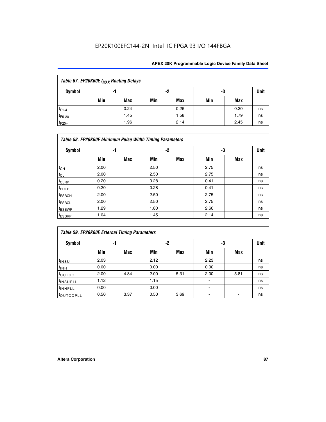| Table 57. EP20K60E f <sub>MAX</sub> Routing Delays |     |      |     |            |     |      |      |  |  |  |  |  |
|----------------------------------------------------|-----|------|-----|------------|-----|------|------|--|--|--|--|--|
| Symbol                                             |     | -1   |     | -2         | -3  |      | Unit |  |  |  |  |  |
|                                                    | Min | Max  | Min | <b>Max</b> | Min | Max  |      |  |  |  |  |  |
| $t_{F1-4}$                                         |     | 0.24 |     | 0.26       |     | 0.30 | ns   |  |  |  |  |  |
| $t_{F5-20}$                                        |     | 1.45 |     | 1.58       |     | 1.79 | ns   |  |  |  |  |  |
| $t_{F20+}$                                         |     | 1.96 |     | 2.14       |     | 2.45 | ns   |  |  |  |  |  |

| Table 58. EP20K60E Minimum Pulse Width Timing Parameters |      |     |      |      |      |     |             |  |  |  |
|----------------------------------------------------------|------|-----|------|------|------|-----|-------------|--|--|--|
| Symbol                                                   |      | -1  |      | $-2$ |      | -3  | <b>Unit</b> |  |  |  |
|                                                          | Min  | Max | Min  | Max  | Min  | Max |             |  |  |  |
| $t_{CH}$                                                 | 2.00 |     | 2.50 |      | 2.75 |     | ns          |  |  |  |
| $t_{CL}$                                                 | 2.00 |     | 2.50 |      | 2.75 |     | ns          |  |  |  |
| $t_{CLRP}$                                               | 0.20 |     | 0.28 |      | 0.41 |     | ns          |  |  |  |
| t <sub>PREP</sub>                                        | 0.20 |     | 0.28 |      | 0.41 |     | ns          |  |  |  |
| <sup>t</sup> ESBCH                                       | 2.00 |     | 2.50 |      | 2.75 |     | ns          |  |  |  |
| <sup>t</sup> ESBCL                                       | 2.00 |     | 2.50 |      | 2.75 |     | ns          |  |  |  |
| <sup>t</sup> ESBWP                                       | 1.29 |     | 1.80 |      | 2.66 |     | ns          |  |  |  |
| <sup>t</sup> ESBRP                                       | 1.04 |     | 1.45 |      | 2.14 |     | ns          |  |  |  |

|                      | <b>Table 59. EP20K60E External Timing Parameters</b> |      |      |      |      |      |      |  |  |  |  |  |
|----------------------|------------------------------------------------------|------|------|------|------|------|------|--|--|--|--|--|
| Symbol               | -1                                                   |      |      | -2   |      | -3   | Unit |  |  |  |  |  |
|                      | Min                                                  | Max  | Min  | Max  | Min  | Max  |      |  |  |  |  |  |
| $t_{INSU}$           | 2.03                                                 |      | 2.12 |      | 2.23 |      | ns   |  |  |  |  |  |
| $t_{INH}$            | 0.00                                                 |      | 0.00 |      | 0.00 |      | ns   |  |  |  |  |  |
| toutco               | 2.00                                                 | 4.84 | 2.00 | 5.31 | 2.00 | 5.81 | ns   |  |  |  |  |  |
| <sup>t</sup> INSUPLL | 1.12                                                 |      | 1.15 |      | ۰    |      | ns   |  |  |  |  |  |
| <sup>t</sup> INHPLL  | 0.00                                                 |      | 0.00 |      | ۰    |      | ns   |  |  |  |  |  |
| <b>COUTCOPLL</b>     | 0.50                                                 | 3.37 | 0.50 | 3.69 |      |      | ns   |  |  |  |  |  |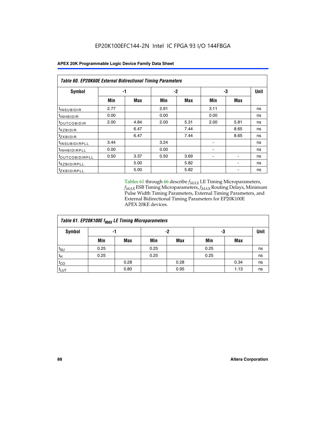| <b>Symbol</b>              |      | -1   |      | $-2$ |      | -3   | <b>Unit</b> |
|----------------------------|------|------|------|------|------|------|-------------|
|                            | Min  | Max  | Min  | Max  | Min  | Max  |             |
| t <sub>INSUBIDIR</sub>     | 2.77 |      | 2.91 |      | 3.11 |      | ns          |
| <sup>t</sup> INHBIDIR      | 0.00 |      | 0.00 |      | 0.00 |      | ns          |
| <sup>t</sup> OUTCOBIDIR    | 2.00 | 4.84 | 2.00 | 5.31 | 2.00 | 5.81 | ns          |
| <sup>t</sup> xzbidir       |      | 6.47 |      | 7.44 |      | 8.65 | ns          |
| $t_{ZXBIDIR}$              |      | 6.47 |      | 7.44 |      | 8.65 | ns          |
| <sup>t</sup> INSUBIDIRPLL  | 3.44 |      | 3.24 |      |      |      | ns          |
| <sup>t</sup> INHBIDIRPLL   | 0.00 |      | 0.00 |      |      |      | ns          |
| <sup>t</sup> OUTCOBIDIRPLL | 0.50 | 3.37 | 0.50 | 3.69 |      |      | ns          |
| <sup>t</sup> xzbidirpll    |      | 5.00 |      | 5.82 |      |      | ns          |
| <sup>t</sup> ZXBIDIRPLL    |      | 5.00 |      | 5.82 |      |      | ns          |

Tables 61 through 66 describe  $f_{MAX}$  LE Timing Microparameters, *fMAX* ESB Timing Microparameters, *fMAX* Routing Delays, Minimum Pulse Width Timing Parameters, External Timing Parameters, and External Bidirectional Timing Parameters for EP20K100E APEX 20KE devices.

| Table 61. EP20K100E f <sub>MAX</sub> LE Timing Microparameters |      |      |      |            |      |            |             |  |  |  |  |  |
|----------------------------------------------------------------|------|------|------|------------|------|------------|-------------|--|--|--|--|--|
| <b>Symbol</b>                                                  |      | -1   |      | -2         |      | -3         | <b>Unit</b> |  |  |  |  |  |
|                                                                | Min  | Max  | Min  | <b>Max</b> | Min  | <b>Max</b> |             |  |  |  |  |  |
| $t_{\text{SU}}$                                                | 0.25 |      | 0.25 |            | 0.25 |            | ns          |  |  |  |  |  |
| tμ                                                             | 0.25 |      | 0.25 |            | 0.25 |            | ns          |  |  |  |  |  |
| $t_{CO}$                                                       |      | 0.28 |      | 0.28       |      | 0.34       | ns          |  |  |  |  |  |
| t <sub>LUT</sub>                                               |      | 0.80 |      | 0.95       |      | 1.13       | ns          |  |  |  |  |  |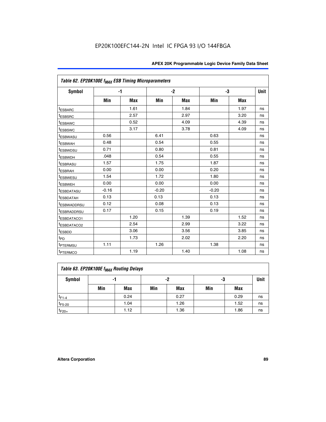| Table 62. EP20K100E f <sub>MAX</sub> ESB Timing Microparameters |         |      |         |            |         |            |             |
|-----------------------------------------------------------------|---------|------|---------|------------|---------|------------|-------------|
| <b>Symbol</b>                                                   |         | $-1$ |         | $-2$       |         | -3         | <b>Unit</b> |
|                                                                 | Min     | Max  | Min     | <b>Max</b> | Min     | <b>Max</b> |             |
| <sup>t</sup> ESBARC                                             |         | 1.61 |         | 1.84       |         | 1.97       | ns          |
| <sup>t</sup> ESBSRC                                             |         | 2.57 |         | 2.97       |         | 3.20       | ns          |
| <sup>t</sup> ESBAWC                                             |         | 0.52 |         | 4.09       |         | 4.39       | ns          |
| <sup>t</sup> ESBSWC                                             |         | 3.17 |         | 3.78       |         | 4.09       | ns          |
| <sup>t</sup> ESBWASU                                            | 0.56    |      | 6.41    |            | 0.63    |            | ns          |
| <sup>t</sup> ESBWAH                                             | 0.48    |      | 0.54    |            | 0.55    |            | ns          |
| <sup>t</sup> ESBWDSU                                            | 0.71    |      | 0.80    |            | 0.81    |            | ns          |
| <sup>t</sup> ESBWDH                                             | .048    |      | 0.54    |            | 0.55    |            | ns          |
| <sup>t</sup> ESBRASU                                            | 1.57    |      | 1.75    |            | 1.87    |            | ns          |
| <sup>t</sup> ESBRAH                                             | 0.00    |      | 0.00    |            | 0.20    |            | ns          |
| <sup>t</sup> ESBWESU                                            | 1.54    |      | 1.72    |            | 1.80    |            | ns          |
| <sup>t</sup> ESBWEH                                             | 0.00    |      | 0.00    |            | 0.00    |            | ns          |
| <sup>t</sup> ESBDATASU                                          | $-0.16$ |      | $-0.20$ |            | $-0.20$ |            | ns          |
| <sup>t</sup> ESBDATAH                                           | 0.13    |      | 0.13    |            | 0.13    |            | ns          |
| <sup>t</sup> ESBWADDRSU                                         | 0.12    |      | 0.08    |            | 0.13    |            | ns          |
| <sup>I</sup> ESBRADDRSU                                         | 0.17    |      | 0.15    |            | 0.19    |            | ns          |
| ESBDATACO1                                                      |         | 1.20 |         | 1.39       |         | 1.52       | ns          |
| ESBDATACO <sub>2</sub>                                          |         | 2.54 |         | 2.99       |         | 3.22       | ns          |
| <sup>t</sup> ESBDD                                              |         | 3.06 |         | 3.56       |         | 3.85       | ns          |
| $t_{PD}$                                                        |         | 1.73 |         | 2.02       |         | 2.20       | ns          |
| t <sub>PTERMSU</sub>                                            | 1.11    |      | 1.26    |            | 1.38    |            | ns          |
| <sup>t</sup> PTERMCO                                            |         | 1.19 |         | 1.40       |         | 1.08       | ns          |

| Table 63. EP20K100E f <sub>MAX</sub> Routing Delays |                |      |     |            |     |      |    |  |  |  |
|-----------------------------------------------------|----------------|------|-----|------------|-----|------|----|--|--|--|
| Symbol                                              | -2<br>-3<br>-1 |      |     |            |     |      |    |  |  |  |
|                                                     | Min            | Max  | Min | <b>Max</b> | Min | Max  |    |  |  |  |
| $t_{F1-4}$                                          |                | 0.24 |     | 0.27       |     | 0.29 | ns |  |  |  |
| $t_{F5-20}$                                         |                | 1.04 |     | 1.26       |     | 1.52 | ns |  |  |  |
| $t_{F20+}$                                          |                | 1.12 |     | 1.36       |     | 1.86 | ns |  |  |  |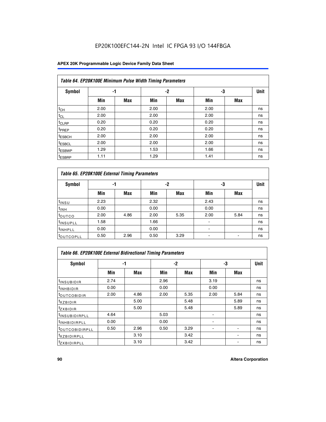### **APEX 20K Programmable Logic Device Family Data Sheet**

|                    | Table 64. EP20K100E Minimum Pulse Width Timing Parameters |            |      |            |      |            |             |  |  |  |  |  |
|--------------------|-----------------------------------------------------------|------------|------|------------|------|------------|-------------|--|--|--|--|--|
| <b>Symbol</b>      | -1                                                        |            |      | $-2$       |      | -3         | <b>Unit</b> |  |  |  |  |  |
|                    | Min                                                       | <b>Max</b> | Min  | <b>Max</b> | Min  | <b>Max</b> |             |  |  |  |  |  |
| $t_{CH}$           | 2.00                                                      |            | 2.00 |            | 2.00 |            | ns          |  |  |  |  |  |
| $t_{CL}$           | 2.00                                                      |            | 2.00 |            | 2.00 |            | ns          |  |  |  |  |  |
| t <sub>CLRP</sub>  | 0.20                                                      |            | 0.20 |            | 0.20 |            | ns          |  |  |  |  |  |
| t <sub>PREP</sub>  | 0.20                                                      |            | 0.20 |            | 0.20 |            | ns          |  |  |  |  |  |
| <sup>t</sup> ESBCH | 2.00                                                      |            | 2.00 |            | 2.00 |            | ns          |  |  |  |  |  |
| <sup>t</sup> ESBCL | 2.00                                                      |            | 2.00 |            | 2.00 |            | ns          |  |  |  |  |  |
| <sup>t</sup> ESBWP | 1.29                                                      |            | 1.53 |            | 1.66 |            | ns          |  |  |  |  |  |
| <sup>t</sup> ESBRP | 1.11                                                      |            | 1.29 |            | 1.41 |            | ns          |  |  |  |  |  |

| Table 65. EP20K100E External Timing Parameters |      |            |      |            |                |            |    |  |  |  |  |
|------------------------------------------------|------|------------|------|------------|----------------|------------|----|--|--|--|--|
| <b>Symbol</b>                                  | -1   |            |      | -2         |                | -3         |    |  |  |  |  |
|                                                | Min  | <b>Max</b> | Min  | <b>Max</b> | Min            | <b>Max</b> |    |  |  |  |  |
| $t_{INSU}$                                     | 2.23 |            | 2.32 |            | 2.43           |            | ns |  |  |  |  |
| $t_{\rm INH}$                                  | 0.00 |            | 0.00 |            | 0.00           |            | ns |  |  |  |  |
| toutco                                         | 2.00 | 4.86       | 2.00 | 5.35       | 2.00           | 5.84       | ns |  |  |  |  |
| <sup>t</sup> INSUPLL                           | 1.58 |            | 1.66 |            |                |            | ns |  |  |  |  |
| <sup>t</sup> INHPLL                            | 0.00 |            | 0.00 |            | $\blacksquare$ |            | ns |  |  |  |  |
| <b>LOUTCOPLL</b>                               | 0.50 | 2.96       | 0.50 | 3.29       | -              |            | ns |  |  |  |  |

| Table 66. EP20K100E External Bidirectional Timing Parameters |      |      |      |      |      |            |      |  |  |  |
|--------------------------------------------------------------|------|------|------|------|------|------------|------|--|--|--|
| Symbol                                                       |      | -1   |      | $-2$ | -3   |            | Unit |  |  |  |
|                                                              | Min  | Max  | Min  | Max  | Min  | <b>Max</b> |      |  |  |  |
| <sup>t</sup> INSUBIDIR                                       | 2.74 |      | 2.96 |      | 3.19 |            | ns   |  |  |  |
| <b>TINHBIDIR</b>                                             | 0.00 |      | 0.00 |      | 0.00 |            | ns   |  |  |  |
| <b>LOUTCOBIDIR</b>                                           | 2.00 | 4.86 | 2.00 | 5.35 | 2.00 | 5.84       | ns   |  |  |  |
| <sup>T</sup> XZBIDIR                                         |      | 5.00 |      | 5.48 |      | 5.89       | ns   |  |  |  |
| $I_{Z}$ XBIDIR                                               |      | 5.00 |      | 5.48 |      | 5.89       | ns   |  |  |  |
| <sup>t</sup> INSUBIDIRPLL                                    | 4.64 |      | 5.03 |      |      |            | ns   |  |  |  |
| <sup>I</sup> INHBIDIRPLL                                     | 0.00 |      | 0.00 |      |      |            | ns   |  |  |  |
| <b><i>COUTCOBIDIRPLL</i></b>                                 | 0.50 | 2.96 | 0.50 | 3.29 |      |            | ns   |  |  |  |
| <sup>I</sup> XZBIDIRPLL                                      |      | 3.10 |      | 3.42 |      |            | ns   |  |  |  |
| <sup>I</sup> ZXBIDIRPLL                                      |      | 3.10 |      | 3.42 |      |            | ns   |  |  |  |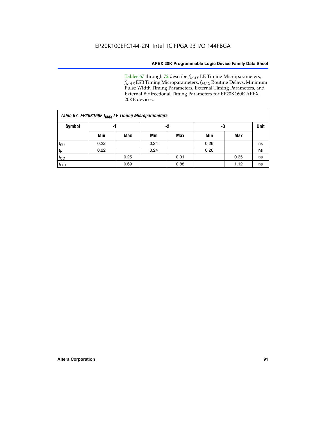Tables 67 through 72 describe *f<sub>MAX</sub>* LE Timing Microparameters, *f<sub>MAX</sub>* ESB Timing Microparameters, *f<sub>MAX</sub>* Routing Delays, Minimum Pulse Width Timing Parameters, External Timing Parameters, and External Bidirectional Timing Parameters for EP20K160E APEX 20KE devices.

| Table 67. EP20K160E f <sub>MAX</sub> LE Timing Microparameters |      |            |      |            |      |      |    |  |  |  |  |
|----------------------------------------------------------------|------|------------|------|------------|------|------|----|--|--|--|--|
| Symbol                                                         | -1   |            |      | -2         |      | -3   |    |  |  |  |  |
|                                                                | Min  | <b>Max</b> | Min  | <b>Max</b> | Min  | Max  |    |  |  |  |  |
| $t_{\text{SU}}$                                                | 0.22 |            | 0.24 |            | 0.26 |      | ns |  |  |  |  |
| $t_H$                                                          | 0.22 |            | 0.24 |            | 0.26 |      | ns |  |  |  |  |
| $t_{CO}$                                                       |      | 0.25       |      | 0.31       |      | 0.35 | ns |  |  |  |  |
| t <sub>LUT</sub>                                               |      | 0.69       |      | 0.88       |      | 1.12 | ns |  |  |  |  |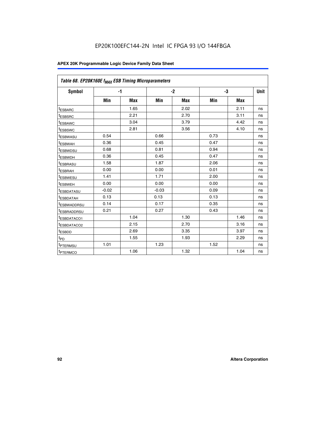| Table 68. EP20K160E f <sub>MAX</sub> ESB Timing Microparameters |         |            |         |            |      |            |             |
|-----------------------------------------------------------------|---------|------------|---------|------------|------|------------|-------------|
| <b>Symbol</b>                                                   |         | $-1$       |         | $-2$       |      | -3         | <b>Unit</b> |
|                                                                 | Min     | <b>Max</b> | Min     | <b>Max</b> | Min  | <b>Max</b> |             |
| <sup>I</sup> ESBARC                                             |         | 1.65       |         | 2.02       |      | 2.11       | ns          |
| <sup>t</sup> ESBSRC                                             |         | 2.21       |         | 2.70       |      | 3.11       | ns          |
| <sup>I</sup> ESBAWC                                             |         | 3.04       |         | 3.79       |      | 4.42       | ns          |
| <sup>I</sup> ESBSWC                                             |         | 2.81       |         | 3.56       |      | 4.10       | ns          |
| <sup>I</sup> ESBWASU                                            | 0.54    |            | 0.66    |            | 0.73 |            | ns          |
| <sup>t</sup> ESBWAH                                             | 0.36    |            | 0.45    |            | 0.47 |            | ns          |
| <sup>I</sup> ESBWDSU                                            | 0.68    |            | 0.81    |            | 0.94 |            | ns          |
| <sup>t</sup> ESBWDH                                             | 0.36    |            | 0.45    |            | 0.47 |            | ns          |
| <sup>t</sup> ESBRASU                                            | 1.58    |            | 1.87    |            | 2.06 |            | ns          |
| <sup>t</sup> ESBRAH                                             | 0.00    |            | 0.00    |            | 0.01 |            | ns          |
| <sup>t</sup> ESBWESU                                            | 1.41    |            | 1.71    |            | 2.00 |            | ns          |
| <sup>t</sup> ESBWEH                                             | 0.00    |            | 0.00    |            | 0.00 |            | ns          |
| <sup>t</sup> ESBDATASU                                          | $-0.02$ |            | $-0.03$ |            | 0.09 |            | ns          |
| <sup>t</sup> ESBDATAH                                           | 0.13    |            | 0.13    |            | 0.13 |            | ns          |
| <b>IESBWADDRSU</b>                                              | 0.14    |            | 0.17    |            | 0.35 |            | ns          |
| <sup>t</sup> ESBRADDRSU                                         | 0.21    |            | 0.27    |            | 0.43 |            | ns          |
| <sup>I</sup> ESBDATACO1                                         |         | 1.04       |         | 1.30       |      | 1.46       | ns          |
| <sup>t</sup> ESBDATACO2                                         |         | 2.15       |         | 2.70       |      | 3.16       | ns          |
| <sup>t</sup> ESBDD                                              |         | 2.69       |         | 3.35       |      | 3.97       | ns          |
| t <sub>PD</sub>                                                 |         | 1.55       |         | 1.93       |      | 2.29       | ns          |
| <i><b>TPTERMSU</b></i>                                          | 1.01    |            | 1.23    |            | 1.52 |            | ns          |
| t <sub>PTERMCO</sub>                                            |         | 1.06       |         | 1.32       |      | 1.04       | ns          |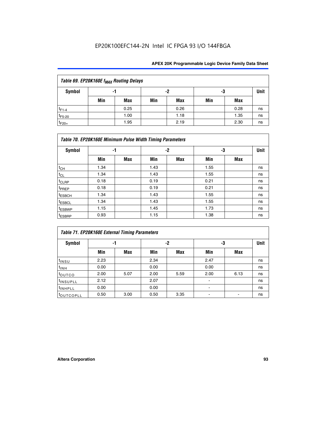| Table 69. EP20K160E f <sub>MAX</sub> Routing Delays |     |      |     |      |     |      |             |  |  |  |  |
|-----------------------------------------------------|-----|------|-----|------|-----|------|-------------|--|--|--|--|
| Symbol<br>-1                                        |     |      |     | -2   | -3  |      | <b>Unit</b> |  |  |  |  |
|                                                     | Min | Max  | Min | Max  | Min | Max  |             |  |  |  |  |
| $t_{F1-4}$                                          |     | 0.25 |     | 0.26 |     | 0.28 | ns          |  |  |  |  |
| $t_{F5-20}$                                         |     | 1.00 |     | 1.18 |     | 1.35 | ns          |  |  |  |  |
| $t_{F20+}$                                          |     | 1.95 |     | 2.19 |     | 2.30 | ns          |  |  |  |  |

| Table 70. EP20K160E Minimum Pulse Width Timing Parameters |      |            |      |            |      |     |             |  |  |  |  |
|-----------------------------------------------------------|------|------------|------|------------|------|-----|-------------|--|--|--|--|
| <b>Symbol</b>                                             |      | -1         |      | $-2$       |      | -3  | <b>Unit</b> |  |  |  |  |
|                                                           | Min  | <b>Max</b> | Min  | <b>Max</b> | Min  | Max |             |  |  |  |  |
| $t_{CH}$                                                  | 1.34 |            | 1.43 |            | 1.55 |     | ns          |  |  |  |  |
| $t_{CL}$                                                  | 1.34 |            | 1.43 |            | 1.55 |     | ns          |  |  |  |  |
| $t_{CLRP}$                                                | 0.18 |            | 0.19 |            | 0.21 |     | ns          |  |  |  |  |
| t <sub>PREP</sub>                                         | 0.18 |            | 0.19 |            | 0.21 |     | ns          |  |  |  |  |
| <sup>t</sup> ESBCH                                        | 1.34 |            | 1.43 |            | 1.55 |     | ns          |  |  |  |  |
| <sup>t</sup> ESBCL                                        | 1.34 |            | 1.43 |            | 1.55 |     | ns          |  |  |  |  |
| t <sub>ESBWP</sub>                                        | 1.15 |            | 1.45 |            | 1.73 |     | ns          |  |  |  |  |
| t <sub>ESBRP</sub>                                        | 0.93 |            | 1.15 |            | 1.38 |     | ns          |  |  |  |  |

| Table 71. EP20K160E External Timing Parameters |      |      |      |      |                |      |      |  |  |  |  |
|------------------------------------------------|------|------|------|------|----------------|------|------|--|--|--|--|
| Symbol                                         | -1   |      |      | -2   | -3             |      | Unit |  |  |  |  |
|                                                | Min  | Max  | Min  | Max  | Min            | Max  |      |  |  |  |  |
| $t_{INSU}$                                     | 2.23 |      | 2.34 |      | 2.47           |      | ns   |  |  |  |  |
| $t_{INH}$                                      | 0.00 |      | 0.00 |      | 0.00           |      | ns   |  |  |  |  |
| toutco                                         | 2.00 | 5.07 | 2.00 | 5.59 | 2.00           | 6.13 | ns   |  |  |  |  |
| <sup>t</sup> INSUPLL                           | 2.12 |      | 2.07 |      | $\blacksquare$ |      | ns   |  |  |  |  |
| <sup>t</sup> INHPLL                            | 0.00 |      | 0.00 |      | ۰              |      | ns   |  |  |  |  |
| toutcopll                                      | 0.50 | 3.00 | 0.50 | 3.35 |                |      | ns   |  |  |  |  |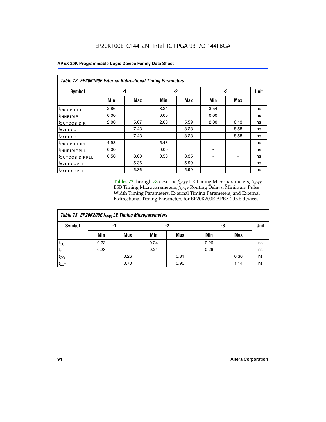|  | <b>APEX 20K Programmable Logic Device Family Data Sheet</b> |
|--|-------------------------------------------------------------|
|--|-------------------------------------------------------------|

|                              | Table 72. EP20K160E External Bidirectional Timing Parameters |      |      |      |                          |                          |    |  |  |  |  |
|------------------------------|--------------------------------------------------------------|------|------|------|--------------------------|--------------------------|----|--|--|--|--|
| Symbol                       | -1                                                           |      |      | $-2$ | -3                       | <b>Unit</b>              |    |  |  |  |  |
|                              | Min                                                          | Max  | Min  | Max  | Min                      | Max                      |    |  |  |  |  |
| t <sub>insubidir</sub>       | 2.86                                                         |      | 3.24 |      | 3.54                     |                          | ns |  |  |  |  |
| <b>UNHBIDIR</b>              | 0.00                                                         |      | 0.00 |      | 0.00                     |                          | ns |  |  |  |  |
| <b>LOUTCOBIDIR</b>           | 2.00                                                         | 5.07 | 2.00 | 5.59 | 2.00                     | 6.13                     | ns |  |  |  |  |
| KZBIDIR                      |                                                              | 7.43 |      | 8.23 |                          | 8.58                     | ns |  |  |  |  |
| <sup>t</sup> zxbidir         |                                                              | 7.43 |      | 8.23 |                          | 8.58                     | ns |  |  |  |  |
| <sup>t</sup> INSUBIDIRPLL    | 4.93                                                         |      | 5.48 |      |                          |                          | ns |  |  |  |  |
| <sup>t</sup> INHBIDIRPLL     | 0.00                                                         |      | 0.00 |      | ٠                        |                          | ns |  |  |  |  |
| <b><i>LOUTCOBIDIRPLL</i></b> | 0.50                                                         | 3.00 | 0.50 | 3.35 | $\overline{\phantom{0}}$ | $\overline{\phantom{0}}$ | ns |  |  |  |  |
| <sup>T</sup> XZBIDIRPLL      |                                                              | 5.36 |      | 5.99 |                          |                          | ns |  |  |  |  |
| <sup>I</sup> ZXBIDIRPLL      |                                                              | 5.36 |      | 5.99 |                          |                          | ns |  |  |  |  |

Tables 73 through 78 describe  $f_{MAX}$  LE Timing Microparameters,  $f_{MAX}$ ESB Timing Microparameters, *f<sub>MAX</sub>* Routing Delays, Minimum Pulse Width Timing Parameters, External Timing Parameters, and External Bidirectional Timing Parameters for EP20K200E APEX 20KE devices.

| Table 73. EP20K200E f <sub>MAX</sub> LE Timing Microparameters |      |      |      |      |      |      |    |  |  |  |  |
|----------------------------------------------------------------|------|------|------|------|------|------|----|--|--|--|--|
| <b>Symbol</b>                                                  | -1   |      |      | -2   |      | -3   |    |  |  |  |  |
|                                                                | Min  | Max  | Min  | Max  | Min  | Max  |    |  |  |  |  |
| $t_{\text{SU}}$                                                | 0.23 |      | 0.24 |      | 0.26 |      | ns |  |  |  |  |
| tμ                                                             | 0.23 |      | 0.24 |      | 0.26 |      | ns |  |  |  |  |
| $t_{CO}$                                                       |      | 0.26 |      | 0.31 |      | 0.36 | ns |  |  |  |  |
| t <sub>LUT</sub>                                               |      | 0.70 |      | 0.90 |      | 1.14 | ns |  |  |  |  |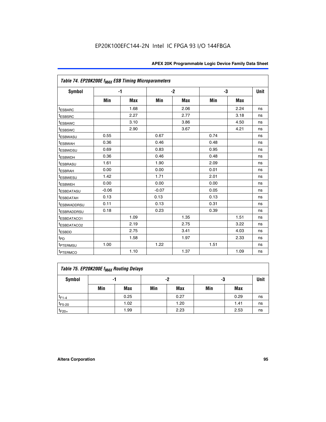|                                     | Table 74. EP20K200E f <sub>MAX</sub> ESB Timing Microparameters |            |         |            |      |            |      |  |  |  |  |
|-------------------------------------|-----------------------------------------------------------------|------------|---------|------------|------|------------|------|--|--|--|--|
| Symbol                              |                                                                 | $-1$       |         | $-2$       |      | -3         | Unit |  |  |  |  |
|                                     | Min                                                             | <b>Max</b> | Min     | <b>Max</b> | Min  | <b>Max</b> |      |  |  |  |  |
| <sup>t</sup> ESBARC                 |                                                                 | 1.68       |         | 2.06       |      | 2.24       | ns   |  |  |  |  |
| <sup>t</sup> ESBSRC                 |                                                                 | 2.27       |         | 2.77       |      | 3.18       | ns   |  |  |  |  |
| t <sub>ESBAWC</sub>                 |                                                                 | 3.10       |         | 3.86       |      | 4.50       | ns   |  |  |  |  |
| <sup>t</sup> ESBSWC                 |                                                                 | 2.90       |         | 3.67       |      | 4.21       | ns   |  |  |  |  |
| t <sub>ESBWASU</sub>                | 0.55                                                            |            | 0.67    |            | 0.74 |            | ns   |  |  |  |  |
| <sup>t</sup> ESBWAH                 | 0.36                                                            |            | 0.46    |            | 0.48 |            | ns   |  |  |  |  |
| <sup>t</sup> ESBWDSU                | 0.69                                                            |            | 0.83    |            | 0.95 |            | ns   |  |  |  |  |
| t <sub>ESBWDH</sub>                 | 0.36                                                            |            | 0.46    |            | 0.48 |            | ns   |  |  |  |  |
| <sup>t</sup> ESBRASU                | 1.61                                                            |            | 1.90    |            | 2.09 |            | ns   |  |  |  |  |
| <sup>t</sup> ESBRAH                 | 0.00                                                            |            | 0.00    |            | 0.01 |            | ns   |  |  |  |  |
| <i>t</i> ESBWESU                    | 1.42                                                            |            | 1.71    |            | 2.01 |            | ns   |  |  |  |  |
| <sup>t</sup> ESBWEH                 | 0.00                                                            |            | 0.00    |            | 0.00 |            | ns   |  |  |  |  |
| <sup>t</sup> ESBDATASU              | $-0.06$                                                         |            | $-0.07$ |            | 0.05 |            | ns   |  |  |  |  |
| <sup>I</sup> ESBDATAH               | 0.13                                                            |            | 0.13    |            | 0.13 |            | ns   |  |  |  |  |
| <sup>t</sup> ESBWADDRSU             | 0.11                                                            |            | 0.13    |            | 0.31 |            | ns   |  |  |  |  |
| <sup>t</sup> ESBRADDRSU             | 0.18                                                            |            | 0.23    |            | 0.39 |            | ns   |  |  |  |  |
| <sup>t</sup> ESBDATACO1             |                                                                 | 1.09       |         | 1.35       |      | 1.51       | ns   |  |  |  |  |
| <sup>t</sup> ESBDATACO <sub>2</sub> |                                                                 | 2.19       |         | 2.75       |      | 3.22       | ns   |  |  |  |  |
| t <sub>ESBDD</sub>                  |                                                                 | 2.75       |         | 3.41       |      | 4.03       | ns   |  |  |  |  |
| $t_{\text{PD}}$                     |                                                                 | 1.58       |         | 1.97       |      | 2.33       | ns   |  |  |  |  |
| <sup>t</sup> PTERMSU                | 1.00                                                            |            | 1.22    |            | 1.51 |            | ns   |  |  |  |  |
| t <sub>PTERMCO</sub>                |                                                                 | 1.10       |         | 1.37       |      | 1.09       | ns   |  |  |  |  |

| Table 75. EP20K200E f <sub>MAX</sub> Routing Delays |     |      |     |            |     |             |    |  |  |  |  |
|-----------------------------------------------------|-----|------|-----|------------|-----|-------------|----|--|--|--|--|
| Symbol                                              |     | -1   |     | -2<br>-3   |     | <b>Unit</b> |    |  |  |  |  |
|                                                     | Min | Max  | Min | <b>Max</b> | Min | Max         |    |  |  |  |  |
| $t_{F1-4}$                                          |     | 0.25 |     | 0.27       |     | 0.29        | ns |  |  |  |  |
| $t_{F5-20}$                                         |     | 1.02 |     | 1.20       |     | 1.41        | ns |  |  |  |  |
| $t_{F20+}$                                          |     | 1.99 |     | 2.23       |     | 2.53        | ns |  |  |  |  |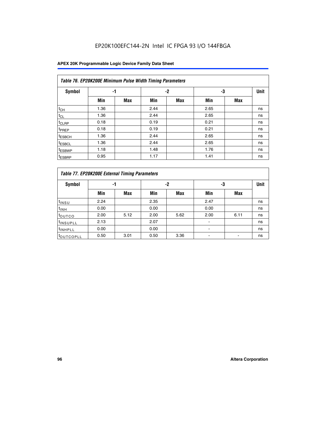|                    | Table 76. EP20K200E Minimum Pulse Width Timing Parameters |            |      |            |      |            |             |  |  |  |  |  |
|--------------------|-----------------------------------------------------------|------------|------|------------|------|------------|-------------|--|--|--|--|--|
| <b>Symbol</b>      | -1                                                        |            |      | $-2$       |      | -3         | <b>Unit</b> |  |  |  |  |  |
|                    | Min                                                       | <b>Max</b> | Min  | <b>Max</b> | Min  | <b>Max</b> |             |  |  |  |  |  |
| $t_{CH}$           | 1.36                                                      |            | 2.44 |            | 2.65 |            | ns          |  |  |  |  |  |
| $t_{CL}$           | 1.36                                                      |            | 2.44 |            | 2.65 |            | ns          |  |  |  |  |  |
| $t_{CLRP}$         | 0.18                                                      |            | 0.19 |            | 0.21 |            | ns          |  |  |  |  |  |
| t <sub>PREP</sub>  | 0.18                                                      |            | 0.19 |            | 0.21 |            | ns          |  |  |  |  |  |
| <sup>t</sup> ESBCH | 1.36                                                      |            | 2.44 |            | 2.65 |            | ns          |  |  |  |  |  |
| <sup>t</sup> ESBCL | 1.36                                                      |            | 2.44 |            | 2.65 |            | ns          |  |  |  |  |  |
| t <sub>ESBWP</sub> | 1.18                                                      |            | 1.48 |            | 1.76 |            | ns          |  |  |  |  |  |
| <sup>t</sup> ESBRP | 0.95                                                      |            | 1.17 |            | 1.41 |            | ns          |  |  |  |  |  |

|                       | Table 77. EP20K200E External Timing Parameters |            |      |            |      |      |             |  |  |  |  |  |  |
|-----------------------|------------------------------------------------|------------|------|------------|------|------|-------------|--|--|--|--|--|--|
| <b>Symbol</b>         |                                                | -1         |      | -2         |      | -3   | <b>Unit</b> |  |  |  |  |  |  |
|                       | Min                                            | <b>Max</b> | Min  | <b>Max</b> | Min  | Max  |             |  |  |  |  |  |  |
| t <sub>INSU</sub>     | 2.24                                           |            | 2.35 |            | 2.47 |      | ns          |  |  |  |  |  |  |
| $t_{\text{INH}}$      | 0.00                                           |            | 0.00 |            | 0.00 |      | ns          |  |  |  |  |  |  |
| toutco                | 2.00                                           | 5.12       | 2.00 | 5.62       | 2.00 | 6.11 | ns          |  |  |  |  |  |  |
| <sup>t</sup> INSUPLL  | 2.13                                           |            | 2.07 |            |      |      | ns          |  |  |  |  |  |  |
| <sup>t</sup> INHPLL   | 0.00                                           |            | 0.00 |            | -    |      | ns          |  |  |  |  |  |  |
| <sup>I</sup> OUTCOPLL | 0.50                                           | 3.01       | 0.50 | 3.36       |      |      | ns          |  |  |  |  |  |  |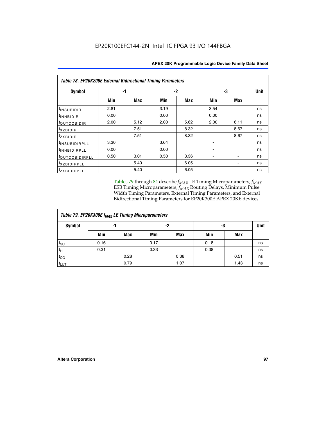| Table 78. EP20K200E External Bidirectional Timing Parameters |      |      |      |      |      |             |    |  |  |  |
|--------------------------------------------------------------|------|------|------|------|------|-------------|----|--|--|--|
| Symbol                                                       |      | -1   |      | $-2$ | -3   | <b>Unit</b> |    |  |  |  |
|                                                              | Min  | Max  | Min  | Max  | Min  | Max         |    |  |  |  |
| $t_{INSUBIDIR}$                                              | 2.81 |      | 3.19 |      | 3.54 |             | ns |  |  |  |
| $t_{INHBIDIR}$                                               | 0.00 |      | 0.00 |      | 0.00 |             | ns |  |  |  |
| t <sub>OUTCOBIDIR</sub>                                      | 2.00 | 5.12 | 2.00 | 5.62 | 2.00 | 6.11        | ns |  |  |  |
| <i>txzbidir</i>                                              |      | 7.51 |      | 8.32 |      | 8.67        | ns |  |  |  |
| tzxbidir                                                     |      | 7.51 |      | 8.32 |      | 8.67        | ns |  |  |  |
| <sup>t</sup> INSUBIDIRPLL                                    | 3.30 |      | 3.64 |      |      |             | ns |  |  |  |
| t <sub>INHBIDIRPLL</sub>                                     | 0.00 |      | 0.00 |      |      |             | ns |  |  |  |
| <sup>t</sup> OUTCOBIDIRPLL                                   | 0.50 | 3.01 | 0.50 | 3.36 |      |             | ns |  |  |  |
| <i>txzBIDIRPLL</i>                                           |      | 5.40 |      | 6.05 |      |             | ns |  |  |  |
| tzxBIDIRPLL                                                  |      | 5.40 |      | 6.05 |      |             | ns |  |  |  |

Tables 79 through 84 describe  $f_{MAX}$  LE Timing Microparameters,  $f_{MAX}$ ESB Timing Microparameters, *f<sub>MAX</sub>* Routing Delays, Minimum Pulse Width Timing Parameters, External Timing Parameters, and External Bidirectional Timing Parameters for EP20K300E APEX 20KE devices.

| Table 79. EP20K300E f <sub>MAX</sub> LE Timing Microparameters |      |            |      |            |      |            |             |  |  |  |  |
|----------------------------------------------------------------|------|------------|------|------------|------|------------|-------------|--|--|--|--|
| <b>Symbol</b>                                                  |      | -1         |      | -2         |      | -3         | <b>Unit</b> |  |  |  |  |
|                                                                | Min  | <b>Max</b> | Min  | <b>Max</b> | Min  | <b>Max</b> |             |  |  |  |  |
| $t_{\text{SU}}$                                                | 0.16 |            | 0.17 |            | 0.18 |            | ns          |  |  |  |  |
| $t_H$                                                          | 0.31 |            | 0.33 |            | 0.38 |            | ns          |  |  |  |  |
| $t_{CO}$                                                       |      | 0.28       |      | 0.38       |      | 0.51       | ns          |  |  |  |  |
| $t_{LUT}$                                                      |      | 0.79       |      | 1.07       |      | 1.43       | ns          |  |  |  |  |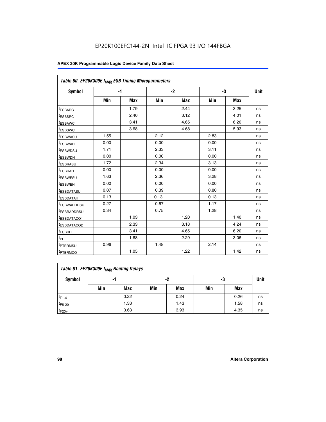| Table 80. EP20K300E f <sub>MAX</sub> ESB Timing Microparameters |      |      |      |      |      |      |      |
|-----------------------------------------------------------------|------|------|------|------|------|------|------|
| <b>Symbol</b>                                                   |      | $-1$ |      | $-2$ |      | -3   | Unit |
|                                                                 | Min  | Max  | Min  | Max  | Min  | Max  |      |
| <sup>t</sup> ESBARC                                             |      | 1.79 |      | 2.44 |      | 3.25 | ns   |
| t <sub>ESBSRC</sub>                                             |      | 2.40 |      | 3.12 |      | 4.01 | ns   |
| t <sub>ESBAWC</sub>                                             |      | 3.41 |      | 4.65 |      | 6.20 | ns   |
| <sup>t</sup> ESBSWC                                             |      | 3.68 |      | 4.68 |      | 5.93 | ns   |
| t <sub>ESBWASU</sub>                                            | 1.55 |      | 2.12 |      | 2.83 |      | ns   |
| t <sub>ESBWAH</sub>                                             | 0.00 |      | 0.00 |      | 0.00 |      | ns   |
| <sup>t</sup> ESBWDSU                                            | 1.71 |      | 2.33 |      | 3.11 |      | ns   |
| <sup>t</sup> ESBWDH                                             | 0.00 |      | 0.00 |      | 0.00 |      | ns   |
| t <sub>ESBRASU</sub>                                            | 1.72 |      | 2.34 |      | 3.13 |      | ns   |
| <sup>t</sup> ESBRAH                                             | 0.00 |      | 0.00 |      | 0.00 |      | ns   |
| t <sub>ESBWESU</sub>                                            | 1.63 |      | 2.36 |      | 3.28 |      | ns   |
| <sup>t</sup> ESBWEH                                             | 0.00 |      | 0.00 |      | 0.00 |      | ns   |
| <sup>t</sup> ESBDATASU                                          | 0.07 |      | 0.39 |      | 0.80 |      | ns   |
| <sup>t</sup> ESBDATAH                                           | 0.13 |      | 0.13 |      | 0.13 |      | ns   |
| <sup>t</sup> ESBWADDRSU                                         | 0.27 |      | 0.67 |      | 1.17 |      | ns   |
| tESBRADDRSU                                                     | 0.34 |      | 0.75 |      | 1.28 |      | ns   |
| <sup>I</sup> ESBDATACO1                                         |      | 1.03 |      | 1.20 |      | 1.40 | ns   |
| <sup>t</sup> ESBDATACO2                                         |      | 2.33 |      | 3.18 |      | 4.24 | ns   |
| <sup>t</sup> ESBDD                                              |      | 3.41 |      | 4.65 |      | 6.20 | ns   |
| t <sub>PD</sub>                                                 |      | 1.68 |      | 2.29 |      | 3.06 | ns   |
| t <sub>PTERMSU</sub>                                            | 0.96 |      | 1.48 |      | 2.14 |      | ns   |
| t <sub>PTERMCO</sub>                                            |      | 1.05 |      | 1.22 |      | 1.42 | ns   |

| Table 81. EP20K300E f <sub>MAX</sub> Routing Delays |          |      |     |            |     |      |    |  |  |  |  |
|-----------------------------------------------------|----------|------|-----|------------|-----|------|----|--|--|--|--|
| Symbol                                              | -2<br>-1 |      |     |            |     |      |    |  |  |  |  |
|                                                     | Min      | Max  | Min | <b>Max</b> | Min | Max  |    |  |  |  |  |
| $t_{F1-4}$                                          |          | 0.22 |     | 0.24       |     | 0.26 | ns |  |  |  |  |
| $t_{F5-20}$                                         |          | 1.33 |     | 1.43       |     | 1.58 | ns |  |  |  |  |
| $t_{F20+}$                                          |          | 3.63 |     | 3.93       |     | 4.35 | ns |  |  |  |  |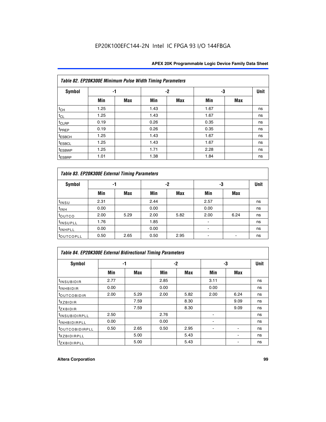|                    | Table 82. EP20K300E Minimum Pulse Width Timing Parameters |            |      |            |      |            |             |  |  |  |  |  |
|--------------------|-----------------------------------------------------------|------------|------|------------|------|------------|-------------|--|--|--|--|--|
| <b>Symbol</b>      | -1                                                        |            |      | -2         | -3   |            | <b>Unit</b> |  |  |  |  |  |
|                    | Min                                                       | <b>Max</b> | Min  | <b>Max</b> | Min  | <b>Max</b> |             |  |  |  |  |  |
| $t_{CH}$           | 1.25                                                      |            | 1.43 |            | 1.67 |            | ns          |  |  |  |  |  |
| $t_{CL}$           | 1.25                                                      |            | 1.43 |            | 1.67 |            | ns          |  |  |  |  |  |
| t <sub>CLRP</sub>  | 0.19                                                      |            | 0.26 |            | 0.35 |            | ns          |  |  |  |  |  |
| t <sub>PREP</sub>  | 0.19                                                      |            | 0.26 |            | 0.35 |            | ns          |  |  |  |  |  |
| <sup>t</sup> ESBCH | 1.25                                                      |            | 1.43 |            | 1.67 |            | ns          |  |  |  |  |  |
| <sup>t</sup> ESBCL | 1.25                                                      |            | 1.43 |            | 1.67 |            | ns          |  |  |  |  |  |
| t <sub>ESBWP</sub> | 1.25                                                      |            | 1.71 |            | 2.28 |            | ns          |  |  |  |  |  |
| <sup>t</sup> ESBRP | 1.01                                                      |            | 1.38 |            | 1.84 |            | ns          |  |  |  |  |  |

| Table 83. EP20K300E External Timing Parameters |      |      |      |      |      |            |    |  |  |  |  |
|------------------------------------------------|------|------|------|------|------|------------|----|--|--|--|--|
| Symbol                                         |      | -1   |      | -2   |      | -3         |    |  |  |  |  |
|                                                | Min  | Max  | Min  | Max  | Min  | <b>Max</b> |    |  |  |  |  |
| t <sub>INSU</sub>                              | 2.31 |      | 2.44 |      | 2.57 |            | ns |  |  |  |  |
| $t_{\rm INH}$                                  | 0.00 |      | 0.00 |      | 0.00 |            | ns |  |  |  |  |
| toutco                                         | 2.00 | 5.29 | 2.00 | 5.82 | 2.00 | 6.24       | ns |  |  |  |  |
| <sup>t</sup> INSUPLL                           | 1.76 |      | 1.85 |      |      |            | ns |  |  |  |  |
| <sup>t</sup> INHPLL                            | 0.00 |      | 0.00 |      | -    |            | ns |  |  |  |  |
| <sup>t</sup> OUTCOPLL                          | 0.50 | 2.65 | 0.50 | 2.95 |      |            | ns |  |  |  |  |

| Table 84. EP20K300E External Bidirectional Timing Parameters |      |      |      |      |      |            |             |  |  |  |
|--------------------------------------------------------------|------|------|------|------|------|------------|-------------|--|--|--|
| Symbol                                                       |      | -1   | $-2$ |      |      | -3         | <b>Unit</b> |  |  |  |
|                                                              | Min  | Max  | Min  | Max  | Min  | <b>Max</b> |             |  |  |  |
| <sup>t</sup> INSUBIDIR                                       | 2.77 |      | 2.85 |      | 3.11 |            | ns          |  |  |  |
| <b>TINHBIDIR</b>                                             | 0.00 |      | 0.00 |      | 0.00 |            | ns          |  |  |  |
| <sup>t</sup> OUTCOBIDIR                                      | 2.00 | 5.29 | 2.00 | 5.82 | 2.00 | 6.24       | ns          |  |  |  |
| KZBIDIR                                                      |      | 7.59 |      | 8.30 |      | 9.09       | ns          |  |  |  |
| $t_{Z}$ <i>x</i> BIDIR                                       |      | 7.59 |      | 8.30 |      | 9.09       | ns          |  |  |  |
| <b>INSUBIDIRPLL</b>                                          | 2.50 |      | 2.76 |      |      |            | ns          |  |  |  |
| <sup>t</sup> INHBIDIRPLL                                     | 0.00 |      | 0.00 |      |      |            | ns          |  |  |  |
| <sup>t</sup> OUTCOBIDIRPLL                                   | 0.50 | 2.65 | 0.50 | 2.95 |      |            | ns          |  |  |  |
| <sup>t</sup> XZBIDIRPLL                                      |      | 5.00 |      | 5.43 |      |            | ns          |  |  |  |
| <sup>t</sup> ZXBIDIRPLL                                      |      | 5.00 |      | 5.43 |      |            | ns          |  |  |  |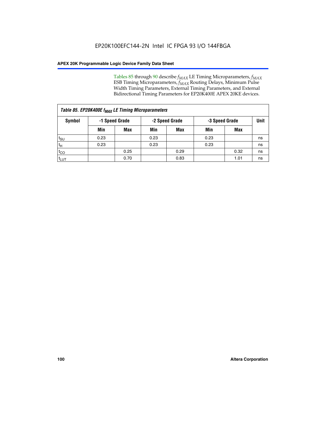Tables 85 through 90 describe  $f_{MAX}$  LE Timing Microparameters,  $f_{MAX}$ ESB Timing Microparameters, *f<sub>MAX</sub>* Routing Delays, Minimum Pulse Width Timing Parameters, External Timing Parameters, and External Bidirectional Timing Parameters for EP20K400E APEX 20KE devices.

| Table 85. EP20K400E f <sub>MAX</sub> LE Timing Microparameters |                |            |                |            |                |      |      |  |  |  |  |
|----------------------------------------------------------------|----------------|------------|----------------|------------|----------------|------|------|--|--|--|--|
| Symbol                                                         | -1 Speed Grade |            | -2 Speed Grade |            | -3 Speed Grade |      | Unit |  |  |  |  |
|                                                                | Min            | <b>Max</b> | Min            | <b>Max</b> | Min            | Max  |      |  |  |  |  |
| $t_{\text{SU}}$                                                | 0.23           |            | 0.23           |            | 0.23           |      | ns   |  |  |  |  |
| $t_H$                                                          | 0.23           |            | 0.23           |            | 0.23           |      | ns   |  |  |  |  |
| $t_{CO}$                                                       |                | 0.25       |                | 0.29       |                | 0.32 | ns   |  |  |  |  |
| ι <sup>t</sup> ιυτ                                             |                | 0.70       |                | 0.83       |                | 1.01 | ns   |  |  |  |  |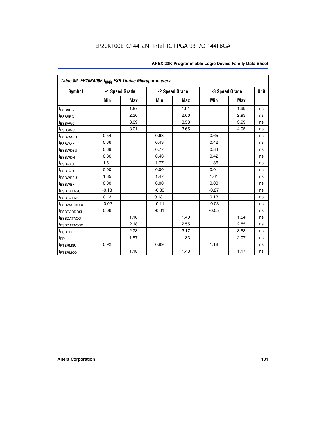| Table 86. EP20K400E f <sub>MAX</sub> ESB Timing Microparameters |         |                |         |                |         |                |             |
|-----------------------------------------------------------------|---------|----------------|---------|----------------|---------|----------------|-------------|
| Symbol                                                          |         | -1 Speed Grade |         | -2 Speed Grade |         | -3 Speed Grade | <b>Unit</b> |
|                                                                 | Min     | <b>Max</b>     | Min     | <b>Max</b>     | Min     | <b>Max</b>     |             |
| <sup>t</sup> ESBARC                                             |         | 1.67           |         | 1.91           |         | 1.99           | ns          |
| <sup>t</sup> ESBSRC                                             |         | 2.30           |         | 2.66           |         | 2.93           | ns          |
| <sup>t</sup> ESBAWC                                             |         | 3.09           |         | 3.58           |         | 3.99           | ns          |
| <sup>t</sup> ESBSWC                                             |         | 3.01           |         | 3.65           |         | 4.05           | ns          |
| <sup>t</sup> ESBWASU                                            | 0.54    |                | 0.63    |                | 0.65    |                | ns          |
| t <sub>ESBWAH</sub>                                             | 0.36    |                | 0.43    |                | 0.42    |                | ns          |
| <sup>t</sup> ESBWDSU                                            | 0.69    |                | 0.77    |                | 0.84    |                | ns          |
| <sup>t</sup> ESBWDH                                             | 0.36    |                | 0.43    |                | 0.42    |                | ns          |
| <sup>t</sup> ESBRASU                                            | 1.61    |                | 1.77    |                | 1.86    |                | ns          |
| <sup>t</sup> ESBRAH                                             | 0.00    |                | 0.00    |                | 0.01    |                | ns          |
| t <sub>ESBWESU</sub>                                            | 1.35    |                | 1.47    |                | 1.61    |                | ns          |
| t <sub>ESBWEH</sub>                                             | 0.00    |                | 0.00    |                | 0.00    |                | ns          |
| <sup>I</sup> ESBDATASU                                          | $-0.18$ |                | $-0.30$ |                | $-0.27$ |                | ns          |
| <b>ESBDATAH</b>                                                 | 0.13    |                | 0.13    |                | 0.13    |                | ns          |
| <sup>t</sup> ESBWADDRSU                                         | $-0.02$ |                | $-0.11$ |                | $-0.03$ |                | ns          |
| t <sub>ESBRADDRSU</sub>                                         | 0.06    |                | $-0.01$ |                | $-0.05$ |                | ns          |
| <sup>t</sup> ESBDATACO1                                         |         | 1.16           |         | 1.40           |         | 1.54           | ns          |
| <sup>I</sup> ESBDATACO2                                         |         | 2.18           |         | 2.55           |         | 2.85           | ns          |
| <sup>t</sup> ESBDD                                              |         | 2.73           |         | 3.17           |         | 3.58           | ns          |
| $t_{\mathsf{PD}}$                                               |         | 1.57           |         | 1.83           |         | 2.07           | ns          |
| t <sub>PTERMSU</sub>                                            | 0.92    |                | 0.99    |                | 1.18    |                | ns          |
| <sup>t</sup> PTERMCO                                            |         | 1.18           |         | 1.43           |         | 1.17           | ns          |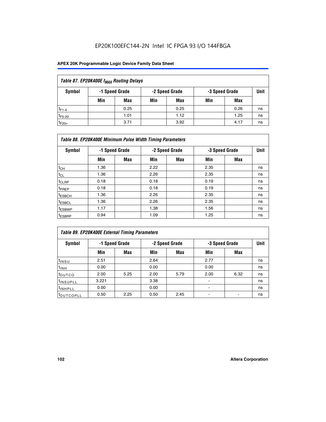| Table 87. EP20K400E f <sub>MAX</sub> Routing Delays |     |                |                |                |     |      |    |  |  |  |  |
|-----------------------------------------------------|-----|----------------|----------------|----------------|-----|------|----|--|--|--|--|
| Symbol                                              |     | -1 Speed Grade | -2 Speed Grade | -3 Speed Grade |     | Unit |    |  |  |  |  |
|                                                     | Min | <b>Max</b>     | Min            | Max            | Min | Max  |    |  |  |  |  |
| $t_{F1-4}$                                          |     | 0.25           |                | 0.25           |     | 0.26 | ns |  |  |  |  |
| $t_{F5-20}$                                         |     | 1.01           |                | 1.12           |     | 1.25 | ns |  |  |  |  |
| $t_{F20+}$                                          |     | 3.71           |                | 3.92           |     | 4.17 | ns |  |  |  |  |

|                    | Table 88. EP20K400E Minimum Pulse Width Timing Parameters |                |      |                |      |                |             |  |  |  |  |  |
|--------------------|-----------------------------------------------------------|----------------|------|----------------|------|----------------|-------------|--|--|--|--|--|
| Symbol             |                                                           | -1 Speed Grade |      | -2 Speed Grade |      | -3 Speed Grade | <b>Unit</b> |  |  |  |  |  |
|                    | Min                                                       | <b>Max</b>     | Min  | <b>Max</b>     | Min  | <b>Max</b>     |             |  |  |  |  |  |
| $t_{CH}$           | 1.36                                                      |                | 2.22 |                | 2.35 |                | ns          |  |  |  |  |  |
| $t_{CL}$           | 1.36                                                      |                | 2.26 |                | 2.35 |                | ns          |  |  |  |  |  |
| $t_{CLRP}$         | 0.18                                                      |                | 0.18 |                | 0.19 |                | ns          |  |  |  |  |  |
| <sup>t</sup> PREP  | 0.18                                                      |                | 0.18 |                | 0.19 |                | ns          |  |  |  |  |  |
| <sup>t</sup> ESBCH | 1.36                                                      |                | 2.26 |                | 2.35 |                | ns          |  |  |  |  |  |
| <sup>t</sup> ESBCL | 1.36                                                      |                | 2.26 |                | 2.35 |                | ns          |  |  |  |  |  |
| <sup>t</sup> ESBWP | 1.17                                                      |                | 1.38 |                | 1.56 |                | ns          |  |  |  |  |  |
| <sup>t</sup> ESBRP | 0.94                                                      |                | 1.09 |                | 1.25 |                | ns          |  |  |  |  |  |

| Table 89. EP20K400E External Timing Parameters |                |      |      |                |                          |      |             |  |  |  |  |
|------------------------------------------------|----------------|------|------|----------------|--------------------------|------|-------------|--|--|--|--|
| Symbol                                         | -1 Speed Grade |      |      | -2 Speed Grade | -3 Speed Grade           |      | <b>Unit</b> |  |  |  |  |
|                                                | Min            | Max  | Min  | <b>Max</b>     | Min                      | Max  |             |  |  |  |  |
| t <sub>INSU</sub>                              | 2.51           |      | 2.64 |                | 2.77                     |      | ns          |  |  |  |  |
| $t_{INH}$                                      | 0.00           |      | 0.00 |                | 0.00                     |      | ns          |  |  |  |  |
| toutco                                         | 2.00           | 5.25 | 2.00 | 5.79           | 2.00                     | 6.32 | ns          |  |  |  |  |
| <sup>t</sup> INSUPLL                           | 3.221          |      | 3.38 |                | ٠                        |      | ns          |  |  |  |  |
| I <sup>t</sup> INHPLL                          | 0.00           |      | 0.00 |                | $\overline{\phantom{a}}$ |      | ns          |  |  |  |  |
| t <sub>outcopll</sub>                          | 0.50           | 2.25 | 0.50 | 2.45           | ٠                        |      | ns          |  |  |  |  |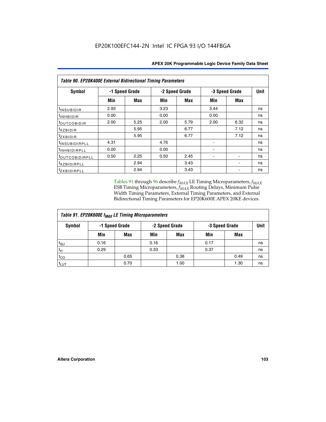| Table 90. EP20K400E External Bidirectional Timing Parameters |                |            |                |      |                |             |    |  |  |  |  |
|--------------------------------------------------------------|----------------|------------|----------------|------|----------------|-------------|----|--|--|--|--|
| Symbol                                                       | -1 Speed Grade |            | -2 Speed Grade |      | -3 Speed Grade | <b>Unit</b> |    |  |  |  |  |
|                                                              | Min            | <b>Max</b> | Min            | Max  | Min            | <b>Max</b>  |    |  |  |  |  |
| <sup>t</sup> INSUBIDIR                                       | 2.93           |            | 3.23           |      | 3.44           |             | ns |  |  |  |  |
| $t_{\text{INHBIDIR}}$                                        | 0.00           |            | 0.00           |      | 0.00           |             | ns |  |  |  |  |
| toutcobidir                                                  | 2.00           | 5.25       | 2.00           | 5.79 | 2.00           | 6.32        | ns |  |  |  |  |
| $t_{XZBIDIR}$                                                |                | 5.95       |                | 6.77 |                | 7.12        | ns |  |  |  |  |
| tzxbidir                                                     |                | 5.95       |                | 6.77 |                | 7.12        | ns |  |  |  |  |
| <sup>t</sup> insubidirpll                                    | 4.31           |            | 4.76           |      |                |             | ns |  |  |  |  |
| <sup>t</sup> inhbidirpll                                     | 0.00           |            | 0.00           |      |                |             | ns |  |  |  |  |
| <sup>t</sup> OUTCOBIDIRPLL                                   | 0.50           | 2.25       | 0.50           | 2.45 |                |             | ns |  |  |  |  |
| <sup>t</sup> XZBIDIRPLL                                      |                | 2.94       |                | 3.43 |                |             | ns |  |  |  |  |
| tzxBIDIRPLL                                                  |                | 2.94       |                | 3.43 |                |             | ns |  |  |  |  |

Tables 91 through 96 describe  $f_{MAX}$  LE Timing Microparameters,  $f_{MAX}$ ESB Timing Microparameters, *f<sub>MAX</sub>* Routing Delays, Minimum Pulse Width Timing Parameters, External Timing Parameters, and External Bidirectional Timing Parameters for EP20K600E APEX 20KE devices.

| Table 91. EP20K600E f <sub>MAX</sub> LE Timing Microparameters |                |            |                |            |                |      |      |  |  |  |
|----------------------------------------------------------------|----------------|------------|----------------|------------|----------------|------|------|--|--|--|
| Symbol                                                         | -1 Speed Grade |            | -2 Speed Grade |            | -3 Speed Grade |      | Unit |  |  |  |
|                                                                | Min            | <b>Max</b> | Min            | <b>Max</b> | Min            | Max  |      |  |  |  |
| $t_{\text{SU}}$                                                | 0.16           |            | 0.16           |            | 0.17           |      | ns   |  |  |  |
| $t_H$                                                          | 0.29           |            | 0.33           |            | 0.37           |      | ns   |  |  |  |
| $t_{CO}$                                                       |                | 0.65       |                | 0.38       |                | 0.49 | ns   |  |  |  |
| $t_{LUT}$                                                      |                | 0.70       |                | 1.00       |                | 1.30 | ns   |  |  |  |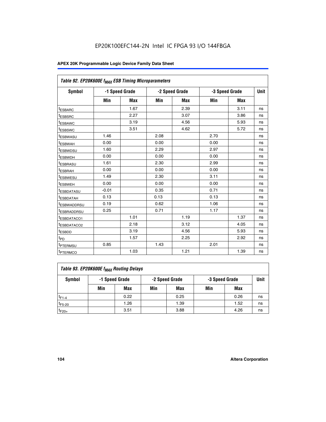|                         | Table 92. EP20K600E f <sub>MAX</sub> ESB Timing Microparameters |                |      |                |      |                |      |  |  |  |
|-------------------------|-----------------------------------------------------------------|----------------|------|----------------|------|----------------|------|--|--|--|
| <b>Symbol</b>           |                                                                 | -1 Speed Grade |      | -2 Speed Grade |      | -3 Speed Grade | Unit |  |  |  |
|                         | Min                                                             | <b>Max</b>     | Min  | <b>Max</b>     | Min  | <b>Max</b>     |      |  |  |  |
| <sup>t</sup> ESBARC     |                                                                 | 1.67           |      | 2.39           |      | 3.11           | ns   |  |  |  |
| t <sub>ESBSRC</sub>     |                                                                 | 2.27           |      | 3.07           |      | 3.86           | ns   |  |  |  |
| t <sub>ESBAWC</sub>     |                                                                 | 3.19           |      | 4.56           |      | 5.93           | ns   |  |  |  |
| t <sub>ESBSWC</sub>     |                                                                 | 3.51           |      | 4.62           |      | 5.72           | ns   |  |  |  |
| <sup>t</sup> ESBWASU    | 1.46                                                            |                | 2.08 |                | 2.70 |                | ns   |  |  |  |
| <sup>t</sup> ESBWAH     | 0.00                                                            |                | 0.00 |                | 0.00 |                | ns   |  |  |  |
| t <sub>ESBWDSU</sub>    | 1.60                                                            |                | 2.29 |                | 2.97 |                | ns   |  |  |  |
| <sup>t</sup> ESBWDH     | 0.00                                                            |                | 0.00 |                | 0.00 |                | ns   |  |  |  |
| <sup>t</sup> ESBRASU    | 1.61                                                            |                | 2.30 |                | 2.99 |                | ns   |  |  |  |
| <sup>t</sup> ESBRAH     | 0.00                                                            |                | 0.00 |                | 0.00 |                | ns   |  |  |  |
| t <sub>ESBWESU</sub>    | 1.49                                                            |                | 2.30 |                | 3.11 |                | ns   |  |  |  |
| t <sub>ESBWEH</sub>     | 0.00                                                            |                | 0.00 |                | 0.00 |                | ns   |  |  |  |
| <sup>t</sup> ESBDATASU  | $-0.01$                                                         |                | 0.35 |                | 0.71 |                | ns   |  |  |  |
| <sup>t</sup> ESBDATAH   | 0.13                                                            |                | 0.13 |                | 0.13 |                | ns   |  |  |  |
| <sup>t</sup> ESBWADDRSU | 0.19                                                            |                | 0.62 |                | 1.06 |                | ns   |  |  |  |
| tESBRADDRSU             | 0.25                                                            |                | 0.71 |                | 1.17 |                | ns   |  |  |  |
| <sup>I</sup> ESBDATACO1 |                                                                 | 1.01           |      | 1.19           |      | 1.37           | ns   |  |  |  |
| <sup>t</sup> ESBDATACO2 |                                                                 | 2.18           |      | 3.12           |      | 4.05           | ns   |  |  |  |
| <sup>t</sup> ESBDD      |                                                                 | 3.19           |      | 4.56           |      | 5.93           | ns   |  |  |  |
| t <sub>PD</sub>         |                                                                 | 1.57           |      | 2.25           |      | 2.92           | ns   |  |  |  |
| t <sub>PTERMSU</sub>    | 0.85                                                            |                | 1.43 |                | 2.01 |                | ns   |  |  |  |
| t <sub>PTERMCO</sub>    |                                                                 | 1.03           |      | 1.21           |      | 1.39           | ns   |  |  |  |

| Table 93. EP20K600E f <sub>MAX</sub> Routing Delays |                |      |     |                |     |                |      |  |  |  |  |
|-----------------------------------------------------|----------------|------|-----|----------------|-----|----------------|------|--|--|--|--|
| Symbol                                              | -1 Speed Grade |      |     | -2 Speed Grade |     | -3 Speed Grade | Unit |  |  |  |  |
|                                                     | Min            | Max  | Min | Max            | Min | Max            |      |  |  |  |  |
| $t_{F1-4}$                                          |                | 0.22 |     | 0.25           |     | 0.26           | ns   |  |  |  |  |
| $t_{F5-20}$                                         |                | 1.26 |     | 1.39           |     | 1.52           | ns   |  |  |  |  |
| $t_{F20+}$                                          |                | 3.51 |     | 3.88           |     | 4.26           | ns   |  |  |  |  |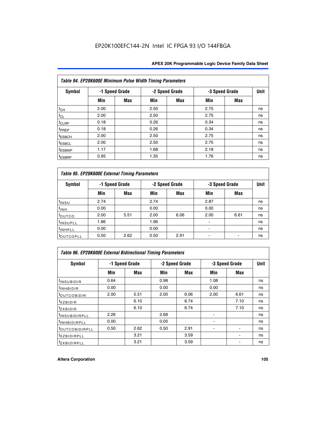|                    | Table 94. EP20K600E Minimum Pulse Width Timing Parameters |                |      |                |                |            |             |  |  |  |  |  |
|--------------------|-----------------------------------------------------------|----------------|------|----------------|----------------|------------|-------------|--|--|--|--|--|
| Symbol             |                                                           | -1 Speed Grade |      | -2 Speed Grade | -3 Speed Grade |            | <b>Unit</b> |  |  |  |  |  |
|                    | Min                                                       | Max            | Min  | Max            | Min            | <b>Max</b> |             |  |  |  |  |  |
| $t_{CH}$           | 2.00                                                      |                | 2.50 |                | 2.75           |            | ns          |  |  |  |  |  |
| $t_{CL}$           | 2.00                                                      |                | 2.50 |                | 2.75           |            | ns          |  |  |  |  |  |
| $t_{CLRP}$         | 0.18                                                      |                | 0.26 |                | 0.34           |            | ns          |  |  |  |  |  |
| t <sub>PREP</sub>  | 0.18                                                      |                | 0.26 |                | 0.34           |            | ns          |  |  |  |  |  |
| <sup>t</sup> ESBCH | 2.00                                                      |                | 2.50 |                | 2.75           |            | ns          |  |  |  |  |  |
| <sup>t</sup> ESBCL | 2.00                                                      |                | 2.50 |                | 2.75           |            | ns          |  |  |  |  |  |
| <sup>t</sup> ESBWP | 1.17                                                      |                | 1.68 |                | 2.18           |            | ns          |  |  |  |  |  |
| <sup>t</sup> ESBRP | 0.95                                                      |                | 1.35 |                | 1.76           |            | ns          |  |  |  |  |  |

|                      | Table 95. EP20K600E External Timing Parameters |                |      |                |                          |                |    |  |  |  |  |  |
|----------------------|------------------------------------------------|----------------|------|----------------|--------------------------|----------------|----|--|--|--|--|--|
| Symbol               |                                                | -1 Speed Grade |      | -2 Speed Grade |                          | -3 Speed Grade |    |  |  |  |  |  |
|                      | Min                                            | Max            | Min  | Max            | Min                      | Max            |    |  |  |  |  |  |
| t <sub>insu</sub>    | 2.74                                           |                | 2.74 |                | 2.87                     |                | ns |  |  |  |  |  |
| $t_{INH}$            | 0.00                                           |                | 0.00 |                | 0.00                     |                | ns |  |  |  |  |  |
| toutco               | 2.00                                           | 5.51           | 2.00 | 6.06           | 2.00                     | 6.61           | ns |  |  |  |  |  |
| <sup>t</sup> INSUPLL | 1.86                                           |                | 1.96 |                |                          |                | ns |  |  |  |  |  |
| <sup>t</sup> INHPLL  | 0.00                                           |                | 0.00 |                | $\overline{\phantom{a}}$ |                | ns |  |  |  |  |  |
| <b>LOUTCOPLL</b>     | 0.50                                           | 2.62           | 0.50 | 2.91           |                          |                | ns |  |  |  |  |  |

| Table 96. EP20K600E External Bidirectional Timing Parameters |                |      |      |                |                |             |    |  |  |  |
|--------------------------------------------------------------|----------------|------|------|----------------|----------------|-------------|----|--|--|--|
| Symbol                                                       | -1 Speed Grade |      |      | -2 Speed Grade | -3 Speed Grade | <b>Unit</b> |    |  |  |  |
|                                                              | Min            | Max  | Min  | Max            | Min            | <b>Max</b>  |    |  |  |  |
| <sup>t</sup> INSUBIDIR                                       | 0.64           |      | 0.98 |                | 1.08           |             | ns |  |  |  |
| <sup>t</sup> INHBIDIR                                        | 0.00           |      | 0.00 |                | 0.00           |             | ns |  |  |  |
| <sup>t</sup> OUTCOBIDIR                                      | 2.00           | 5.51 | 2.00 | 6.06           | 2.00           | 6.61        | ns |  |  |  |
| $t_{XZBIDIR}$                                                |                | 6.10 |      | 6.74           |                | 7.10        | ns |  |  |  |
| $t_{ZXBIDIR}$                                                |                | 6.10 |      | 6.74           |                | 7.10        | ns |  |  |  |
| <sup>t</sup> INSUBIDIRPLL                                    | 2.26           |      | 2.68 |                |                |             | ns |  |  |  |
| <sup>t</sup> INHBIDIRPLL                                     | 0.00           |      | 0.00 |                |                |             | ns |  |  |  |
| <b><i>LOUTCOBIDIRPLL</i></b>                                 | 0.50           | 2.62 | 0.50 | 2.91           |                |             | ns |  |  |  |
| <sup>t</sup> xzbidirpll                                      |                | 3.21 |      | 3.59           |                |             | ns |  |  |  |
| <i>t</i> zxbidirpll                                          |                | 3.21 |      | 3.59           |                | ٠           | ns |  |  |  |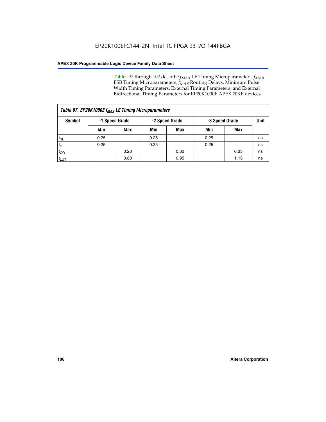Tables 97 through 102 describe  $f_{MAX}$  LE Timing Microparameters,  $f_{MAX}$ ESB Timing Microparameters, *f<sub>MAX</sub>* Routing Delays, Minimum Pulse Width Timing Parameters, External Timing Parameters, and External Bidirectional Timing Parameters for EP20K1000E APEX 20KE devices.

|                  | Table 97. EP20K1000E f <sub>MAX</sub> LE Timing Microparameters |            |                |            |                |      |      |  |  |  |  |  |
|------------------|-----------------------------------------------------------------|------------|----------------|------------|----------------|------|------|--|--|--|--|--|
| Symbol           | -1 Speed Grade                                                  |            | -2 Speed Grade |            | -3 Speed Grade |      | Unit |  |  |  |  |  |
|                  | Min                                                             | <b>Max</b> | Min            | <b>Max</b> | Min            | Max  |      |  |  |  |  |  |
| $t_{\text{SU}}$  | 0.25                                                            |            | 0.25           |            | 0.25           |      | ns   |  |  |  |  |  |
| $t_H$            | 0.25                                                            |            | 0.25           |            | 0.25           |      | ns   |  |  |  |  |  |
| $t_{CO}$         |                                                                 | 0.28       |                | 0.32       |                | 0.33 | ns   |  |  |  |  |  |
| t <sub>LUT</sub> |                                                                 | 0.80       |                | 0.95       |                | 1.13 | ns   |  |  |  |  |  |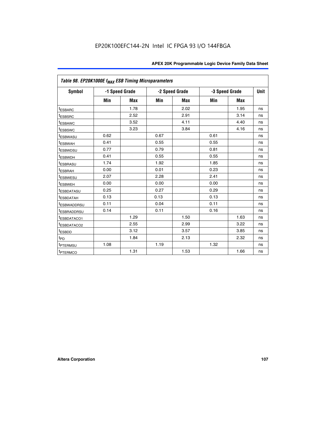|                         | Table 98. EP20K1000E f <sub>MAX</sub> ESB Timing Microparameters |                |      |                |                |            |             |  |  |  |  |
|-------------------------|------------------------------------------------------------------|----------------|------|----------------|----------------|------------|-------------|--|--|--|--|
| Symbol                  |                                                                  | -1 Speed Grade |      | -2 Speed Grade | -3 Speed Grade |            | <b>Unit</b> |  |  |  |  |
|                         | Min                                                              | <b>Max</b>     | Min  | Max            | Min            | <b>Max</b> |             |  |  |  |  |
| <b>tESBARC</b>          |                                                                  | 1.78           |      | 2.02           |                | 1.95       | ns          |  |  |  |  |
| <sup>t</sup> ESBSRC     |                                                                  | 2.52           |      | 2.91           |                | 3.14       | ns          |  |  |  |  |
| t <sub>ESBAWC</sub>     |                                                                  | 3.52           |      | 4.11           |                | 4.40       | ns          |  |  |  |  |
| <sup>t</sup> ESBSWC     |                                                                  | 3.23           |      | 3.84           |                | 4.16       | ns          |  |  |  |  |
| <sup>t</sup> ESBWASU    | 0.62                                                             |                | 0.67 |                | 0.61           |            | ns          |  |  |  |  |
| t <sub>ESBWAH</sub>     | 0.41                                                             |                | 0.55 |                | 0.55           |            | ns          |  |  |  |  |
| <sup>t</sup> ESBWDSU    | 0.77                                                             |                | 0.79 |                | 0.81           |            | ns          |  |  |  |  |
| t <sub>ESBWDH</sub>     | 0.41                                                             |                | 0.55 |                | 0.55           |            | ns          |  |  |  |  |
| t <sub>ESBRASU</sub>    | 1.74                                                             |                | 1.92 |                | 1.85           |            | ns          |  |  |  |  |
| t <sub>ESBRAH</sub>     | 0.00                                                             |                | 0.01 |                | 0.23           |            | ns          |  |  |  |  |
| <sup>t</sup> ESBWESU    | 2.07                                                             |                | 2.28 |                | 2.41           |            | ns          |  |  |  |  |
| t <sub>ESBWEH</sub>     | 0.00                                                             |                | 0.00 |                | 0.00           |            | ns          |  |  |  |  |
| <sup>I</sup> ESBDATASU  | 0.25                                                             |                | 0.27 |                | 0.29           |            | ns          |  |  |  |  |
| <b>ESBDATAH</b>         | 0.13                                                             |                | 0.13 |                | 0.13           |            | ns          |  |  |  |  |
| <sup>T</sup> ESBWADDRSU | 0.11                                                             |                | 0.04 |                | 0.11           |            | ns          |  |  |  |  |
| <sup>T</sup> ESBRADDRSU | 0.14                                                             |                | 0.11 |                | 0.16           |            | ns          |  |  |  |  |
| <sup>t</sup> ESBDATACO1 |                                                                  | 1.29           |      | 1.50           |                | 1.63       | ns          |  |  |  |  |
| <sup>t</sup> ESBDATACO2 |                                                                  | 2.55           |      | 2.99           |                | 3.22       | ns          |  |  |  |  |
| <sup>t</sup> ESBDD      |                                                                  | 3.12           |      | 3.57           |                | 3.85       | ns          |  |  |  |  |
| $t_{P\underline{D}}$    |                                                                  | 1.84           |      | 2.13           |                | 2.32       | ns          |  |  |  |  |
| t <sub>PTERMSU</sub>    | 1.08                                                             |                | 1.19 |                | 1.32           |            | ns          |  |  |  |  |
| <sup>t</sup> PTERMCO    |                                                                  | 1.31           |      | 1.53           |                | 1.66       | ns          |  |  |  |  |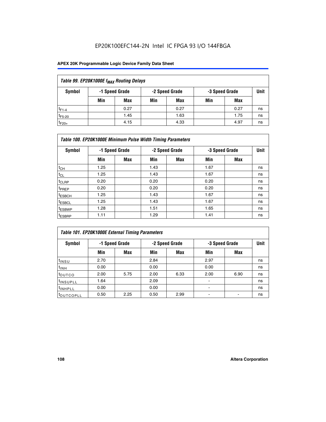# EP20K100EFC144-2N Intel IC FPGA 93 I/O 144FBGA

## **APEX 20K Programmable Logic Device Family Data Sheet**

| Table 99. EP20K1000E f <sub>MAX</sub> Routing Delays |     |                |     |                |     |                |      |  |  |  |  |
|------------------------------------------------------|-----|----------------|-----|----------------|-----|----------------|------|--|--|--|--|
| Symbol                                               |     | -1 Speed Grade |     | -2 Speed Grade |     | -3 Speed Grade | Unit |  |  |  |  |
|                                                      | Min | Max            | Min | Max            | Min | Max            |      |  |  |  |  |
| $t_{F1-4}$                                           |     | 0.27           |     | 0.27           |     | 0.27           | ns   |  |  |  |  |
| $t_{F5-20}$                                          |     | 1.45           |     | 1.63           |     | 1.75           | ns   |  |  |  |  |
| $t_{F20+}$                                           |     | 4.15           |     | 4.33           |     | 4.97           | ns   |  |  |  |  |

| Table 100. EP20K1000E Minimum Pulse Width Timing Parameters |      |                |      |                |      |                |             |  |  |  |  |
|-------------------------------------------------------------|------|----------------|------|----------------|------|----------------|-------------|--|--|--|--|
| Symbol                                                      |      | -1 Speed Grade |      | -2 Speed Grade |      | -3 Speed Grade | <b>Unit</b> |  |  |  |  |
|                                                             | Min  | Max            | Min  | Max            | Min  | Max            |             |  |  |  |  |
| $t_{CH}$                                                    | 1.25 |                | 1.43 |                | 1.67 |                | ns          |  |  |  |  |
| $t_{CL}$                                                    | 1.25 |                | 1.43 |                | 1.67 |                | ns          |  |  |  |  |
| $t_{CLRP}$                                                  | 0.20 |                | 0.20 |                | 0.20 |                | ns          |  |  |  |  |
| t <sub>PREP</sub>                                           | 0.20 |                | 0.20 |                | 0.20 |                | ns          |  |  |  |  |
| <sup>t</sup> ESBCH                                          | 1.25 |                | 1.43 |                | 1.67 |                | ns          |  |  |  |  |
| <sup>t</sup> ESBCL                                          | 1.25 |                | 1.43 |                | 1.67 |                | ns          |  |  |  |  |
| <sup>t</sup> ESBWP                                          | 1.28 |                | 1.51 |                | 1.65 |                | ns          |  |  |  |  |
| <sup>t</sup> ESBRP                                          | 1.11 |                | 1.29 |                | 1.41 |                | ns          |  |  |  |  |

| Table 101. EP20K1000E External Timing Parameters |                |            |      |                |      |                |             |  |  |  |  |  |
|--------------------------------------------------|----------------|------------|------|----------------|------|----------------|-------------|--|--|--|--|--|
| Symbol                                           | -1 Speed Grade |            |      | -2 Speed Grade |      | -3 Speed Grade | <b>Unit</b> |  |  |  |  |  |
|                                                  | Min            | <b>Max</b> | Min  | <b>Max</b>     | Min  | Max            |             |  |  |  |  |  |
| t <sub>INSU</sub>                                | 2.70           |            | 2.84 |                | 2.97 |                | ns          |  |  |  |  |  |
| $t_{INH}$                                        | 0.00           |            | 0.00 |                | 0.00 |                | ns          |  |  |  |  |  |
| toutco                                           | 2.00           | 5.75       | 2.00 | 6.33           | 2.00 | 6.90           | ns          |  |  |  |  |  |
| tinsupll                                         | 1.64           |            | 2.09 |                |      |                | ns          |  |  |  |  |  |
| <sup>t</sup> INHPLL                              | 0.00           |            | 0.00 |                | -    |                | ns          |  |  |  |  |  |
| toutcopll                                        | 0.50           | 2.25       | 0.50 | 2.99           | -    |                | ns          |  |  |  |  |  |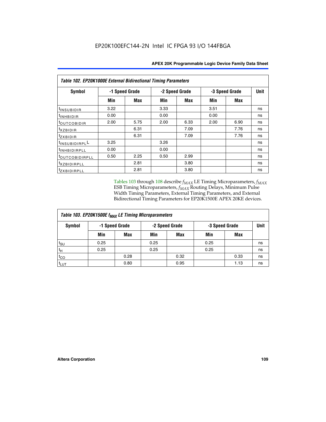| Table 102. EP20K1000E External Bidirectional Timing Parameters |      |                |                |      |      |                |             |  |  |  |
|----------------------------------------------------------------|------|----------------|----------------|------|------|----------------|-------------|--|--|--|
| Symbol                                                         |      | -1 Speed Grade | -2 Speed Grade |      |      | -3 Speed Grade | <b>Unit</b> |  |  |  |
|                                                                | Min  | Max            | Min            | Max  | Min  | <b>Max</b>     |             |  |  |  |
| $t_{INSUBIDIR}$                                                | 3.22 |                | 3.33           |      | 3.51 |                | ns          |  |  |  |
| t <sub>INHBIDIR</sub>                                          | 0.00 |                | 0.00           |      | 0.00 |                | ns          |  |  |  |
| t <sub>OUTCOBIDIR</sub>                                        | 2.00 | 5.75           | 2.00           | 6.33 | 2.00 | 6.90           | ns          |  |  |  |
| <i>txzbidir</i>                                                |      | 6.31           |                | 7.09 |      | 7.76           | ns          |  |  |  |
| tzxbidir                                                       |      | 6.31           |                | 7.09 |      | 7.76           | ns          |  |  |  |
| tINSUBIDIRPLL                                                  | 3.25 |                | 3.26           |      |      |                | ns          |  |  |  |
| tINHBIDIRPLL                                                   | 0.00 |                | 0.00           |      |      |                | ns          |  |  |  |
| tout COBIDIRPLL                                                | 0.50 | 2.25           | 0.50           | 2.99 |      |                | ns          |  |  |  |
| <sup>t</sup> xzbidirpll                                        |      | 2.81           |                | 3.80 |      |                | ns          |  |  |  |
| tzxBIDIRPLL                                                    |      | 2.81           |                | 3.80 |      |                | ns          |  |  |  |

Tables 103 through 108 describe  $f_{MAX}$  LE Timing Microparameters,  $f_{MAX}$ ESB Timing Microparameters, *f<sub>MAX</sub>* Routing Delays, Minimum Pulse Width Timing Parameters, External Timing Parameters, and External Bidirectional Timing Parameters for EP20K1500E APEX 20KE devices.

| Table 103. EP20K1500E f <sub>MAX</sub> LE Timing Microparameters |      |                |                |            |      |                |             |  |  |  |  |
|------------------------------------------------------------------|------|----------------|----------------|------------|------|----------------|-------------|--|--|--|--|
| Symbol                                                           |      | -1 Speed Grade | -2 Speed Grade |            |      | -3 Speed Grade | <b>Unit</b> |  |  |  |  |
|                                                                  | Min  | <b>Max</b>     | Min            | <b>Max</b> | Min  | Max            |             |  |  |  |  |
| $t_{\text{SU}}$                                                  | 0.25 |                | 0.25           |            | 0.25 |                | ns          |  |  |  |  |
| $t_H$                                                            | 0.25 |                | 0.25           |            | 0.25 |                | ns          |  |  |  |  |
| $t_{CO}$                                                         |      | 0.28           |                | 0.32       |      | 0.33           | ns          |  |  |  |  |
| t <sub>lut</sub>                                                 |      | 0.80           |                | 0.95       |      | 1.13           | ns          |  |  |  |  |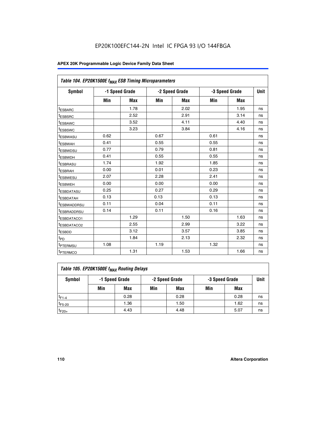|                         | Table 104. EP20K1500E f <sub>MAX</sub> ESB Timing Microparameters |            |            |                |      |                |             |  |  |  |  |
|-------------------------|-------------------------------------------------------------------|------------|------------|----------------|------|----------------|-------------|--|--|--|--|
| <b>Symbol</b>           | -1 Speed Grade                                                    |            |            | -2 Speed Grade |      | -3 Speed Grade | <b>Unit</b> |  |  |  |  |
|                         | Min                                                               | <b>Max</b> | <b>Min</b> | Max            | Min  | Max            |             |  |  |  |  |
| <sup>t</sup> ESBARC     |                                                                   | 1.78       |            | 2.02           |      | 1.95           | ns          |  |  |  |  |
| t <sub>ESBSRC</sub>     |                                                                   | 2.52       |            | 2.91           |      | 3.14           | ns          |  |  |  |  |
| <sup>t</sup> ESBAWC     |                                                                   | 3.52       |            | 4.11           |      | 4.40           | ns          |  |  |  |  |
| t <sub>ESBSWC</sub>     |                                                                   | 3.23       |            | 3.84           |      | 4.16           | ns          |  |  |  |  |
| t <sub>ESBWASU</sub>    | 0.62                                                              |            | 0.67       |                | 0.61 |                | ns          |  |  |  |  |
| t <sub>ESBWAH</sub>     | 0.41                                                              |            | 0.55       |                | 0.55 |                | ns          |  |  |  |  |
| <sup>t</sup> ESBWDSU    | 0.77                                                              |            | 0.79       |                | 0.81 |                | ns          |  |  |  |  |
| t <sub>ESBWDH</sub>     | 0.41                                                              |            | 0.55       |                | 0.55 |                | ns          |  |  |  |  |
| <sup>t</sup> ESBRASU    | 1.74                                                              |            | 1.92       |                | 1.85 |                | ns          |  |  |  |  |
| <sup>t</sup> ESBRAH     | 0.00                                                              |            | 0.01       |                | 0.23 |                | ns          |  |  |  |  |
| <sup>t</sup> ESBWESU    | 2.07                                                              |            | 2.28       |                | 2.41 |                | ns          |  |  |  |  |
| <sup>t</sup> ESBWEH     | 0.00                                                              |            | 0.00       |                | 0.00 |                | ns          |  |  |  |  |
| <sup>t</sup> ESBDATASU  | 0.25                                                              |            | 0.27       |                | 0.29 |                | ns          |  |  |  |  |
| <sup>t</sup> ESBDATAH   | 0.13                                                              |            | 0.13       |                | 0.13 |                | ns          |  |  |  |  |
| <sup>t</sup> ESBWADDRSU | 0.11                                                              |            | 0.04       |                | 0.11 |                | ns          |  |  |  |  |
| t <sub>ESBRADDRSU</sub> | 0.14                                                              |            | 0.11       |                | 0.16 |                | ns          |  |  |  |  |
| <sup>I</sup> ESBDATACO1 |                                                                   | 1.29       |            | 1.50           |      | 1.63           | ns          |  |  |  |  |
| <sup>t</sup> ESBDATACO2 |                                                                   | 2.55       |            | 2.99           |      | 3.22           | ns          |  |  |  |  |
| <sup>t</sup> ESBDD      |                                                                   | 3.12       |            | 3.57           |      | 3.85           | ns          |  |  |  |  |
| t <sub>PD</sub>         |                                                                   | 1.84       |            | 2.13           |      | 2.32           | ns          |  |  |  |  |
| t <sub>PTERMSU</sub>    | 1.08                                                              |            | 1.19       |                | 1.32 |                | ns          |  |  |  |  |
| t <sub>PTERMCO</sub>    |                                                                   | 1.31       |            | 1.53           |      | 1.66           | ns          |  |  |  |  |

| Table 105. EP20K1500E f <sub>MAX</sub> Routing Delays |                                                    |      |     |      |     |      |    |  |  |  |
|-------------------------------------------------------|----------------------------------------------------|------|-----|------|-----|------|----|--|--|--|
| Symbol                                                | -1 Speed Grade<br>-2 Speed Grade<br>-3 Speed Grade |      |     |      |     |      |    |  |  |  |
|                                                       | Min                                                | Max  | Min | Max  | Min | Max  |    |  |  |  |
| $t_{F1-4}$                                            |                                                    | 0.28 |     | 0.28 |     | 0.28 | ns |  |  |  |
| $t_{F5-20}$                                           |                                                    | 1.36 |     | 1.50 |     | 1.62 | ns |  |  |  |
| $t_{F20+}$                                            |                                                    | 4.43 |     | 4.48 |     | 5.07 | ns |  |  |  |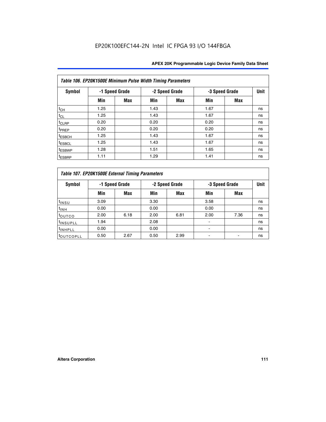|                    | Table 106. EP20K1500E Minimum Pulse Width Timing Parameters |                |      |                |      |                |             |  |  |  |  |  |
|--------------------|-------------------------------------------------------------|----------------|------|----------------|------|----------------|-------------|--|--|--|--|--|
| <b>Symbol</b>      |                                                             | -1 Speed Grade |      | -2 Speed Grade |      | -3 Speed Grade | <b>Unit</b> |  |  |  |  |  |
|                    | Min                                                         | <b>Max</b>     | Min  | Max            | Min  | <b>Max</b>     |             |  |  |  |  |  |
| $t_{CH}$           | 1.25                                                        |                | 1.43 |                | 1.67 |                | ns          |  |  |  |  |  |
| $t_{CL}$           | 1.25                                                        |                | 1.43 |                | 1.67 |                | ns          |  |  |  |  |  |
| $t_{CLRP}$         | 0.20                                                        |                | 0.20 |                | 0.20 |                | ns          |  |  |  |  |  |
| t <sub>PREP</sub>  | 0.20                                                        |                | 0.20 |                | 0.20 |                | ns          |  |  |  |  |  |
| <sup>t</sup> ESBCH | 1.25                                                        |                | 1.43 |                | 1.67 |                | ns          |  |  |  |  |  |
| <sup>t</sup> ESBCL | 1.25                                                        |                | 1.43 |                | 1.67 |                | ns          |  |  |  |  |  |
| <sup>t</sup> ESBWP | 1.28                                                        |                | 1.51 |                | 1.65 |                | ns          |  |  |  |  |  |
| <sup>t</sup> ESBRP | 1.11                                                        |                | 1.29 |                | 1.41 |                | ns          |  |  |  |  |  |

|                      | Table 107. EP20K1500E External Timing Parameters |      |      |                |                          |                |      |  |  |  |  |  |  |
|----------------------|--------------------------------------------------|------|------|----------------|--------------------------|----------------|------|--|--|--|--|--|--|
| Symbol               | -1 Speed Grade                                   |      |      | -2 Speed Grade |                          | -3 Speed Grade | Unit |  |  |  |  |  |  |
|                      | Min                                              | Max  | Min  | <b>Max</b>     | Min                      | Max            |      |  |  |  |  |  |  |
| t <sub>insu</sub>    | 3.09                                             |      | 3.30 |                | 3.58                     |                | ns   |  |  |  |  |  |  |
| $t_{INH}$            | 0.00                                             |      | 0.00 |                | 0.00                     |                | ns   |  |  |  |  |  |  |
| toutco               | 2.00                                             | 6.18 | 2.00 | 6.81           | 2.00                     | 7.36           | ns   |  |  |  |  |  |  |
| <sup>t</sup> INSUPLL | 1.94                                             |      | 2.08 |                |                          |                | ns   |  |  |  |  |  |  |
| <sup>t</sup> INHPLL  | 0.00                                             |      | 0.00 |                | $\overline{\phantom{0}}$ |                | ns   |  |  |  |  |  |  |
| <b>LOUTCOPLL</b>     | 0.50                                             | 2.67 | 0.50 | 2.99           |                          |                | ns   |  |  |  |  |  |  |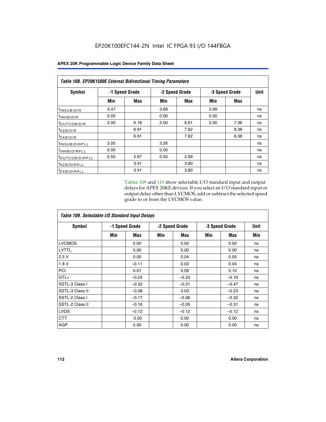| Table 108. EP20K1500E External Bidirectional Timing Parameters |                |      |      |                |                |      |    |
|----------------------------------------------------------------|----------------|------|------|----------------|----------------|------|----|
| Symbol                                                         | -1 Speed Grade |      |      | -2 Speed Grade | -3 Speed Grade | Unit |    |
|                                                                | Min            | Max  | Min  | Max            | Min            | Max  |    |
| <sup>t</sup> INSUBIDIR                                         | 3.47           |      | 3.68 |                | 3.99           |      | ns |
| $t_{\rm INHBIDIR}$                                             | 0.00           |      | 0.00 |                | 0.00           |      | ns |
| <sup>t</sup> OUTCOBIDIR                                        | 2.00           | 6.18 | 2.00 | 6.81           | 2.00           | 7.36 | ns |
| $t_{XZBIDIR}$                                                  |                | 6.91 |      | 7.62           |                | 8.38 | ns |
| tzxbidir                                                       |                | 6.91 |      | 7.62           |                | 8.38 | ns |
| <sup>t</sup> INSUBIDIRPLL                                      | 3.05           |      | 3.26 |                |                |      | ns |
| <sup>t</sup> INHBIDIRPLL                                       | 0.00           |      | 0.00 |                |                |      | ns |
| <sup>t</sup> OUTCOBIDIRPLL                                     | 0.50           | 2.67 | 0.50 | 2.99           |                |      | ns |
| <sup>t</sup> XZBIDIRPLL                                        |                | 3.41 |      | 3.80           |                |      | ns |
| <sup>t</sup> zxbidirpll                                        |                | 3.41 |      | 3.80           |                |      | ns |

Tables 109 and 110 show selectable I/O standard input and output delays for APEX 20KE devices. If you select an I/O standard input or output delay other than LVCMOS, add or subtract the selected speed grade to or from the LVCMOS value.

| Table 109. Selectable I/O Standard Input Delays |                |         |     |                |                |         |             |  |  |  |
|-------------------------------------------------|----------------|---------|-----|----------------|----------------|---------|-------------|--|--|--|
| <b>Symbol</b>                                   | -1 Speed Grade |         |     | -2 Speed Grade | -3 Speed Grade |         | <b>Unit</b> |  |  |  |
|                                                 | Min            | Max     | Min | Max            | Min            | Max     | Min         |  |  |  |
| <b>LVCMOS</b>                                   |                | 0.00    |     | 0.00           |                | 0.00    | ns          |  |  |  |
| LVTTL                                           |                | 0.00    |     | 0.00           |                | 0.00    | ns          |  |  |  |
| 2.5V                                            |                | 0.00    |     | 0.04           |                | 0.05    | ns          |  |  |  |
| 1.8V                                            |                | $-0.11$ |     | 0.03           |                | 0.04    | ns          |  |  |  |
| PCI                                             |                | 0.01    |     | 0.09           |                | 0.10    | ns          |  |  |  |
| $GTL+$                                          |                | $-0.24$ |     | $-0.23$        |                | $-0.19$ | ns          |  |  |  |
| SSTL-3 Class I                                  |                | $-0.32$ |     | $-0.21$        |                | $-0.47$ | ns          |  |  |  |
| SSTL-3 Class II                                 |                | $-0.08$ |     | 0.03           |                | $-0.23$ | ns          |  |  |  |
| SSTL-2 Class I                                  |                | $-0.17$ |     | $-0.06$        |                | $-0.32$ | ns          |  |  |  |
| SSTL-2 Class II                                 |                | $-0.16$ |     | $-0.05$        |                | $-0.31$ | ns          |  |  |  |
| <b>LVDS</b>                                     |                | $-0.12$ |     | $-0.12$        |                | $-0.12$ | ns          |  |  |  |
| <b>CTT</b>                                      |                | 0.00    |     | 0.00           |                | 0.00    | ns          |  |  |  |
| <b>AGP</b>                                      |                | 0.00    |     | 0.00           |                | 0.00    | ns          |  |  |  |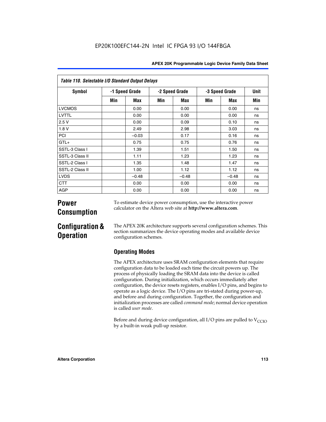| Table 110. Selectable I/O Standard Output Delays |     |                |     |                |     |                |      |  |  |  |  |
|--------------------------------------------------|-----|----------------|-----|----------------|-----|----------------|------|--|--|--|--|
| <b>Symbol</b>                                    |     | -1 Speed Grade |     | -2 Speed Grade |     | -3 Speed Grade | Unit |  |  |  |  |
|                                                  | Min | Max            | Min | Max            | Min | Max            | Min  |  |  |  |  |
| <b>LVCMOS</b>                                    |     | 0.00           |     | 0.00           |     | 0.00           | ns   |  |  |  |  |
| <b>LVTTL</b>                                     |     | 0.00           |     | 0.00           |     | 0.00           | ns   |  |  |  |  |
| 2.5V                                             |     | 0.00           |     | 0.09           |     | 0.10           | ns   |  |  |  |  |
| 1.8V                                             |     | 2.49           |     | 2.98           |     | 3.03           | ns   |  |  |  |  |
| PCI                                              |     | $-0.03$        |     | 0.17           |     | 0.16           | ns   |  |  |  |  |
| $GTL+$                                           |     | 0.75           |     | 0.75           |     | 0.76           | ns   |  |  |  |  |
| SSTL-3 Class I                                   |     | 1.39           |     | 1.51           |     | 1.50           | ns   |  |  |  |  |
| SSTL-3 Class II                                  |     | 1.11           |     | 1.23           |     | 1.23           | ns   |  |  |  |  |
| SSTL-2 Class I                                   |     | 1.35           |     | 1.48           |     | 1.47           | ns   |  |  |  |  |
| SSTL-2 Class II                                  |     | 1.00           |     | 1.12           |     | 1.12           | ns   |  |  |  |  |
| <b>LVDS</b>                                      |     | $-0.48$        |     | $-0.48$        |     | $-0.48$        | ns   |  |  |  |  |
| <b>CTT</b>                                       |     | 0.00           |     | 0.00           |     | 0.00           | ns   |  |  |  |  |
| <b>AGP</b>                                       |     | 0.00           |     | 0.00           |     | 0.00           | ns   |  |  |  |  |

# **Power Consumption**

To estimate device power consumption, use the interactive power calculator on the Altera web site at **http://www.altera.com**.

# **Configuration & Operation**

The APEX 20K architecture supports several configuration schemes. This section summarizes the device operating modes and available device configuration schemes.

# **Operating Modes**

The APEX architecture uses SRAM configuration elements that require configuration data to be loaded each time the circuit powers up. The process of physically loading the SRAM data into the device is called configuration. During initialization, which occurs immediately after configuration, the device resets registers, enables I/O pins, and begins to operate as a logic device. The I/O pins are tri-stated during power-up, and before and during configuration. Together, the configuration and initialization processes are called *command mode*; normal device operation is called *user mode*.

Before and during device configuration, all I/O pins are pulled to  $V_{\text{CCIO}}$ by a built-in weak pull-up resistor.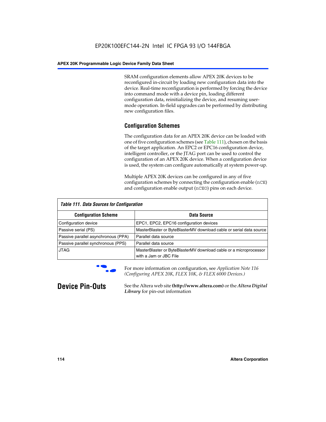SRAM configuration elements allow APEX 20K devices to be reconfigured in-circuit by loading new configuration data into the device. Real-time reconfiguration is performed by forcing the device into command mode with a device pin, loading different configuration data, reinitializing the device, and resuming usermode operation. In-field upgrades can be performed by distributing new configuration files.

# **Configuration Schemes**

The configuration data for an APEX 20K device can be loaded with one of five configuration schemes (see Table 111), chosen on the basis of the target application. An EPC2 or EPC16 configuration device, intelligent controller, or the JTAG port can be used to control the configuration of an APEX 20K device. When a configuration device is used, the system can configure automatically at system power-up.

Multiple APEX 20K devices can be configured in any of five configuration schemes by connecting the configuration enable (nCE) and configuration enable output (nCEO) pins on each device.

| <b>Table 111. Data Sources for Configuration</b> |                                                                                             |
|--------------------------------------------------|---------------------------------------------------------------------------------------------|
| <b>Configuration Scheme</b>                      | Data Source                                                                                 |
| Configuration device                             | EPC1, EPC2, EPC16 configuration devices                                                     |
| Passive serial (PS)                              | MasterBlaster or ByteBlasterMV download cable or serial data source                         |
| Passive parallel asynchronous (PPA)              | Parallel data source                                                                        |
| Passive parallel synchronous (PPS)               | Parallel data source                                                                        |
| <b>JTAG</b>                                      | MasterBlaster or ByteBlasterMV download cable or a microprocessor<br>with a Jam or JBC File |



**For more information on configuration, see Application Note 116** *(Configuring APEX 20K, FLEX 10K, & FLEX 6000 Devices.)*

**Device Pin-Outs** See the Altera web site **(http://www.altera.com)** or the *Altera Digital Library* for pin-out information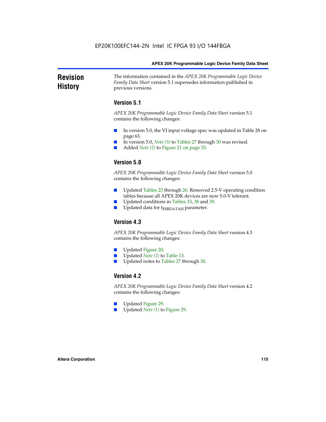### **Revision History** The information contained in the *APEX 20K Programmable Logic Device Family Data Sheet* version 5.1 supersedes information published in previous versions.

## **Version 5.1**

*APEX 20K Programmable Logic Device Family Data Sheet* version 5.1 contains the following changes:

- In version 5.0, the VI input voltage spec was updated in Table 28 on page 63.
- In version 5.0, *Note* (5) to Tables 27 through 30 was revised.
- Added *Note* (2) to Figure 21 on page 33.

# **Version 5.0**

*APEX 20K Programmable Logic Device Family Data Sheet* version 5.0 contains the following changes:

- Updated Tables 23 through 26. Removed 2.5-V operating condition tables because all APEX 20K devices are now 5.0-V tolerant.
- Updated conditions in Tables 33, 38 and 39.
- Updated data for t<sub>ESBDATAH</sub> parameter.

# **Version 4.3**

*APEX 20K Programmable Logic Device Family Data Sheet* version 4.3 contains the following changes:

- Updated Figure 20.
- Updated *Note (2)* to Table 13.
- Updated notes to Tables 27 through 30.

## **Version 4.2**

*APEX 20K Programmable Logic Device Family Data Sheet* version 4.2 contains the following changes:

- Updated Figure 29.
- Updated *Note (1)* to Figure 29.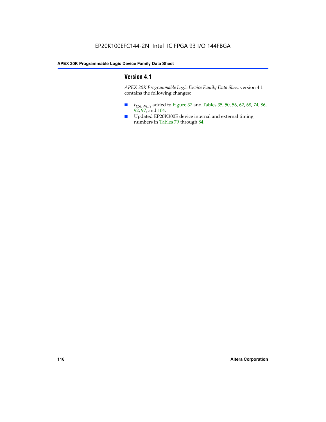# **Version 4.1**

*APEX 20K Programmable Logic Device Family Data Sheet* version 4.1 contains the following changes:

- *t<sub>ESBWEH</sub>* added to Figure 37 and Tables 35, 50, 56, 62, 68, 74, 86, 92, 97, and 104.
- Updated EP20K300E device internal and external timing numbers in Tables 79 through 84.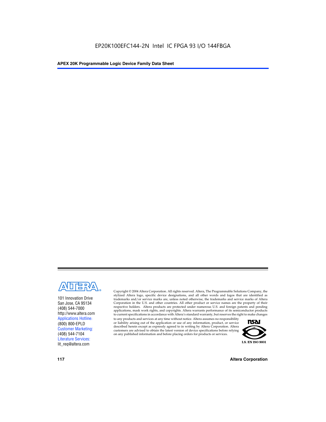

101 Innovation Drive San Jose, CA 95134 (408) 544-7000 http://www.altera.com Applications Hotline: (800) 800-EPLD Customer Marketing: (408) 544-7104 Literature Services: lit\_req@altera.com

Copyright © 2004 Altera Corporation. All rights reserved. Altera, The Programmable Solutions Company, the stylized Altera logo, specific device designations, and all other words and logos that are identified as trademarks and/or service marks are, unless noted otherwise, the trademarks and service marks of Altera Corporation in the U.S. and other countries. All other product or service names are the property of their respective holders. Altera products are protected under numerous U.S. and foreign patents and pending applications, mask work rights, and copyrights. Altera warrants performance of its semiconductor products to current specifications in accordance with Altera's standard warranty, but reserves the right to make changes

to any products and services at any time without notice. Altera assumes no responsibility or liability arising out of the application or use of any information, product, or service described herein except as expressly agreed to in writing by Altera Corporation. Altera customers are advised to obtain the latest version of device specifications before relying on any published information and before placing orders for products or services.



**117 Altera Corporation**